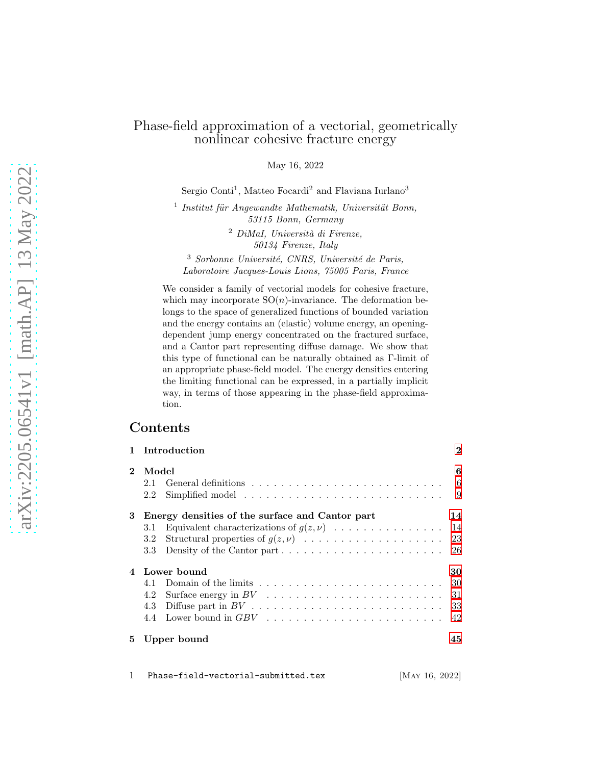### Phase-field approximation of a vectorial, geometrically nonlinear cohesive fracture energy

May 16, 2022

Sergio Conti<sup>1</sup>, Matteo Focardi<sup>2</sup> and Flaviana Iurlano<sup>3</sup>

<sup>1</sup> Institut für Angewandte Mathematik, Universität Bonn, 53115 Bonn, Germany

> $2$  DiMaI, Università di Firenze, 50134 Firenze, Italy

 $3$  Sorbonne Université, CNRS, Université de Paris, Laboratoire Jacques-Louis Lions, 75005 Paris, France

We consider a family of vectorial models for cohesive fracture, which may incorporate  $SO(n)$ -invariance. The deformation belongs to the space of generalized functions of bounded variation and the energy contains an (elastic) volume energy, an openingdependent jump energy concentrated on the fractured surface, and a Cantor part representing diffuse damage. We show that this type of functional can be naturally obtained as Γ-limit of an appropriate phase-field model. The energy densities entering the limiting functional can be expressed, in a partially implicit way, in terms of those appearing in the phase-field approximation.

## Contents

|              |                                                 | 1 Introduction                                                                    | 2    |
|--------------|-------------------------------------------------|-----------------------------------------------------------------------------------|------|
| $\mathbf{2}$ | Model                                           |                                                                                   | 6    |
|              | 2.1                                             |                                                                                   | 6    |
|              | 2.2                                             | Simplified model $\ldots \ldots \ldots \ldots \ldots \ldots \ldots \ldots \ldots$ | 9    |
| 3            | Energy densities of the surface and Cantor part |                                                                                   | 14   |
|              | 3.1                                             |                                                                                   |      |
|              | 3.2                                             |                                                                                   | 23   |
|              | 3.3                                             | Density of the Cantor part                                                        | 26   |
| 4            | Lower bound                                     |                                                                                   | 30   |
|              | 4.1                                             |                                                                                   | 30   |
|              | 4.2                                             |                                                                                   | - 31 |
|              | 4.3                                             |                                                                                   | 33   |
|              | 4.4                                             |                                                                                   | 42   |
| 5.           |                                                 | Upper bound                                                                       | 45   |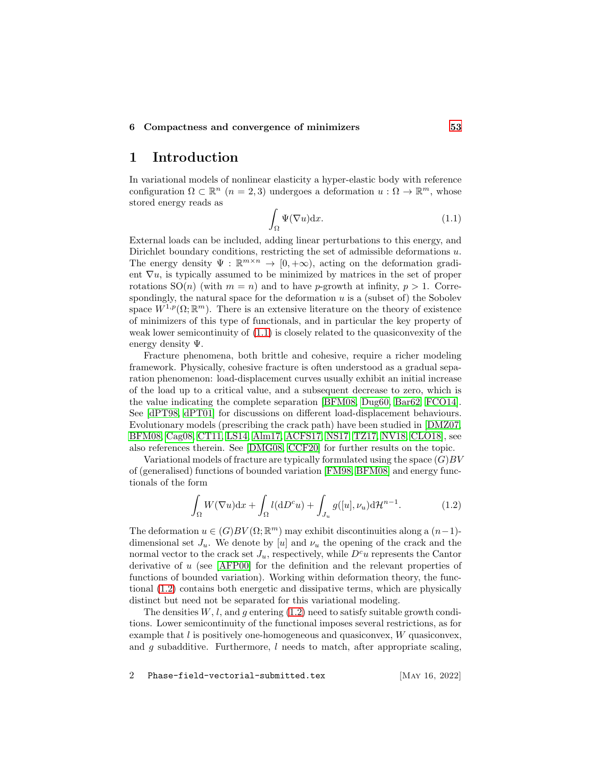#### <span id="page-1-0"></span>6 Compactness and convergence of minimizers [53](#page-52-0)

### 1 Introduction

In variational models of nonlinear elasticity a hyper-elastic body with reference configuration  $\Omega \subset \mathbb{R}^n$   $(n = 2, 3)$  undergoes a deformation  $u : \Omega \to \mathbb{R}^m$ , whose stored energy reads as

<span id="page-1-1"></span>
$$
\int_{\Omega} \Psi(\nabla u) \mathrm{d}x. \tag{1.1}
$$

External loads can be included, adding linear perturbations to this energy, and Dirichlet boundary conditions, restricting the set of admissible deformations  $u$ . The energy density  $\Psi : \mathbb{R}^{m \times n} \to [0, +\infty)$ , acting on the deformation gradient  $\nabla u$ , is typically assumed to be minimized by matrices in the set of proper rotations  $SO(n)$  (with  $m = n$ ) and to have p-growth at infinity,  $p > 1$ . Correspondingly, the natural space for the deformation  $u$  is a (subset of) the Sobolev space  $W^{1,p}(\Omega;\mathbb{R}^m)$ . There is an extensive literature on the theory of existence of minimizers of this type of functionals, and in particular the key property of weak lower semicontinuity of [\(1.1\)](#page-1-1) is closely related to the quasiconvexity of the energy density Ψ.

Fracture phenomena, both brittle and cohesive, require a richer modeling framework. Physically, cohesive fracture is often understood as a gradual separation phenomenon: load-displacement curves usually exhibit an initial increase of the load up to a critical value, and a subsequent decrease to zero, which is the value indicating the complete separation [\[BFM08,](#page-56-0) [Dug60,](#page-58-0) [Bar62,](#page-56-1) [FCO14\]](#page-59-0). See [\[dPT98,](#page-58-1) [dPT01\]](#page-58-2) for discussions on different load-displacement behaviours. Evolutionary models (prescribing the crack path) have been studied in [\[DMZ07,](#page-58-3) [BFM08,](#page-56-0) [Cag08,](#page-57-0) [CT11,](#page-58-4) [LS14,](#page-59-1) [Alm17,](#page-55-0) [ACFS17,](#page-55-1) [NS17,](#page-60-0) [TZ17,](#page-60-1) [NV18,](#page-60-2) [CLO18\]](#page-58-5), see also references therein. See [\[DMG08,](#page-58-6) [CCF20\]](#page-57-1) for further results on the topic.

Variational models of fracture are typically formulated using the space  $(G)BV$ of (generalised) functions of bounded variation [\[FM98,](#page-59-2) [BFM08\]](#page-56-0) and energy functionals of the form

<span id="page-1-2"></span>
$$
\int_{\Omega} W(\nabla u) \mathrm{d}x + \int_{\Omega} l(\mathrm{d}D^c u) + \int_{J_u} g([u], \nu_u) \mathrm{d}\mathcal{H}^{n-1}.
$$
\n(1.2)

The deformation  $u \in (G)BV(\Omega;\mathbb{R}^m)$  may exhibit discontinuities along a  $(n-1)$ dimensional set  $J_u$ . We denote by [u] and  $\nu_u$  the opening of the crack and the normal vector to the crack set  $J_u$ , respectively, while  $D^c u$  represents the Cantor derivative of u (see [\[AFP00\]](#page-55-2) for the definition and the relevant properties of functions of bounded variation). Working within deformation theory, the functional [\(1.2\)](#page-1-2) contains both energetic and dissipative terms, which are physically distinct but need not be separated for this variational modeling.

The densities  $W, l$ , and q entering  $(1.2)$  need to satisfy suitable growth conditions. Lower semicontinuity of the functional imposes several restrictions, as for example that  $l$  is positively one-homogeneous and quasiconvex,  $W$  quasiconvex, and  $g$  subadditive. Furthermore,  $l$  needs to match, after appropriate scaling,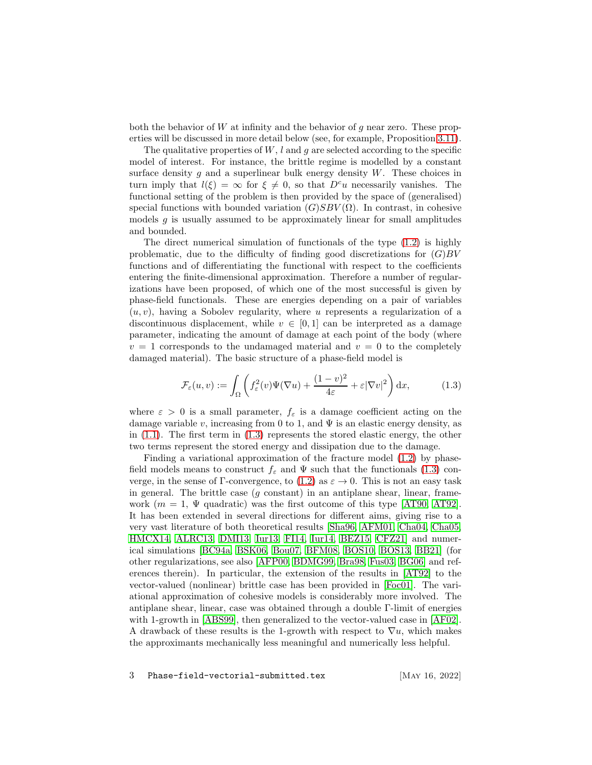both the behavior of  $W$  at infinity and the behavior of  $g$  near zero. These properties will be discussed in more detail below (see, for example, Proposition [3.11\)](#page-27-0).

The qualitative properties of  $W, l$  and g are selected according to the specific model of interest. For instance, the brittle regime is modelled by a constant surface density q and a superlinear bulk energy density  $W$ . These choices in turn imply that  $l(\xi) = \infty$  for  $\xi \neq 0$ , so that  $D^c u$  necessarily vanishes. The functional setting of the problem is then provided by the space of (generalised) special functions with bounded variation  $(G)SBV(\Omega)$ . In contrast, in cohesive models  $q$  is usually assumed to be approximately linear for small amplitudes and bounded.

The direct numerical simulation of functionals of the type [\(1.2\)](#page-1-2) is highly problematic, due to the difficulty of finding good discretizations for  $(G)BV$ functions and of differentiating the functional with respect to the coefficients entering the finite-dimensional approximation. Therefore a number of regularizations have been proposed, of which one of the most successful is given by phase-field functionals. These are energies depending on a pair of variables  $(u, v)$ , having a Sobolev regularity, where u represents a regularization of a discontinuous displacement, while  $v \in [0, 1]$  can be interpreted as a damage parameter, indicating the amount of damage at each point of the body (where  $v = 1$  corresponds to the undamaged material and  $v = 0$  to the completely damaged material). The basic structure of a phase-field model is

<span id="page-2-0"></span>
$$
\mathcal{F}_{\varepsilon}(u,v) := \int_{\Omega} \left( f_{\varepsilon}^2(v)\Psi(\nabla u) + \frac{(1-v)^2}{4\varepsilon} + \varepsilon |\nabla v|^2 \right) dx, \tag{1.3}
$$

where  $\varepsilon > 0$  is a small parameter,  $f_{\varepsilon}$  is a damage coefficient acting on the damage variable v, increasing from 0 to 1, and  $\Psi$  is an elastic energy density, as in  $(1.1)$ . The first term in  $(1.3)$  represents the stored elastic energy, the other two terms represent the stored energy and dissipation due to the damage.

Finding a variational approximation of the fracture model [\(1.2\)](#page-1-2) by phasefield models means to construct  $f_{\varepsilon}$  and  $\Psi$  such that the functionals [\(1.3\)](#page-2-0) con-verge, in the sense of Γ-convergence, to [\(1.2\)](#page-1-2) as  $\varepsilon \to 0$ . This is not an easy task in general. The brittle case  $(q \text{ constant})$  in an antiplane shear, linear, framework ( $m = 1$ ,  $\Psi$  quadratic) was the first outcome of this type [\[AT90,](#page-56-2) [AT92\]](#page-56-3). It has been extended in several directions for different aims, giving rise to a very vast literature of both theoretical results [\[Sha96,](#page-60-3) [AFM01,](#page-55-3) [Cha04,](#page-57-2) [Cha05,](#page-58-7) [HMCX14,](#page-59-3) [ALRC13,](#page-56-4) [DMI13,](#page-58-8) [Iur13,](#page-59-4) [FI14,](#page-59-5) [Iur14,](#page-59-6) [BEZ15,](#page-56-5) [CFZ21\]](#page-57-3) and numerical simulations [\[BC94a,](#page-56-6) [BSK06,](#page-57-4) [Bou07,](#page-57-5) [BFM08,](#page-56-0) [BOS10,](#page-57-6) [BOS13,](#page-57-7) [BB21\]](#page-56-7) (for other regularizations, see also [\[AFP00,](#page-55-2) [BDMG99,](#page-56-8) [Bra98,](#page-57-8) [Fus03,](#page-59-7) [BG06\]](#page-57-9) and references therein). In particular, the extension of the results in [\[AT92\]](#page-56-3) to the vector-valued (nonlinear) brittle case has been provided in [\[Foc01\]](#page-59-8). The variational approximation of cohesive models is considerably more involved. The antiplane shear, linear, case was obtained through a double Γ-limit of energies with 1-growth in [\[ABS99\]](#page-55-4), then generalized to the vector-valued case in [\[AF02\]](#page-55-5). A drawback of these results is the 1-growth with respect to  $\nabla u$ , which makes the approximants mechanically less meaningful and numerically less helpful.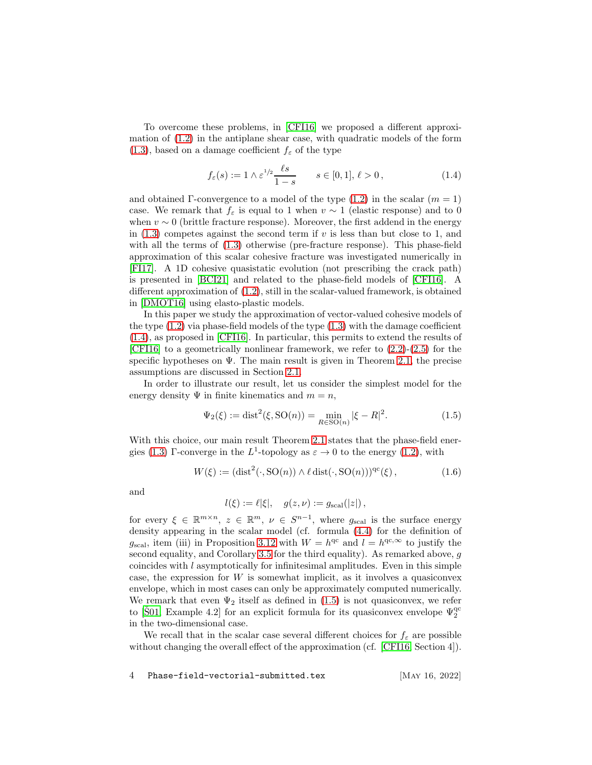To overcome these problems, in [\[CFI16\]](#page-57-10) we proposed a different approximation of [\(1.2\)](#page-1-2) in the antiplane shear case, with quadratic models of the form  $(1.3)$ , based on a damage coefficient  $f_{\varepsilon}$  of the type

<span id="page-3-0"></span>
$$
f_{\varepsilon}(s) := 1 \wedge \varepsilon^{1/2} \frac{\ell s}{1 - s} \qquad s \in [0, 1], \, \ell > 0 \,, \tag{1.4}
$$

and obtained Γ-convergence to a model of the type  $(1.2)$  in the scalar  $(m = 1)$ case. We remark that  $f_{\varepsilon}$  is equal to 1 when  $v \sim 1$  (elastic response) and to 0 when  $v \sim 0$  (brittle fracture response). Moreover, the first addend in the energy in  $(1.3)$  competes against the second term if v is less than but close to 1, and with all the terms of  $(1.3)$  otherwise (pre-fracture response). This phase-field approximation of this scalar cohesive fracture was investigated numerically in [\[FI17\]](#page-59-9). A 1D cohesive quasistatic evolution (not prescribing the crack path) is presented in [\[BCI21\]](#page-56-9) and related to the phase-field models of [\[CFI16\]](#page-57-10). A different approximation of [\(1.2\)](#page-1-2), still in the scalar-valued framework, is obtained in [\[DMOT16\]](#page-58-9) using elasto-plastic models.

In this paper we study the approximation of vector-valued cohesive models of the type  $(1.2)$  via phase-field models of the type  $(1.3)$  with the damage coefficient [\(1.4\)](#page-3-0), as proposed in [\[CFI16\]](#page-57-10). In particular, this permits to extend the results of [\[CFI16\]](#page-57-10) to a geometrically nonlinear framework, we refer to  $(2.2)-(2.5)$  $(2.2)-(2.5)$  for the specific hypotheses on  $\Psi$ . The main result is given in Theorem [2.1,](#page-7-0) the precise assumptions are discussed in Section [2.1.](#page-5-1)

In order to illustrate our result, let us consider the simplest model for the energy density  $\Psi$  in finite kinematics and  $m = n$ ,

<span id="page-3-1"></span>
$$
\Psi_2(\xi) := \text{dist}^2(\xi, \text{SO}(n)) = \min_{R \in \text{SO}(n)} |\xi - R|^2. \tag{1.5}
$$

With this choice, our main result Theorem [2.1](#page-7-0) states that the phase-field ener-gies [\(1.3\)](#page-2-0) Γ-converge in the  $L^1$ -topology as  $\varepsilon \to 0$  to the energy [\(1.2\)](#page-1-2), with

<span id="page-3-2"></span>
$$
W(\xi) := (\text{dist}^2(\cdot, \text{SO}(n)) \wedge \ell \, \text{dist}(\cdot, \text{SO}(n)))^{\text{qc}}(\xi) \,,\tag{1.6}
$$

and

$$
l(\xi) := \ell |\xi|, \quad g(z, \nu) := g_{\text{scal}}(|z|),
$$

for every  $\xi \in \mathbb{R}^{m \times n}$ ,  $z \in \mathbb{R}^m$ ,  $\nu \in S^{n-1}$ , where  $g_{\text{scal}}$  is the surface energy density appearing in the scalar model (cf. formula [\(4.4\)](#page-29-2) for the definition of  $g_{\text{scal}}$ , item (iii) in Proposition [3.12](#page-28-0) with  $W = h^{\text{qc}}$  and  $l = h^{\text{qc},\infty}$  to justify the second equality, and Corollary [3.5](#page-20-0) for the third equality). As remarked above,  $g$ coincides with l asymptotically for infinitesimal amplitudes. Even in this simple case, the expression for  $W$  is somewhat implicit, as it involves a quasiconvex envelope, which in most cases can only be approximately computed numerically. We remark that even  $\Psi_2$  itself as defined in [\(1.5\)](#page-3-1) is not quasiconvex, we refer to [Š01, Example 4.2] for an explicit formula for its quasiconvex envelope  $\Psi_2^{\text{qc}}$ in the two-dimensional case.

We recall that in the scalar case several different choices for  $f_{\varepsilon}$  are possible without changing the overall effect of the approximation (cf. [\[CFI16,](#page-57-10) Section 4]).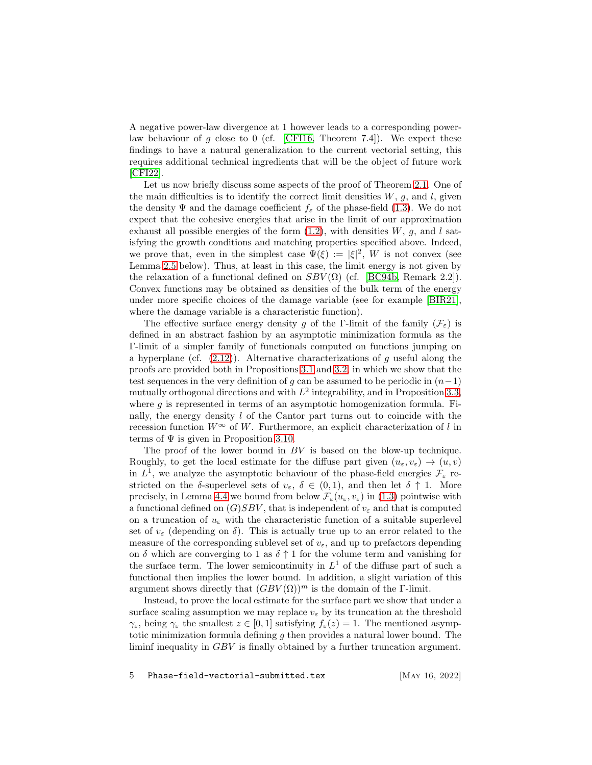A negative power-law divergence at 1 however leads to a corresponding power-law behaviour of g close to 0 (cf. [\[CFI16,](#page-57-10) Theorem 7.4]). We expect these findings to have a natural generalization to the current vectorial setting, this requires additional technical ingredients that will be the object of future work [\[CFI22\]](#page-57-11).

Let us now briefly discuss some aspects of the proof of Theorem [2.1.](#page-7-0) One of the main difficulties is to identify the correct limit densities  $W, g$ , and  $l$ , given the density  $\Psi$  and the damage coefficient  $f_{\varepsilon}$  of the phase-field [\(1.3\)](#page-2-0). We do not expect that the cohesive energies that arise in the limit of our approximation exhaust all possible energies of the form  $(1.2)$ , with densities W, g, and l satisfying the growth conditions and matching properties specified above. Indeed, we prove that, even in the simplest case  $\Psi(\xi) := |\xi|^2$ , W is not convex (see Lemma [2.5](#page-9-0) below). Thus, at least in this case, the limit energy is not given by the relaxation of a functional defined on  $SBV(\Omega)$  (cf. [\[BC94b,](#page-56-10) Remark 2.2]). Convex functions may be obtained as densities of the bulk term of the energy under more specific choices of the damage variable (see for example [\[BIR21\]](#page-57-12), where the damage variable is a characteristic function).

The effective surface energy density g of the Γ-limit of the family  $(\mathcal{F}_{\varepsilon})$  is defined in an abstract fashion by an asymptotic minimization formula as the Γ-limit of a simpler family of functionals computed on functions jumping on a hyperplane (cf.  $(2.12)$ ). Alternative characterizations of g useful along the proofs are provided both in Propositions [3.1](#page-13-2) and [3.2,](#page-16-0) in which we show that the test sequences in the very definition of g can be assumed to be periodic in  $(n-1)$ mutually orthogonal directions and with  $L^2$  integrability, and in Proposition [3.3,](#page-18-0) where  $g$  is represented in terms of an asymptotic homogenization formula. Finally, the energy density  $l$  of the Cantor part turns out to coincide with the recession function  $W^{\infty}$  of W. Furthermore, an explicit characterization of l in terms of  $\Psi$  is given in Proposition [3.10.](#page-27-1)

The proof of the lower bound in BV is based on the blow-up technique. Roughly, to get the local estimate for the diffuse part given  $(u_\varepsilon, v_\varepsilon) \to (u, v)$ in  $L^1$ , we analyze the asymptotic behaviour of the phase-field energies  $\mathcal{F}_{\varepsilon}$  restricted on the  $\delta$ -superlevel sets of  $v_{\varepsilon}$ ,  $\delta \in (0,1)$ , and then let  $\delta \uparrow 1$ . More precisely, in Lemma [4.4](#page-33-0) we bound from below  $\mathcal{F}_{\varepsilon}(u_{\varepsilon}, v_{\varepsilon})$  in [\(1.3\)](#page-2-0) pointwise with a functional defined on  $(G)SBV$ , that is independent of  $v_{\varepsilon}$  and that is computed on a truncation of  $u_{\varepsilon}$  with the characteristic function of a suitable superlevel set of  $v_{\varepsilon}$  (depending on  $\delta$ ). This is actually true up to an error related to the measure of the corresponding sublevel set of  $v_{\varepsilon}$ , and up to prefactors depending on  $\delta$  which are converging to 1 as  $\delta \uparrow 1$  for the volume term and vanishing for the surface term. The lower semicontinuity in  $L<sup>1</sup>$  of the diffuse part of such a functional then implies the lower bound. In addition, a slight variation of this argument shows directly that  $(GBV(\Omega))^m$  is the domain of the Γ-limit.

Instead, to prove the local estimate for the surface part we show that under a surface scaling assumption we may replace  $v_{\varepsilon}$  by its truncation at the threshold  $\gamma_{\varepsilon}$ , being  $\gamma_{\varepsilon}$  the smallest  $z \in [0,1]$  satisfying  $f_{\varepsilon}(z) = 1$ . The mentioned asymptotic minimization formula defining g then provides a natural lower bound. The liminf inequality in GBV is finally obtained by a further truncation argument.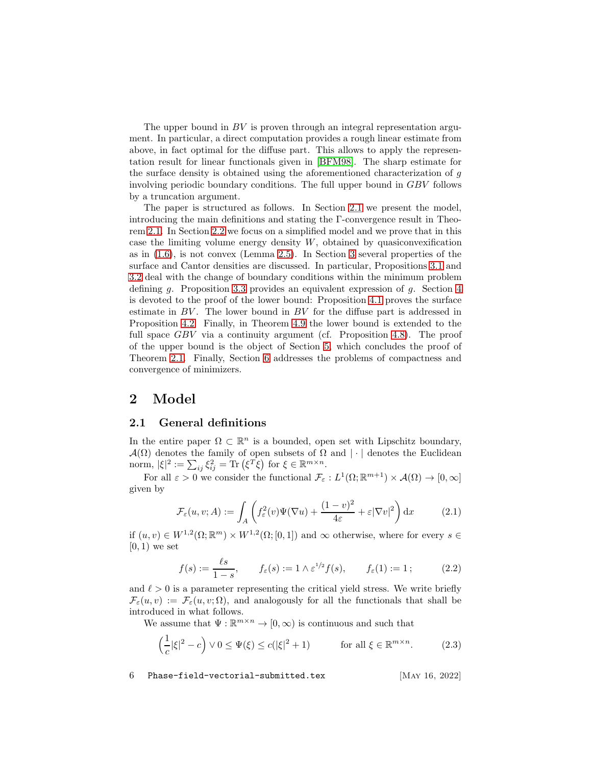The upper bound in  $BV$  is proven through an integral representation argument. In particular, a direct computation provides a rough linear estimate from above, in fact optimal for the diffuse part. This allows to apply the representation result for linear functionals given in [\[BFM98\]](#page-56-11). The sharp estimate for the surface density is obtained using the aforementioned characterization of g involving periodic boundary conditions. The full upper bound in GBV follows by a truncation argument.

The paper is structured as follows. In Section [2.1](#page-5-1) we present the model, introducing the main definitions and stating the Γ-convergence result in Theorem [2.1.](#page-7-0) In Section [2.2](#page-8-0) we focus on a simplified model and we prove that in this case the limiting volume energy density  $W$ , obtained by quasiconvexification as in [\(1.6\)](#page-3-2), is not convex (Lemma [2.5\)](#page-9-0). In Section [3](#page-13-0) several properties of the surface and Cantor densities are discussed. In particular, Propositions [3.1](#page-13-2) and [3.2](#page-16-0) deal with the change of boundary conditions within the minimum problem defining q. Proposition [3.3](#page-18-0) provides an equivalent expression of q. Section [4](#page-29-0) is devoted to the proof of the lower bound: Proposition [4.1](#page-30-1) proves the surface estimate in BV. The lower bound in BV for the diffuse part is addressed in Proposition [4.2.](#page-32-1) Finally, in Theorem [4.9](#page-42-0) the lower bound is extended to the full space GBV via a continuity argument (cf. Proposition [4.8\)](#page-41-1). The proof of the upper bound is the object of Section [5,](#page-44-0) which concludes the proof of Theorem [2.1.](#page-7-0) Finally, Section [6](#page-52-0) addresses the problems of compactness and convergence of minimizers.

### <span id="page-5-1"></span><span id="page-5-0"></span>2 Model

#### 2.1 General definitions

In the entire paper  $\Omega \subset \mathbb{R}^n$  is a bounded, open set with Lipschitz boundary,  $\mathcal{A}(\Omega)$  denotes the family of open subsets of  $\Omega$  and  $|\cdot|$  denotes the Euclidean norm,  $|\xi|^2 := \sum_{ij} \xi_{ij}^2 = \text{Tr}(\xi^T \xi)$  for  $\xi \in \mathbb{R}^{m \times n}$ .

For all  $\varepsilon > 0$  we consider the functional  $\mathcal{F}_{\varepsilon}: L^1(\Omega;\mathbb{R}^{m+1}) \times \mathcal{A}(\Omega) \to [0,\infty]$ given by

<span id="page-5-4"></span>
$$
\mathcal{F}_{\varepsilon}(u,v;A) := \int_{A} \left( f_{\varepsilon}^{2}(v)\Psi(\nabla u) + \frac{(1-v)^{2}}{4\varepsilon} + \varepsilon |\nabla v|^{2} \right) dx \tag{2.1}
$$

if  $(u, v) \in W^{1,2}(\Omega; \mathbb{R}^m) \times W^{1,2}(\Omega; [0, 1])$  and  $\infty$  otherwise, where for every  $s \in$  $[0, 1)$  we set

<span id="page-5-2"></span>
$$
f(s) := \frac{\ell s}{1 - s}, \qquad f_{\varepsilon}(s) := 1 \wedge \varepsilon^{1/2} f(s), \qquad f_{\varepsilon}(1) := 1; \tag{2.2}
$$

and  $\ell > 0$  is a parameter representing the critical yield stress. We write briefly  $\mathcal{F}_{\varepsilon}(u,v) := \mathcal{F}_{\varepsilon}(u,v;\Omega)$ , and analogously for all the functionals that shall be introduced in what follows.

We assume that  $\Psi:\mathbb{R}^{m\times n}\to [0,\infty)$  is continuous and such that

<span id="page-5-3"></span>
$$
\left(\frac{1}{c}|\xi|^2 - c\right) \vee 0 \le \Psi(\xi) \le c(|\xi|^2 + 1) \qquad \text{for all } \xi \in \mathbb{R}^{m \times n}.\tag{2.3}
$$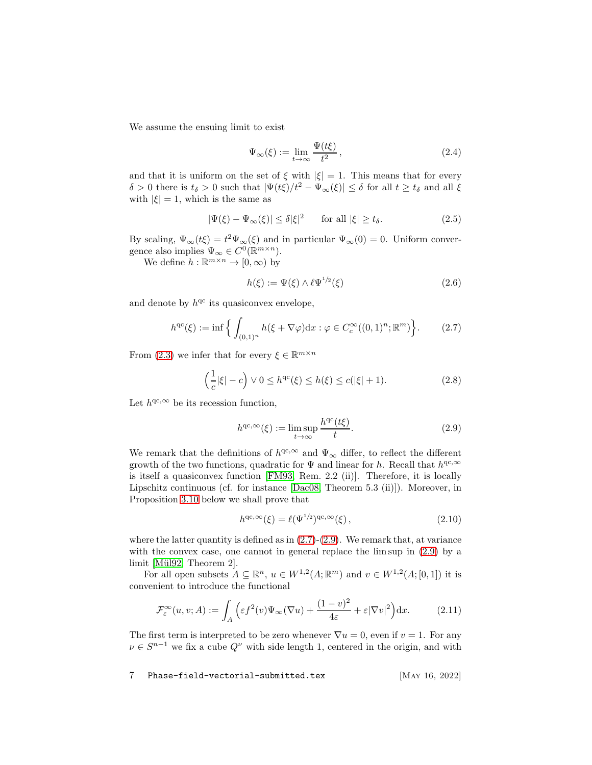We assume the ensuing limit to exist

<span id="page-6-5"></span>
$$
\Psi_{\infty}(\xi) := \lim_{t \to \infty} \frac{\Psi(t\xi)}{t^2},\tag{2.4}
$$

and that it is uniform on the set of  $\xi$  with  $|\xi|=1$ . This means that for every  $\delta > 0$  there is  $t_{\delta} > 0$  such that  $|\Psi(t\xi)/t^2 - \Psi_{\infty}(\xi)| \leq \delta$  for all  $t \geq t_{\delta}$  and all  $\xi$ with  $|\xi| = 1$ , which is the same as

<span id="page-6-0"></span>
$$
|\Psi(\xi) - \Psi_{\infty}(\xi)| \le \delta |\xi|^2 \quad \text{for all } |\xi| \ge t_{\delta}.\tag{2.5}
$$

By scaling,  $\Psi_{\infty}(t\xi) = t^2 \Psi_{\infty}(\xi)$  and in particular  $\Psi_{\infty}(0) = 0$ . Uniform convergence also implies  $\Psi_{\infty} \in C^0(\mathbb{R}^{m \times n})$ .

We define  $h : \mathbb{R}^{m \times n} \to [0, \infty)$  by

<span id="page-6-3"></span>
$$
h(\xi) := \Psi(\xi) \wedge \ell \Psi^{1/2}(\xi) \tag{2.6}
$$

and denote by  $h^{qc}$  its quasiconvex envelope,

<span id="page-6-1"></span>
$$
h^{qc}(\xi) := \inf \Big\{ \int_{(0,1)^n} h(\xi + \nabla \varphi) dx : \varphi \in C_c^{\infty}((0,1)^n; \mathbb{R}^m) \Big\}.
$$
 (2.7)

From [\(2.3\)](#page-5-3) we infer that for every  $\xi \in \mathbb{R}^{m \times n}$ 

<span id="page-6-7"></span>
$$
\left(\frac{1}{c}|\xi| - c\right) \vee 0 \le h^{qc}(\xi) \le h(\xi) \le c(|\xi| + 1). \tag{2.8}
$$

Let  $h^{qc,\infty}$  be its recession function,

<span id="page-6-2"></span>
$$
h^{\mathrm{qc}, \infty}(\xi) := \limsup_{t \to \infty} \frac{h^{\mathrm{qc}}(t\xi)}{t}.
$$
 (2.9)

We remark that the definitions of  $h^{\text{qc},\infty}$  and  $\Psi_{\infty}$  differ, to reflect the different growth of the two functions, quadratic for  $\Psi$  and linear for h. Recall that  $h^{qc,\infty}$ is itself a quasiconvex function [\[FM93,](#page-59-10) Rem. 2.2 (ii)]. Therefore, it is locally Lipschitz continuous (cf. for instance [\[Dac08,](#page-58-10) Theorem 5.3 (ii)]). Moreover, in Proposition [3.10](#page-27-1) below we shall prove that

<span id="page-6-4"></span>
$$
h^{\mathrm{qc}, \infty}(\xi) = \ell(\Psi^{1/2})^{\mathrm{qc}, \infty}(\xi), \qquad (2.10)
$$

where the latter quantity is defined as in  $(2.7)-(2.9)$  $(2.7)-(2.9)$ . We remark that, at variance with the convex case, one cannot in general replace the lim sup in  $(2.9)$  by a limit [Mül92, Theorem 2].

For all open subsets  $A \subseteq \mathbb{R}^n$ ,  $u \in W^{1,2}(A; \mathbb{R}^m)$  and  $v \in W^{1,2}(A; [0,1])$  it is convenient to introduce the functional

<span id="page-6-6"></span>
$$
\mathcal{F}_{\varepsilon}^{\infty}(u,v;A) := \int_{A} \left( \varepsilon f^{2}(v) \Psi_{\infty}(\nabla u) + \frac{(1-v)^{2}}{4\varepsilon} + \varepsilon |\nabla v|^{2} \right) dx.
$$
 (2.11)

The first term is interpreted to be zero whenever  $\nabla u = 0$ , even if  $v = 1$ . For any  $\nu \in S^{n-1}$  we fix a cube  $Q^{\nu}$  with side length 1, centered in the origin, and with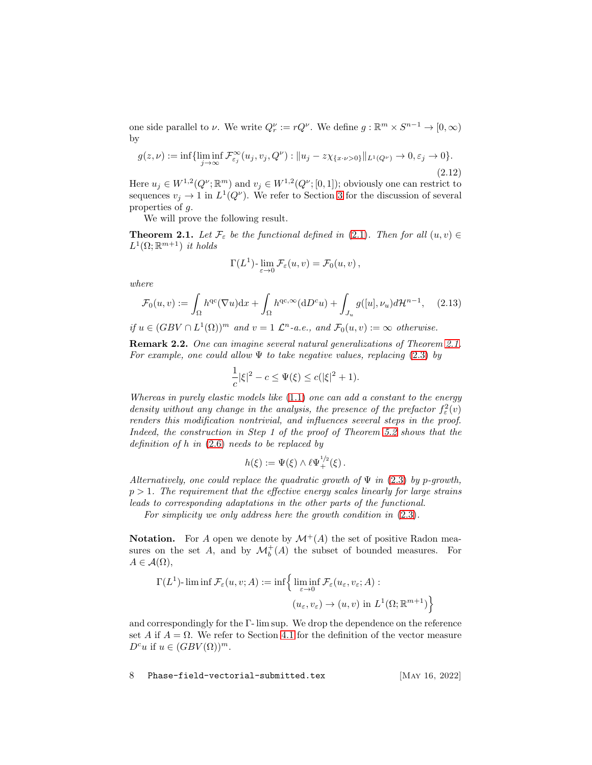one side parallel to  $\nu$ . We write  $Q_r^{\nu} := rQ^{\nu}$ . We define  $g : \mathbb{R}^m \times S^{n-1} \to [0, \infty)$ by

<span id="page-7-1"></span>
$$
g(z,\nu) := \inf \{ \liminf_{j \to \infty} \mathcal{F}_{\varepsilon_j}^{\infty}(u_j, v_j, Q^{\nu}) : \|u_j - z\chi_{\{x \cdot \nu > 0\}}\|_{L^1(Q^{\nu})} \to 0, \varepsilon_j \to 0 \}.
$$
\n(2.12)

Here  $u_j \in W^{1,2}(Q^{\nu}; \mathbb{R}^m)$  and  $v_j \in W^{1,2}(Q^{\nu}; [0,1])$ ; obviously one can restrict to sequences  $v_j \to 1$  in  $L^1(Q^{\nu})$ . We refer to Section [3](#page-13-0) for the discussion of several properties of g.

We will prove the following result.

<span id="page-7-0"></span>**Theorem 2.1.** Let  $\mathcal{F}_{\varepsilon}$  be the functional defined in [\(2.1\)](#page-5-4). Then for all  $(u, v) \in$  $L^1(\Omega;\mathbb{R}^{m+1})$  it holds

$$
\Gamma(L^1)\text{-}\lim_{\varepsilon \to 0} \mathcal{F}_{\varepsilon}(u,v) = \mathcal{F}_0(u,v)\,,
$$

where

<span id="page-7-2"></span>
$$
\mathcal{F}_0(u,v) := \int_{\Omega} h^{qc}(\nabla u) dx + \int_{\Omega} h^{qc,\infty}(dD^c u) + \int_{J_u} g([u], \nu_u) d\mathcal{H}^{n-1}, \quad (2.13)
$$

if  $u \in (GBV \cap L^1(\Omega))^m$  and  $v = 1 \mathcal{L}^n$ -a.e., and  $\mathcal{F}_0(u, v) := \infty$  otherwise.

Remark 2.2. One can imagine several natural generalizations of Theorem [2.1.](#page-7-0) For example, one could allow  $\Psi$  to take negative values, replacing [\(2.3\)](#page-5-3) by

$$
\frac{1}{c}|\xi|^2 - c \le \Psi(\xi) \le c(|\xi|^2 + 1).
$$

Whereas in purely elastic models like [\(1.1\)](#page-1-1) one can add a constant to the energy density without any change in the analysis, the presence of the prefactor  $f_{\varepsilon}^2(v)$ renders this modification nontrivial, and influences several steps in the proof. Indeed, the construction in Step 1 of the proof of Theorem [5.2](#page-46-0) shows that the definition of  $h$  in  $(2.6)$  needs to be replaced by

$$
h(\xi) := \Psi(\xi) \wedge \ell \Psi_+^{1/2}(\xi).
$$

Alternatively, one could replace the quadratic growth of  $\Psi$  in [\(2.3\)](#page-5-3) by p-growth,  $p > 1$ . The requirement that the effective energy scales linearly for large strains leads to corresponding adaptations in the other parts of the functional.

For simplicity we only address here the growth condition in  $(2.3)$ .

**Notation.** For A open we denote by  $\mathcal{M}^+(A)$  the set of positive Radon measures on the set A, and by  $\mathcal{M}_{b}^{+}(A)$  the subset of bounded measures. For  $A \in \mathcal{A}(\Omega),$ 

$$
\Gamma(L^1)\text{-}\liminf \mathcal{F}_{\varepsilon}(u,v;A) := \inf \Big\{ \liminf_{\varepsilon \to 0} \mathcal{F}_{\varepsilon}(u_{\varepsilon},v_{\varepsilon};A) : (u_{\varepsilon},v_{\varepsilon}) \to (u,v) \text{ in } L^1(\Omega;\mathbb{R}^{m+1}) \Big\}
$$

and correspondingly for the Γ- lim sup. We drop the dependence on the reference set A if  $A = \Omega$ . We refer to Section [4.1](#page-29-1) for the definition of the vector measure  $D^c u$  if  $u \in (GBV(\Omega))^m$ .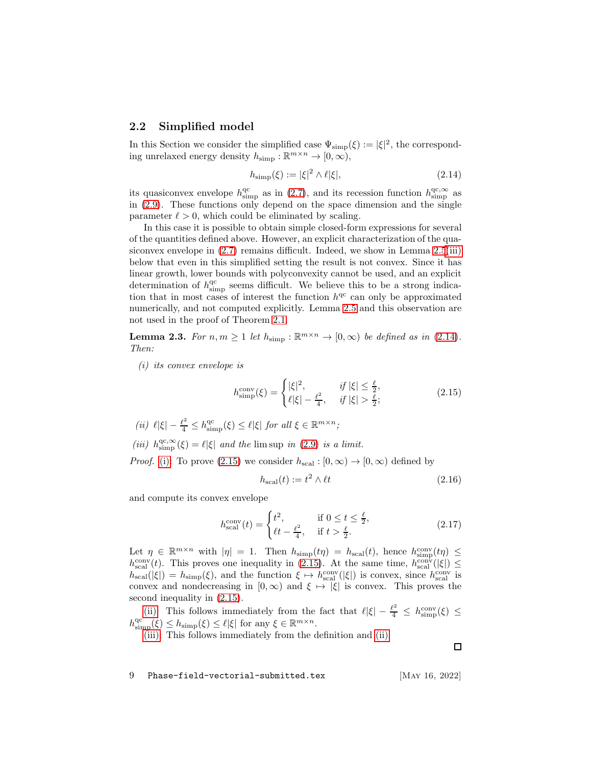#### <span id="page-8-0"></span>2.2 Simplified model

In this Section we consider the simplified case  $\Psi_{\text{simp}}(\xi) := |\xi|^2$ , the corresponding unrelaxed energy density  $h_{\text{simp}} : \mathbb{R}^{m \times n} \to [0, \infty)$ ,

<span id="page-8-1"></span>
$$
h_{\text{simp}}(\xi) := |\xi|^2 \wedge \ell |\xi|,\tag{2.14}
$$

its quasiconvex envelope  $h_{\text{simp}}^{\text{qc}}$  as in [\(2.7\)](#page-6-1), and its recession function  $h_{\text{simp}}^{\text{qc},\infty}$  as in [\(2.9\)](#page-6-2). These functions only depend on the space dimension and the single parameter  $\ell > 0$ , which could be eliminated by scaling.

In this case it is possible to obtain simple closed-form expressions for several of the quantities defined above. However, an explicit characterization of the quasiconvex envelope in  $(2.7)$  remains difficult. Indeed, we show in Lemma  $2.5(iii)$  $2.5(iii)$ below that even in this simplified setting the result is not convex. Since it has linear growth, lower bounds with polyconvexity cannot be used, and an explicit determination of  $h_{\text{simp}}^{\text{qc}}$  seems difficult. We believe this to be a strong indication that in most cases of interest the function  $h^{qc}$  can only be approximated numerically, and not computed explicitly. Lemma [2.5](#page-9-0) and this observation are not used in the proof of Theorem [2.1.](#page-7-0)

<span id="page-8-6"></span><span id="page-8-2"></span>**Lemma 2.3.** For  $n, m \ge 1$  let  $h_{\text{simp}} : \mathbb{R}^{m \times n} \to [0, \infty)$  be defined as in [\(2.14\)](#page-8-1). Then:

(i) its convex envelope is

<span id="page-8-3"></span>
$$
h_{\text{simp}}^{\text{conv}}(\xi) = \begin{cases} |\xi|^2, & \text{if } |\xi| \le \frac{\ell}{2}, \\ \ell|\xi| - \frac{\ell^2}{4}, & \text{if } |\xi| > \frac{\ell}{2}; \end{cases}
$$
(2.15)

<span id="page-8-5"></span><span id="page-8-4"></span>(ii)  $\ell |\xi| - \frac{\ell^2}{4} \leq h_{\text{simp}}^{\text{qc}}(\xi) \leq \ell |\xi|$  for all  $\xi \in \mathbb{R}^{m \times n}$ ;

(iii)  $h_{\text{simp}}^{\text{qc},\infty}(\xi) = \ell |\xi|$  and the lim sup in [\(2.9\)](#page-6-2) is a limit.

*Proof.* [\(i\):](#page-8-2) To prove [\(2.15\)](#page-8-3) we consider  $h_{\text{scal}} : [0, \infty) \to [0, \infty)$  defined by

<span id="page-8-7"></span>
$$
h_{\text{scal}}(t) := t^2 \wedge \ell t \tag{2.16}
$$

and compute its convex envelope

<span id="page-8-8"></span>
$$
h_{\text{scal}}^{\text{conv}}(t) = \begin{cases} t^2, & \text{if } 0 \le t \le \frac{\ell}{2}, \\ \ell t - \frac{\ell^2}{4}, & \text{if } t > \frac{\ell}{2}. \end{cases} \tag{2.17}
$$

Let  $\eta \in \mathbb{R}^{m \times n}$  with  $|\eta| = 1$ . Then  $h_{\text{simp}}(t\eta) = h_{\text{scal}}(t)$ , hence  $h_{\text{simp}}^{conv}(t\eta) \le$  $h_{\text{scal}}^{\text{conv}}(t)$ . This proves one inequality in [\(2.15\)](#page-8-3). At the same time,  $h_{\text{scal}}^{\text{conv}}(|\xi|) \le$  $h_{\text{scal}}(|\xi|) = h_{\text{simp}}(\xi)$ , and the function  $\xi \mapsto h_{\text{scal}}^{\text{conv}}(|\xi|)$  is convex, since  $h_{\text{scal}}^{\text{conv}}$  is convex and nondecreasing in  $[0, \infty)$  and  $\xi \mapsto |\xi|$  is convex. This proves the second inequality in [\(2.15\)](#page-8-3).

[\(ii\):](#page-8-4) This follows immediately from the fact that  $\ell |\xi| - \frac{\ell^2}{4} \leq h_{simp}^{conv}(\xi) \leq$  $h_{\text{simp}}^{\text{qc}}(\xi) \leq h_{\text{simp}}(\xi) \leq \ell |\xi|$  for any  $\xi \in \mathbb{R}^{m \times n}$ .

[\(iii\):](#page-8-5) This follows immediately from the definition and [\(ii\).](#page-8-4)

9 Phase-field-vectorial-submitted.tex [May 16, 2022]

 $\Box$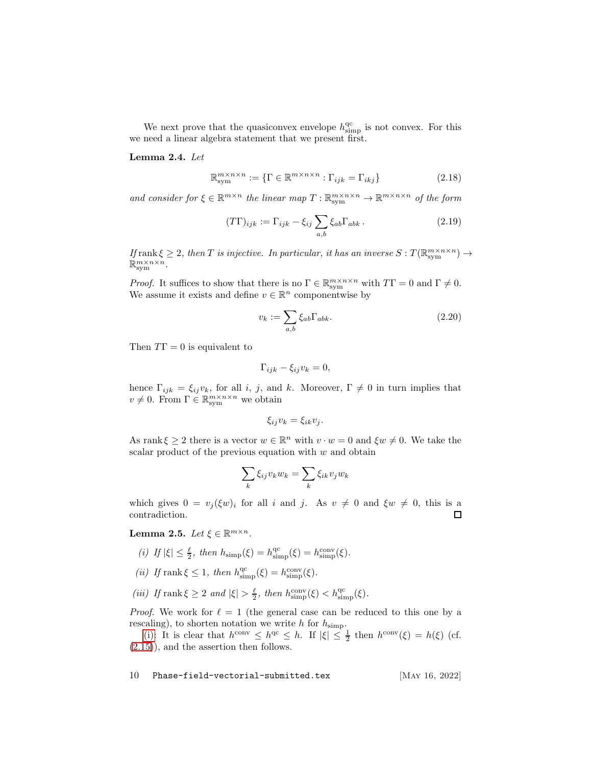We next prove that the quasiconvex envelope  $h_{\text{simp}}^{\text{qc}}$  is not convex. For this we need a linear algebra statement that we present first.

#### <span id="page-9-4"></span>Lemma 2.4. Let

$$
\mathbb{R}_{\text{sym}}^{m \times n \times n} := \{ \Gamma \in \mathbb{R}^{m \times n \times n} : \Gamma_{ijk} = \Gamma_{ikj} \}
$$
 (2.18)

and consider for  $\xi \in \mathbb{R}^{m \times n}$  the linear map  $T : \mathbb{R}^{m \times n \times n}_{sym} \to \mathbb{R}^{m \times n \times n}$  of the form

$$
(T\Gamma)_{ijk} := \Gamma_{ijk} - \xi_{ij} \sum_{a,b} \xi_{ab} \Gamma_{abk}.
$$
 (2.19)

If  $r_{\text{rank}} \xi \geq 2$ , then T is injective. In particular, it has an inverse  $S: T(\mathbb{R}^{m \times n \times n}_{sym}) \to$  $\mathbb{R}_{\text{sym}}^{m \times n \times n}$ .

*Proof.* It suffices to show that there is no  $\Gamma \in \mathbb{R}_{sym}^{m \times n \times n}$  with  $T\Gamma = 0$  and  $\Gamma \neq 0$ . We assume it exists and define  $v \in \mathbb{R}^n$  componentwise by

$$
v_k := \sum_{a,b} \xi_{ab} \Gamma_{abk}.
$$
\n(2.20)

Then  $T\Gamma = 0$  is equivalent to

$$
\Gamma_{ijk} - \xi_{ij} v_k = 0,
$$

hence  $\Gamma_{ijk} = \xi_{ij} v_k$ , for all i, j, and k. Moreover,  $\Gamma \neq 0$  in turn implies that  $v \neq 0$ . From  $\Gamma \in \mathbb{R}^{m \times n \times n}_{sym}$  we obtain

$$
\xi_{ij}v_k=\xi_{ik}v_j.
$$

As rank  $\xi \ge 2$  there is a vector  $w \in \mathbb{R}^n$  with  $v \cdot w = 0$  and  $\xi w \ne 0$ . We take the scalar product of the previous equation with  $w$  and obtain

$$
\sum_{k} \xi_{ij} v_k w_k = \sum_{k} \xi_{ik} v_j w_k
$$

which gives  $0 = v_j(\xi w)_i$  for all i and j. As  $v \neq 0$  and  $\xi w \neq 0$ , this is a contradiction. contradiction.

<span id="page-9-2"></span><span id="page-9-0"></span>Lemma 2.5. Let  $\xi \in \mathbb{R}^{m \times n}$ .

- <span id="page-9-3"></span>(i) If  $|\xi| \leq \frac{\ell}{2}$ , then  $h_{\text{simp}}(\xi) = h_{\text{simp}}^{\text{qc}}(\xi) = h_{\text{simp}}^{\text{conv}}(\xi)$ .
- <span id="page-9-1"></span>(*ii*) If rank  $\xi \leq 1$ , then  $h_{\text{simp}}^{\text{qc}}(\xi) = h_{\text{simp}}^{\text{conv}}(\xi)$ .
- (iii) If rank  $\xi \geq 2$  and  $|\xi| > \frac{\ell}{2}$ , then  $h_{\text{simp}}^{\text{conv}}(\xi) < h_{\text{simp}}^{\text{qc}}(\xi)$ .

*Proof.* We work for  $\ell = 1$  (the general case can be reduced to this one by a rescaling), to shorten notation we write h for  $h_{\text{simp}}$ .

[\(i\):](#page-9-2) It is clear that  $h^{\text{conv}} \leq h^{\text{qc}} \leq h$ . If  $|\xi| \leq \frac{1}{2}$  then  $h^{\text{conv}}(\xi) = h(\xi)$  (cf. [\(2.15\)](#page-8-3)), and the assertion then follows.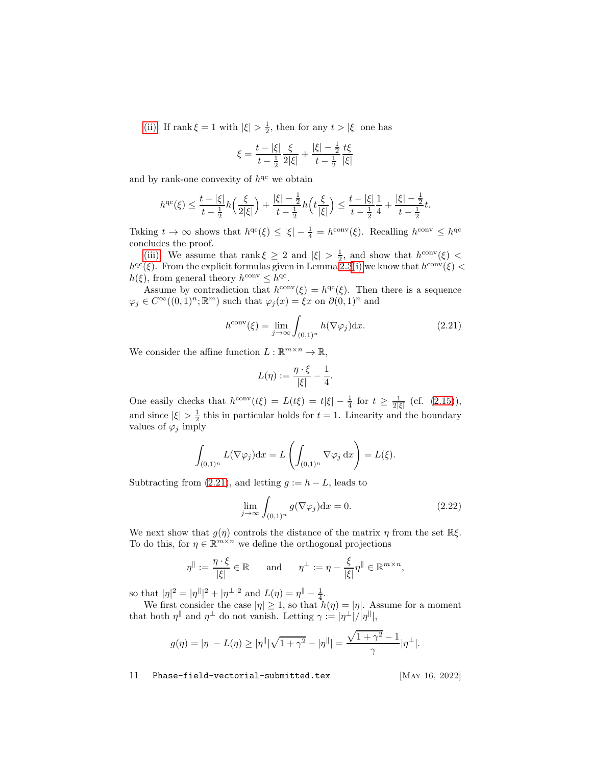[\(ii\):](#page-9-3) If rank  $\xi = 1$  with  $|\xi| > \frac{1}{2}$ , then for any  $t > |\xi|$  one has

$$
\xi = \frac{t - |\xi|}{t - \frac{1}{2}} \frac{\xi}{2|\xi|} + \frac{|\xi| - \frac{1}{2}}{t - \frac{1}{2}} \frac{t\xi}{|\xi|}
$$

and by rank-one convexity of  $h^{qc}$  we obtain

$$
h^{qc}(\xi) \le \frac{t - |\xi|}{t - \frac{1}{2}} h\left(\frac{\xi}{2|\xi|}\right) + \frac{|\xi| - \frac{1}{2}}{t - \frac{1}{2}} h\left(t\frac{\xi}{|\xi|}\right) \le \frac{t - |\xi|}{t - \frac{1}{2}} \frac{1}{4} + \frac{|\xi| - \frac{1}{2}}{t - \frac{1}{2}} t.
$$

Taking  $t \to \infty$  shows that  $h^{qc}(\xi) \leq |\xi| - \frac{1}{4} = h^{conv}(\xi)$ . Recalling  $h^{conv} \leq h^{qc}$ concludes the proof.

[\(iii\):](#page-9-1) We assume that rank  $\xi \geq 2$  and  $|\xi| > \frac{1}{2}$ , and show that  $h^{\text{conv}}(\xi)$  <  $h^{qc}(\xi)$ . From the explicit formulas given in Lemma [2.3](#page-8-6)[\(i\)](#page-8-2) we know that  $h^{conv}(\xi)$  <  $h(\xi)$ , from general theory  $h^{\text{conv}} \leq h^{\text{qc}}$ .

Assume by contradiction that  $h^{\text{conv}}(\xi) = h^{\text{qc}}(\xi)$ . Then there is a sequence  $\varphi_j \in C^{\infty}((0,1)^n; \mathbb{R}^m)$  such that  $\varphi_j(x) = \xi x$  on  $\partial(0,1)^n$  and

<span id="page-10-0"></span>
$$
h^{\text{conv}}(\xi) = \lim_{j \to \infty} \int_{(0,1)^n} h(\nabla \varphi_j) dx.
$$
 (2.21)

We consider the affine function  $L : \mathbb{R}^{m \times n} \to \mathbb{R}$ ,

$$
L(\eta) := \frac{\eta \cdot \xi}{|\xi|} - \frac{1}{4}.
$$

One easily checks that  $h^{\text{conv}}(t\xi) = L(t\xi) = t|\xi| - \frac{1}{4}$  for  $t \ge \frac{1}{2|\xi|}$  (cf. [\(2.15\)](#page-8-3)), and since  $|\xi| > \frac{1}{2}$  this in particular holds for  $t = 1$ . Linearity and the boundary values of  $\varphi_j$  imply

$$
\int_{(0,1)^n} L(\nabla \varphi_j) dx = L\left(\int_{(0,1)^n} \nabla \varphi_j dx\right) = L(\xi).
$$

Subtracting from [\(2.21\)](#page-10-0), and letting  $g := h - L$ , leads to

<span id="page-10-1"></span>
$$
\lim_{j \to \infty} \int_{(0,1)^n} g(\nabla \varphi_j) dx = 0.
$$
\n(2.22)

We next show that  $g(\eta)$  controls the distance of the matrix  $\eta$  from the set  $\mathbb{R}\xi$ . To do this, for  $\eta \in \mathbb{R}^{m \times n}$  we define the orthogonal projections

$$
\eta^{\parallel} := \frac{\eta \cdot \xi}{|\xi|} \in \mathbb{R} \quad \text{and} \quad \eta^{\perp} := \eta - \frac{\xi}{|\xi|} \eta^{\parallel} \in \mathbb{R}^{m \times n},
$$

so that  $|\eta|^2 = |\eta^{\parallel}|^2 + |\eta^{\perp}|^2$  and  $L(\eta) = \eta^{\parallel} - \frac{1}{4}$ .

We first consider the case  $|\eta| \geq 1$ , so that  $h(\eta) = |\eta|$ . Assume for a moment that both  $\eta^{\parallel}$  and  $\eta^{\perp}$  do not vanish. Letting  $\gamma := |\eta^{\perp}|/|\eta^{\parallel}|$ ,

$$
g(\eta) = |\eta| - L(\eta) \ge |\eta^{||}|\sqrt{1 + \gamma^{2}} - |\eta^{||}| = \frac{\sqrt{1 + \gamma^{2}} - 1}{\gamma}|\eta^{+}|.
$$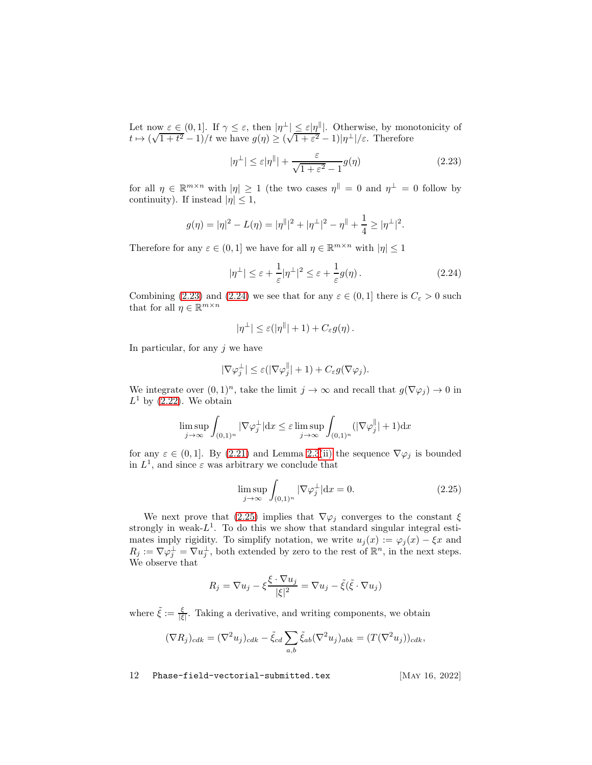Let now  $\varepsilon \in (0,1]$ . If  $\gamma \leq \varepsilon$ , then  $|\eta^{\perp}| \leq \varepsilon |\eta|$ . Otherwise, by monotonicity of  $t \mapsto (\sqrt{1+t^2}-1)/t$  we have  $g(\eta) \ge (\sqrt{1+\epsilon^2}-1)|\eta^{\perp}|/s$ . Therefore

<span id="page-11-0"></span>
$$
|\eta^{\perp}| \le \varepsilon |\eta^{\parallel}| + \frac{\varepsilon}{\sqrt{1 + \varepsilon^2} - 1} g(\eta)
$$
\n(2.23)

for all  $\eta \in \mathbb{R}^{m \times n}$  with  $|\eta| \geq 1$  (the two cases  $\eta^{\parallel} = 0$  and  $\eta^{\perp} = 0$  follow by continuity). If instead  $|\eta| \leq 1$ ,

$$
g(\eta) = |\eta|^2 - L(\eta) = |\eta^{\parallel}|^2 + |\eta^{\perp}|^2 - \eta^{\parallel} + \frac{1}{4} \geq |\eta^{\perp}|^2.
$$

Therefore for any  $\varepsilon \in (0,1]$  we have for all  $\eta \in \mathbb{R}^{m \times n}$  with  $|\eta| \leq 1$ 

<span id="page-11-1"></span>
$$
|\eta^{\perp}| \leq \varepsilon + \frac{1}{\varepsilon} |\eta^{\perp}|^2 \leq \varepsilon + \frac{1}{\varepsilon} g(\eta). \tag{2.24}
$$

Combining [\(2.23\)](#page-11-0) and [\(2.24\)](#page-11-1) we see that for any  $\varepsilon \in (0,1]$  there is  $C_{\varepsilon} > 0$  such that for all  $\eta \in \mathbb{R}^{m \times n}$ 

$$
|\eta^{\perp}| \leq \varepsilon(|\eta^{\parallel}| + 1) + C_{\varepsilon} g(\eta).
$$

In particular, for any  $j$  we have

$$
|\nabla \varphi_j^{\perp}| \leq \varepsilon (|\nabla \varphi_j^{\parallel}| + 1) + C_{\varepsilon} g(\nabla \varphi_j).
$$

We integrate over  $(0,1)^n$ , take the limit  $j \to \infty$  and recall that  $g(\nabla \varphi_j) \to 0$  in  $L^1$  by  $(2.22)$ . We obtain

$$
\limsup_{j \to \infty} \int_{(0,1)^n} |\nabla \varphi_j^{\perp}| dx \le \varepsilon \limsup_{j \to \infty} \int_{(0,1)^n} (|\nabla \varphi_j^{\parallel}| + 1) dx
$$

for any  $\varepsilon \in (0,1]$ . By [\(2.21\)](#page-10-0) and Lemma [2.3](#page-8-6)[\(ii\)](#page-8-4) the sequence  $\nabla \varphi_j$  is bounded in  $L^1$ , and since  $\varepsilon$  was arbitrary we conclude that

<span id="page-11-2"></span>
$$
\limsup_{j \to \infty} \int_{(0,1)^n} |\nabla \varphi_j^{\perp}| dx = 0.
$$
 (2.25)

We next prove that [\(2.25\)](#page-11-2) implies that  $\nabla \varphi_i$  converges to the constant  $\xi$ strongly in weak- $L^1$ . To do this we show that standard singular integral estimates imply rigidity. To simplify notation, we write  $u_j(x) := \varphi_j(x) - \xi x$  and  $R_j := \nabla \varphi_j^{\perp} = \nabla u_j^{\perp}$ , both extended by zero to the rest of  $\mathbb{R}^n$ , in the next steps. We observe that

$$
R_j = \nabla u_j - \xi \frac{\xi \cdot \nabla u_j}{|\xi|^2} = \nabla u_j - \tilde{\xi}(\tilde{\xi} \cdot \nabla u_j)
$$

where  $\tilde{\xi} := \frac{\xi}{|\xi|}$ . Taking a derivative, and writing components, we obtain

$$
(\nabla R_j)_{cdk} = (\nabla^2 u_j)_{cdk} - \tilde{\xi}_{cd} \sum_{a,b} \tilde{\xi}_{ab} (\nabla^2 u_j)_{abk} = (T(\nabla^2 u_j))_{cdk},
$$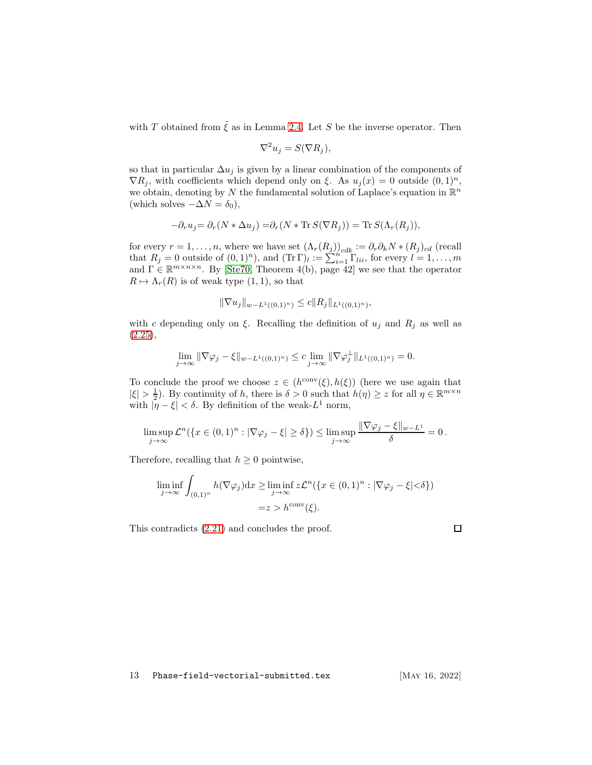with T obtained from  $\tilde{\xi}$  as in Lemma [2.4.](#page-9-4) Let S be the inverse operator. Then

$$
\nabla^2 u_j = S(\nabla R_j),
$$

so that in particular  $\Delta u_j$  is given by a linear combination of the components of  $\nabla R_j$ , with coefficients which depend only on  $\xi$ . As  $u_j(x) = 0$  outside  $(0, 1)^n$ , we obtain, denoting by N the fundamental solution of Laplace's equation in  $\mathbb{R}^n$ (which solves  $-\Delta N = \delta_0$ ),

$$
-\partial_r u_j = \partial_r (N * \Delta u_j) = \partial_r (N * \text{Tr} S(\nabla R_j)) = \text{Tr} S(\Lambda_r(R_j)),
$$

for every  $r = 1, \ldots, n$ , where we have set  $(\Lambda_r(R_j))_{cdk} := \partial_r \partial_k N * (R_j)_{cd}$  (recall that  $R_j = 0$  outside of  $(0,1)^n$ ), and  $(\text{Tr }\Gamma)_l := \sum_{i=1}^{n} \Gamma_{lii}$ , for every  $l = 1, \ldots, m$ and  $\Gamma \in \mathbb{R}^{m \times n \times n}$ . By [\[Ste70,](#page-60-5) Theorem 4(b), page 42] we see that the operator  $R \mapsto \Lambda_r(R)$  is of weak type  $(1, 1)$ , so that

$$
\|\nabla u_j\|_{w-L^1((0,1)^n)} \leq c \|R_j\|_{L^1((0,1)^n)},
$$

with c depending only on ξ. Recalling the definition of  $u_j$  and  $R_j$  as well as  $(2.25),$  $(2.25),$ 

$$
\lim_{j \to \infty} \|\nabla \varphi_j - \xi\|_{w - L^1((0,1)^n)} \leq c \lim_{j \to \infty} \|\nabla \varphi_j^{\perp}\|_{L^1((0,1)^n)} = 0.
$$

To conclude the proof we choose  $z \in (h^{\text{conv}}(\xi), h(\xi))$  (here we use again that  $|\xi| > \frac{1}{2}$ ). By continuity of h, there is  $\delta > 0$  such that  $h(\eta) \geq z$  for all  $\eta \in \mathbb{R}^{m \times n}$ with  $|\bar{\eta} - \xi| < \delta$ . By definition of the weak- $L^1$  norm,

$$
\limsup_{j \to \infty} \mathcal{L}^n(\{x \in (0,1)^n : |\nabla \varphi_j - \xi| \ge \delta\}) \le \limsup_{j \to \infty} \frac{\|\nabla \varphi_j - \xi\|_{w - L^1}}{\delta} = 0.
$$

Therefore, recalling that  $h \geq 0$  pointwise,

$$
\liminf_{j \to \infty} \int_{(0,1)^n} h(\nabla \varphi_j) dx \ge \liminf_{j \to \infty} z \mathcal{L}^n(\{x \in (0,1)^n : |\nabla \varphi_j - \xi| < \delta\})
$$
\n
$$
= z > h^{\text{conv}}(\xi).
$$

This contradicts [\(2.21\)](#page-10-0) and concludes the proof.

 $\Box$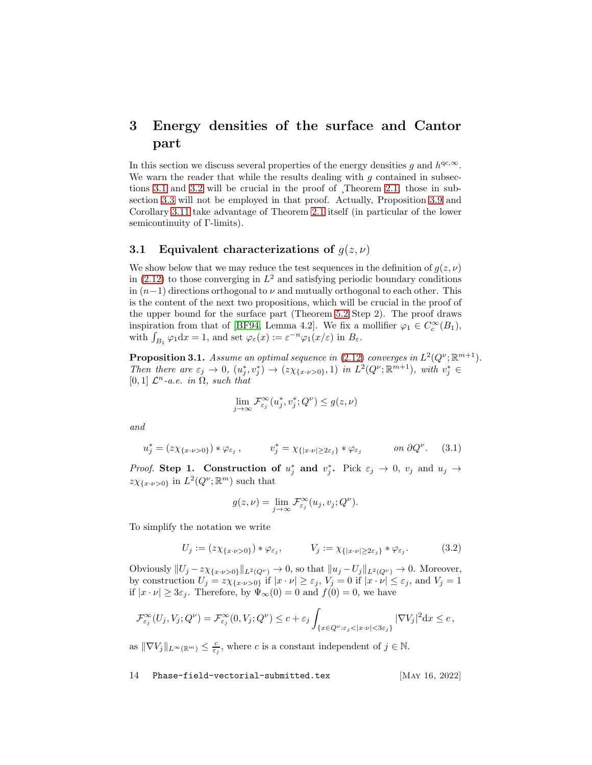# <span id="page-13-0"></span>3 Energy densities of the surface and Cantor part

In this section we discuss several properties of the energy densities g and  $h^{qc,\infty}$ . We warn the reader that while the results dealing with  $g$  contained in subsections [3.1](#page-13-1) and [3.2](#page-22-0) will be crucial in the proof of ¸Theorem [2.1,](#page-7-0) those in subsection [3.3](#page-25-0) will not be employed in that proof. Actually, Proposition [3.9](#page-25-1) and Corollary [3.11](#page-27-0) take advantage of Theorem [2.1](#page-7-0) itself (in particular of the lower semicontinuity of Γ-limits).

#### <span id="page-13-1"></span>3.1 Equivalent characterizations of  $g(z, \nu)$

We show below that we may reduce the test sequences in the definition of  $g(z, \nu)$ in [\(2.12\)](#page-7-1) to those converging in  $L^2$  and satisfying periodic boundary conditions in  $(n-1)$  directions orthogonal to  $\nu$  and mutually orthogonal to each other. This is the content of the next two propositions, which will be crucial in the proof of the upper bound for the surface part (Theorem [5.2](#page-46-0) Step 2). The proof draws inspiration from that of [\[BF94,](#page-56-12) Lemma 4.2]. We fix a mollifier  $\varphi_1 \in C_c^{\infty}(B_1)$ , with  $\int_{B_1} \varphi_1 dx = 1$ , and set  $\varphi_{\varepsilon}(x) := \varepsilon^{-n} \varphi_1(x/\varepsilon)$  in  $B_{\varepsilon}$ .

<span id="page-13-2"></span>**Proposition 3.1.** Assume an optimal sequence in [\(2.12\)](#page-7-1) converges in  $L^2(Q^{\nu}; \mathbb{R}^{m+1})$ . Then there are  $\varepsilon_j \to 0$ ,  $(u_j^*, v_j^*) \to (z\chi_{\{x\cdot\nu>0\}}, 1)$  in  $L^2(Q^\nu; \mathbb{R}^{m+1})$ , with  $v_j^* \in$ [0, 1]  $\mathcal{L}^n$ -a.e. in  $\Omega$ , such that

$$
\lim_{j \to \infty} \mathcal{F}^\infty_{\varepsilon_j}(u_j^*, v_j^*; Q^\nu) \le g(z, \nu)
$$

and

<span id="page-13-4"></span>
$$
u_j^* = (z\chi_{\{x \cdot \nu > 0\}}) * \varphi_{\varepsilon_j}, \qquad v_j^* = \chi_{\{|x \cdot \nu| \ge 2\varepsilon_j\}} * \varphi_{\varepsilon_j} \qquad on \ \partial Q^{\nu}.
$$
 (3.1)

*Proof.* Step 1. Construction of  $u_j^*$  and  $v_j^*$ . Pick  $\varepsilon_j \to 0$ ,  $v_j$  and  $u_j \to$  $z\chi_{\lbrace x\cdot\nu>0\rbrace}$  in  $L^2(Q^{\nu};\mathbb{R}^m)$  such that

$$
g(z,\nu) = \lim_{j \to \infty} \mathcal{F}_{\varepsilon_j}^{\infty}(u_j, v_j; Q^{\nu}).
$$

To simplify the notation we write

<span id="page-13-3"></span>
$$
U_j := (z\chi_{\{x \cdot \nu > 0\}}) * \varphi_{\varepsilon_j}, \qquad V_j := \chi_{\{|x \cdot \nu| \ge 2\varepsilon_j\}} * \varphi_{\varepsilon_j}.
$$
 (3.2)

Obviously  $||U_j - z\chi_{\{x\cdot\nu>0\}}||_{L^2(Q^\nu)} \to 0$ , so that  $||u_j - U_j||_{L^2(Q^\nu)} \to 0$ . Moreover, by construction  $U_j = z\chi_{\{x \cdot \nu > 0\}}$  if  $|x \cdot \nu| \geq \varepsilon_j$ ,  $V_j = 0$  if  $|x \cdot \nu| \leq \varepsilon_j$ , and  $V_j = 1$ if  $|x \cdot \nu| \geq 3\varepsilon_j$ . Therefore, by  $\Psi_{\infty}(0) = 0$  and  $f(0) = 0$ , we have

$$
\mathcal{F}_{\varepsilon_j}^{\infty}(U_j, V_j; Q^{\nu}) = \mathcal{F}_{\varepsilon_j}^{\infty}(0, V_j; Q^{\nu}) \le c + \varepsilon_j \int_{\{x \in Q^{\nu} : \varepsilon_j < |x \cdot \nu| < 3\varepsilon_j\}} |\nabla V_j|^2 \, dx \le c \,,
$$

as  $\|\nabla V_j\|_{L^{\infty}(\mathbb{R}^m)} \leq \frac{c}{\varepsilon_j}$ , where c is a constant independent of  $j \in \mathbb{N}$ .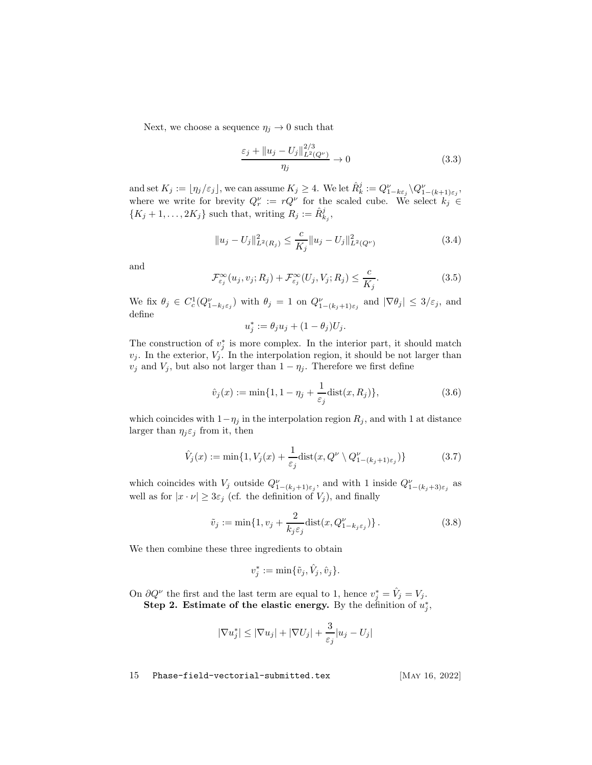Next, we choose a sequence  $\eta_j \to 0$  such that

<span id="page-14-2"></span>
$$
\frac{\varepsilon_j + \|u_j - U_j\|_{L^2(Q^\nu)}^{2/3}}{\eta_j} \to 0
$$
\n(3.3)

and set  $K_j := \lfloor \eta_j/\varepsilon_j \rfloor$ , we can assume  $K_j \geq 4$ . We let  $\hat{R}_k^j := Q_{1-k\varepsilon_j}^\nu \setminus Q_{1-(k+1)\varepsilon_j}^\nu$ , where we write for brevity  $Q_r^{\nu} := rQ^{\nu}$  for the scaled cube. We select  $k_j \in$  $\{K_j+1,\ldots,2K_j\}$  such that, writing  $R_j := \hat{R}_{k_j}^j$ ,

<span id="page-14-1"></span>
$$
||u_j - U_j||_{L^2(R_j)}^2 \le \frac{c}{K_j}||u_j - U_j||_{L^2(Q^\nu)}^2
$$
\n(3.4)

and

<span id="page-14-0"></span>
$$
\mathcal{F}_{\varepsilon_j}^{\infty}(u_j, v_j; R_j) + \mathcal{F}_{\varepsilon_j}^{\infty}(U_j, V_j; R_j) \le \frac{c}{K_j}.
$$
\n(3.5)

We fix  $\theta_j \in C_c^1(Q_{1-k_j\varepsilon_j}^\nu)$  with  $\theta_j = 1$  on  $Q_{1-(k_j+1)\varepsilon_j}^\nu$  and  $|\nabla \theta_j| \leq 3/\varepsilon_j$ , and define

$$
u_j^* := \theta_j u_j + (1 - \theta_j) U_j.
$$

The construction of  $v_j^*$  is more complex. In the interior part, it should match  $v_j$ . In the exterior,  $V_j$ . In the interpolation region, it should be not larger than  $v_j$  and  $V_j$ , but also not larger than  $1 - \eta_j$ . Therefore we first define

<span id="page-14-3"></span>
$$
\hat{v}_j(x) := \min\{1, 1 - \eta_j + \frac{1}{\varepsilon_j}\text{dist}(x, R_j)\},\tag{3.6}
$$

which coincides with  $1-\eta_j$  in the interpolation region  $R_j$ , and with 1 at distance larger than  $\eta_j \varepsilon_j$  from it, then

$$
\hat{V}_j(x) := \min\{1, V_j(x) + \frac{1}{\varepsilon_j} \text{dist}(x, Q^\nu \setminus Q^\nu_{1-(k_j+1)\varepsilon_j})\}\tag{3.7}
$$

which coincides with  $V_j$  outside  $Q_{1-(k_j+1)\varepsilon_j}^{\nu}$ , and with 1 inside  $Q_{1-(k_j+3)\varepsilon_j}^{\nu}$  as well as for  $|x \cdot \nu| \geq 3\varepsilon_j$  (cf. the definition of  $V_j$ ), and finally

$$
\tilde{v}_j := \min\{1, v_j + \frac{2}{k_j \varepsilon_j} \text{dist}(x, Q_{1-k_j \varepsilon_j}^\nu)\}.
$$
\n(3.8)

We then combine these three ingredients to obtain

$$
v_j^* := \min{\{\tilde{v}_j, \hat{V}_j, \hat{v}_j\}}.
$$

On  $\partial Q^{\nu}$  the first and the last term are equal to 1, hence  $v_j^* = \hat{V}_j = V_j$ . Step 2. Estimate of the elastic energy. By the definition of  $u_j^*$ ,

$$
|\nabla u_j^*| \le |\nabla u_j| + |\nabla U_j| + \frac{3}{\varepsilon_j}|u_j - U_j|
$$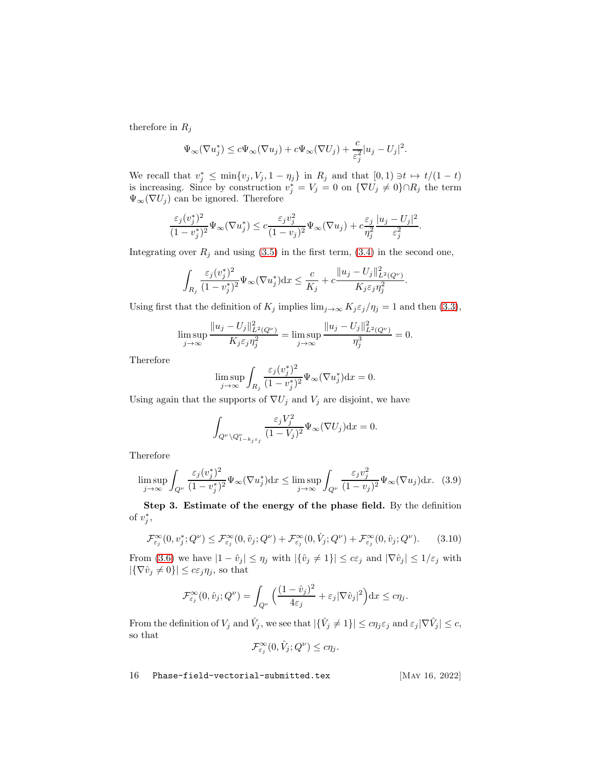therefore in  $R_j$ 

$$
\Psi_{\infty}(\nabla u_j^*) \leq c\Psi_{\infty}(\nabla u_j) + c\Psi_{\infty}(\nabla U_j) + \frac{c}{\varepsilon_j^2}|u_j - U_j|^2.
$$

We recall that  $v_j^* \leq \min\{v_j, V_j, 1 - \eta_j\}$  in  $R_j$  and that  $[0, 1) \ni t \mapsto t/(1-t)$ is increasing. Since by construction  $v_j^* = V_j = 0$  on  $\{\nabla U_j \neq 0\} \cap R_j$  the term  $\Psi_{\infty}(\nabla U_j)$  can be ignored. Therefore

$$
\frac{\varepsilon_j(v_j^*)^2}{(1-v_j^*)^2}\Psi_\infty(\nabla u_j^*) \le c\frac{\varepsilon_jv_j^2}{(1-v_j)^2}\Psi_\infty(\nabla u_j) + c\frac{\varepsilon_j}{\eta_j^2}\frac{|u_j-U_j|^2}{\varepsilon_j^2}.
$$

Integrating over  $R_j$  and using [\(3.5\)](#page-14-0) in the first term, [\(3.4\)](#page-14-1) in the second one,

$$
\int_{R_j} \frac{\varepsilon_j(v_j^*)^2}{(1-v_j^*)^2} \Psi_{\infty}(\nabla u_j^*) dx \le \frac{c}{K_j} + c \frac{\|u_j - U_j\|_{L^2(Q^{\nu})}^2}{K_j \varepsilon_j \eta_j^2}.
$$

Using first that the definition of  $K_j$  implies  $\lim_{j\to\infty} K_j \varepsilon_j/\eta_j = 1$  and then [\(3.3\)](#page-14-2),

$$
\limsup_{j \to \infty} \frac{\|u_j - U_j\|_{L^2(Q^{\nu})}^2}{K_j \varepsilon_j \eta_j^2} = \limsup_{j \to \infty} \frac{\|u_j - U_j\|_{L^2(Q^{\nu})}^2}{\eta_j^3} = 0.
$$

Therefore

$$
\limsup_{j \to \infty} \int_{R_j} \frac{\varepsilon_j(v_j^*)^2}{(1 - v_j^*)^2} \Psi_{\infty}(\nabla u_j^*) \mathrm{d} x = 0.
$$

Using again that the supports of  $\nabla U_j$  and  $V_j$  are disjoint, we have

$$
\int_{Q^{\nu}\backslash Q^{\nu}_{1-k_j\epsilon_j}}\frac{\varepsilon_jV_j^2}{(1-V_j)^2}\Psi_{\infty}(\nabla U_j)dx=0.
$$

Therefore

<span id="page-15-1"></span>
$$
\limsup_{j \to \infty} \int_{Q^{\nu}} \frac{\varepsilon_j(v_j^*)^2}{(1 - v_j^*)^2} \Psi_{\infty}(\nabla u_j^*) dx \le \limsup_{j \to \infty} \int_{Q^{\nu}} \frac{\varepsilon_j v_j^2}{(1 - v_j)^2} \Psi_{\infty}(\nabla u_j) dx. \tag{3.9}
$$

Step 3. Estimate of the energy of the phase field. By the definition of  $v_j^*$ ,

<span id="page-15-0"></span>
$$
\mathcal{F}_{\varepsilon_j}^{\infty}(0, v_j^*; Q^{\nu}) \le \mathcal{F}_{\varepsilon_j}^{\infty}(0, \tilde{v}_j; Q^{\nu}) + \mathcal{F}_{\varepsilon_j}^{\infty}(0, \hat{V}_j; Q^{\nu}) + \mathcal{F}_{\varepsilon_j}^{\infty}(0, \hat{v}_j; Q^{\nu}).
$$
 (3.10)

From [\(3.6\)](#page-14-3) we have  $|1 - \hat{v}_j| \le \eta_j$  with  $|\{\hat{v}_j \neq 1\}| \le c\varepsilon_j$  and  $|\nabla \hat{v}_j| \le 1/\varepsilon_j$  with  $|\{\nabla \hat{v}_j \neq 0\}| \leq c \varepsilon_j \eta_j$ , so that

$$
\mathcal{F}_{\varepsilon_j}^{\infty}(0, \hat{v}_j; Q^{\nu}) = \int_{Q^{\nu}} \Big( \frac{(1 - \hat{v}_j)^2}{4\varepsilon_j} + \varepsilon_j |\nabla \hat{v}_j|^2 \Big) dx \leq c \eta_j.
$$

From the definition of  $V_j$  and  $\hat{V}_j$ , we see that  $|\{\hat{V}_j \neq 1\}| \leq c\eta_j \varepsilon_j$  and  $\varepsilon_j |\nabla \hat{V}_j| \leq c$ , so that

$$
\mathcal{F}_{\varepsilon_j}^{\infty}(0, \hat{V}_j; Q^{\nu}) \le c\eta_j.
$$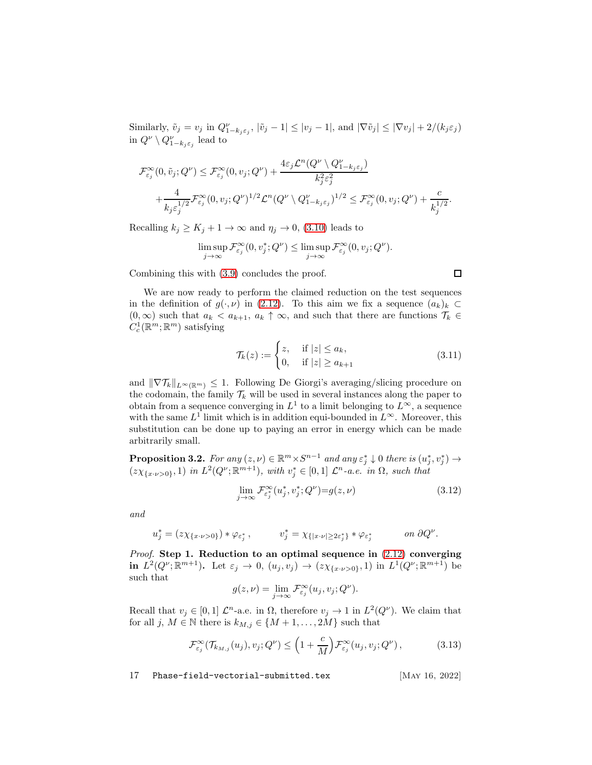Similarly,  $\tilde{v}_j = v_j$  in  $Q_{1-k_j \varepsilon_j}^{\nu}$ ,  $|\tilde{v}_j - 1| \leq |v_j - 1|$ , and  $|\nabla \tilde{v}_j| \leq |\nabla v_j| + 2/(k_j \varepsilon_j)$ in  $Q^{\nu} \setminus Q^{\nu}_{1-k_j \varepsilon_j}$  lead to

$$
\mathcal{F}_{\varepsilon_j}^{\infty}(0, \tilde{v}_j; Q^{\nu}) \leq \mathcal{F}_{\varepsilon_j}^{\infty}(0, v_j; Q^{\nu}) + \frac{4\varepsilon_j \mathcal{L}^n(Q^{\nu} \setminus Q^{\nu}_{1-k_j\varepsilon_j})}{k_j^2 \varepsilon_j^2} + \frac{4}{k_j \varepsilon_j^{1/2}} \mathcal{F}_{\varepsilon_j}^{\infty}(0, v_j; Q^{\nu})^{1/2} \mathcal{L}^n(Q^{\nu} \setminus Q^{\nu}_{1-k_j\varepsilon_j})^{1/2} \leq \mathcal{F}_{\varepsilon_j}^{\infty}(0, v_j; Q^{\nu}) + \frac{c}{k_j^{1/2}}.
$$

Recalling  $k_j \ge K_j + 1 \to \infty$  and  $\eta_j \to 0$ , [\(3.10\)](#page-15-0) leads to

$$
\limsup_{j \to \infty} \mathcal{F}^{\infty}_{\varepsilon_j}(0, v_j^*; Q^{\nu}) \le \limsup_{j \to \infty} \mathcal{F}^{\infty}_{\varepsilon_j}(0, v_j; Q^{\nu}).
$$

Combining this with [\(3.9\)](#page-15-1) concludes the proof.

We are now ready to perform the claimed reduction on the test sequences in the definition of  $g(\cdot,\nu)$  in [\(2.12\)](#page-7-1). To this aim we fix a sequence  $(a_k)_k \subset$  $(0, \infty)$  such that  $a_k < a_{k+1}$ ,  $a_k \uparrow \infty$ , and such that there are functions  $\mathcal{T}_k \in \mathcal{T}_k$  $C_c^1(\mathbb{R}^m;\mathbb{R}^m)$  satisfying

<span id="page-16-2"></span>
$$
\mathcal{T}_k(z) := \begin{cases} z, & \text{if } |z| \le a_k, \\ 0, & \text{if } |z| \ge a_{k+1} \end{cases}
$$
\n(3.11)

and  $\|\nabla \mathcal{T}_k\|_{L^{\infty}(\mathbb{R}^m)} \leq 1$ . Following De Giorgi's averaging/slicing procedure on the codomain, the family  $\mathcal{T}_k$  will be used in several instances along the paper to obtain from a sequence converging in  $L^1$  to a limit belonging to  $L^{\infty}$ , a sequence with the same  $L^1$  limit which is in addition equi-bounded in  $L^{\infty}$ . Moreover, this substitution can be done up to paying an error in energy which can be made arbitrarily small.

<span id="page-16-0"></span>**Proposition 3.2.** For any  $(z, \nu) \in \mathbb{R}^m \times S^{n-1}$  and any  $\varepsilon_j^* \downarrow 0$  there is  $(u_j^*, v_j^*) \rightarrow$  $(z\chi_{\lbrace x\cdot\nu>0\rbrace},1)$  in  $L^2(Q^{\nu};\mathbb{R}^{m+1}),$  with  $v_j^*\in[0,1]$   $\mathcal{L}^n$ -a.e. in  $\Omega$ , such that

$$
\lim_{j \to \infty} \mathcal{F}_{\varepsilon_j^*}^{\infty}(u_j^*, v_j^*; Q^{\nu}) = g(z, \nu) \tag{3.12}
$$

and

$$
u_j^* = (z\chi_{\{x \cdot \nu > 0\}}) * \varphi_{\varepsilon_j^*} , \qquad v_j^* = \chi_{\{|x \cdot \nu| \ge 2\varepsilon_j^*\}} * \varphi_{\varepsilon_j^*} \qquad on \ \partial Q^{\nu}.
$$

*Proof.* Step 1. Reduction to an optimal sequence in  $(2.12)$  converging in  $L^2(Q^{\nu}; \mathbb{R}^{m+1})$ . Let  $\varepsilon_j \to 0$ ,  $(u_j, v_j) \to (z\chi_{\{x \cdot \nu > 0\}}, 1)$  in  $L^1(Q^{\nu}; \mathbb{R}^{m+1})$  be such that

$$
g(z,\nu) = \lim_{j \to \infty} \mathcal{F}_{\varepsilon_j}^{\infty}(u_j, v_j; Q^{\nu}).
$$

Recall that  $v_j \in [0,1]$   $\mathcal{L}^n$ -a.e. in  $\Omega$ , therefore  $v_j \to 1$  in  $L^2(Q^{\nu})$ . We claim that for all j,  $M \in \mathbb{N}$  there is  $k_{M,j} \in \{M+1,\ldots,2M\}$  such that

<span id="page-16-1"></span>
$$
\mathcal{F}_{\varepsilon_j}^{\infty}(\mathcal{T}_{k_{M,j}}(u_j), v_j; Q^{\nu}) \le \left(1 + \frac{c}{M}\right) \mathcal{F}_{\varepsilon_j}^{\infty}(u_j, v_j; Q^{\nu}), \tag{3.13}
$$

17 Phase-field-vectorial-submitted.tex [May 16, 2022]

 $\Box$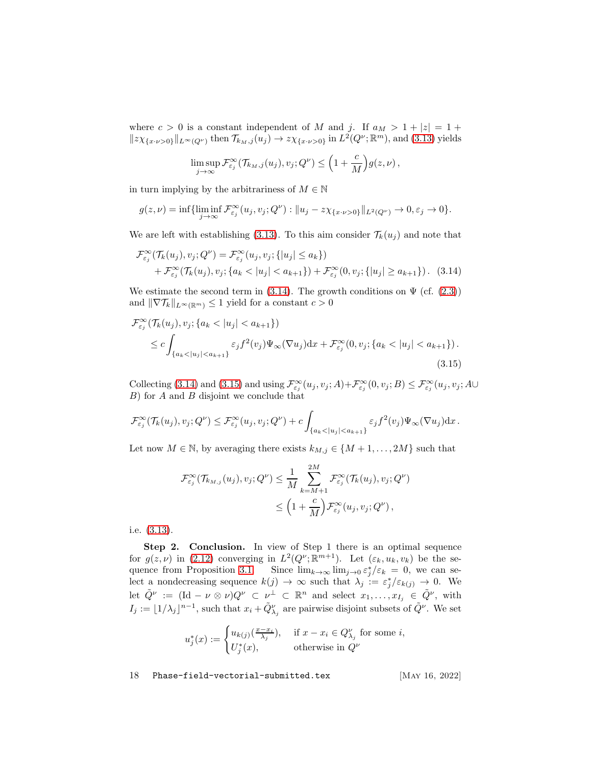where  $c > 0$  is a constant independent of M and j. If  $a_M > 1 + |z| = 1 +$  $||z\chi_{\{x\cdot\nu>0\}}||_{L^{\infty}(Q^{\nu})}$  then  $\mathcal{T}_{k_M,j}(u_j) \to z\chi_{\{x\cdot\nu>0\}}$  in  $L^2(Q^{\nu}; \mathbb{R}^m)$ , and [\(3.13\)](#page-16-1) yields

<span id="page-17-0"></span>
$$
\limsup_{j\to\infty}\mathcal{F}^\infty_{\varepsilon_j}(\mathcal{T}_{k_M,j}(u_j),v_j;Q^\nu)\leq \Big(1+\frac{c}{M}\Big)g(z,\nu)\,,
$$

in turn implying by the arbitrariness of  $M \in \mathbb{N}$ 

$$
g(z,\nu) = \inf \{ \liminf_{j \to \infty} \mathcal{F}_{\varepsilon_j}^{\infty}(u_j, v_j; Q^{\nu}) : ||u_j - z\chi_{\{x \cdot \nu > 0\}}||_{L^2(Q^{\nu})} \to 0, \varepsilon_j \to 0 \}.
$$

We are left with establishing [\(3.13\)](#page-16-1). To this aim consider  $\mathcal{T}_k(u_j)$  and note that

$$
\mathcal{F}_{\varepsilon_j}^{\infty}(\mathcal{T}_k(u_j), v_j; Q^{\nu}) = \mathcal{F}_{\varepsilon_j}^{\infty}(u_j, v_j; \{|u_j| \le a_k\})
$$
  
+ 
$$
\mathcal{F}_{\varepsilon_j}^{\infty}(\mathcal{T}_k(u_j), v_j; \{a_k < |u_j| < a_{k+1}\}) + \mathcal{F}_{\varepsilon_j}^{\infty}(0, v_j; \{|u_j| \ge a_{k+1}\}).
$$
 (3.14)

We estimate the second term in [\(3.14\)](#page-17-0). The growth conditions on  $\Psi$  (cf. [\(2.3\)](#page-5-3)) and  $\|\nabla \mathcal{T}_{k}\|_{L^{\infty}(\mathbb{R}^m)} \leq 1$  yield for a constant  $c > 0$ 

$$
\mathcal{F}_{\varepsilon_j}^{\infty}(\mathcal{T}_k(u_j), v_j; \{a_k < |u_j| < a_{k+1}\})
$$
\n
$$
\leq c \int_{\{a_k < |u_j| < a_{k+1}\}} \varepsilon_j f^2(v_j) \Psi_{\infty}(\nabla u_j) \, dx + \mathcal{F}_{\varepsilon_j}^{\infty}(0, v_j; \{a_k < |u_j| < a_{k+1}\}).
$$
\n(3.15)

Collecting [\(3.14\)](#page-17-0) and [\(3.15\)](#page-17-1) and using  $\mathcal{F}_{\varepsilon_j}^{\infty}(u_j, v_j; A) + \mathcal{F}_{\varepsilon_j}^{\infty}(0, v_j; B) \leq \mathcal{F}_{\varepsilon_j}^{\infty}(u_j, v_j; A \cup$  $B$ ) for  $A$  and  $B$  disjoint we conclude that

$$
\mathcal{F}_{\varepsilon_j}^{\infty}(\mathcal{T}_k(u_j), v_j; Q^{\nu}) \leq \mathcal{F}_{\varepsilon_j}^{\infty}(u_j, v_j; Q^{\nu}) + c \int_{\{a_k < |u_j| < a_{k+1}\}} \varepsilon_j f^2(v_j) \Psi_{\infty}(\nabla u_j) \mathrm{d}x.
$$

Let now  $M \in \mathbb{N}$ , by averaging there exists  $k_{M,j} \in \{M+1,\ldots,2M\}$  such that

<span id="page-17-1"></span>
$$
\mathcal{F}_{\varepsilon_j}^{\infty}(\mathcal{T}_{k_{M,j}}(u_j), v_j; Q^{\nu}) \leq \frac{1}{M} \sum_{k=M+1}^{2M} \mathcal{F}_{\varepsilon_j}^{\infty}(\mathcal{T}_k(u_j), v_j; Q^{\nu})
$$
  

$$
\leq \left(1 + \frac{c}{M}\right) \mathcal{F}_{\varepsilon_j}^{\infty}(u_j, v_j; Q^{\nu}),
$$

i.e. [\(3.13\)](#page-16-1).

Step 2. Conclusion. In view of Step 1 there is an optimal sequence for  $g(z,\nu)$  in [\(2.12\)](#page-7-1) converging in  $L^2(Q^{\nu};\mathbb{R}^{m+1})$ . Let  $(\varepsilon_k, u_k, v_k)$  be the se-quence from Proposition [3.1.](#page-13-2) Since  $\lim_{k\to\infty} \lim_{j\to 0} \varepsilon_j^* / \varepsilon_k = 0$ , we can select a nondecreasing sequence  $k(j) \to \infty$  such that  $\lambda_j := \varepsilon_j^* / \varepsilon_{k(j)} \to 0$ . We let  $\tilde{Q}^{\nu} := (\text{Id} - \nu \otimes \nu) Q^{\nu} \subset \nu^{\perp} \subset \mathbb{R}^{n}$  and select  $x_1, \ldots, x_{I_j} \in \tilde{Q}^{\nu}$ , with  $I_j := \lfloor 1/\lambda_j \rfloor^{n-1}$ , such that  $x_i + \tilde{Q}^{\nu}_{\lambda_j}$  are pairwise disjoint subsets of  $\tilde{Q}^{\nu}$ . We set

$$
u_j^*(x) := \begin{cases} u_{k(j)}(\frac{x-x_i}{\lambda_j}), & \text{if } x - x_i \in Q_{\lambda_j}^{\nu} \text{ for some } i, \\ U_j^*(x), & \text{otherwise in } Q^{\nu} \end{cases}
$$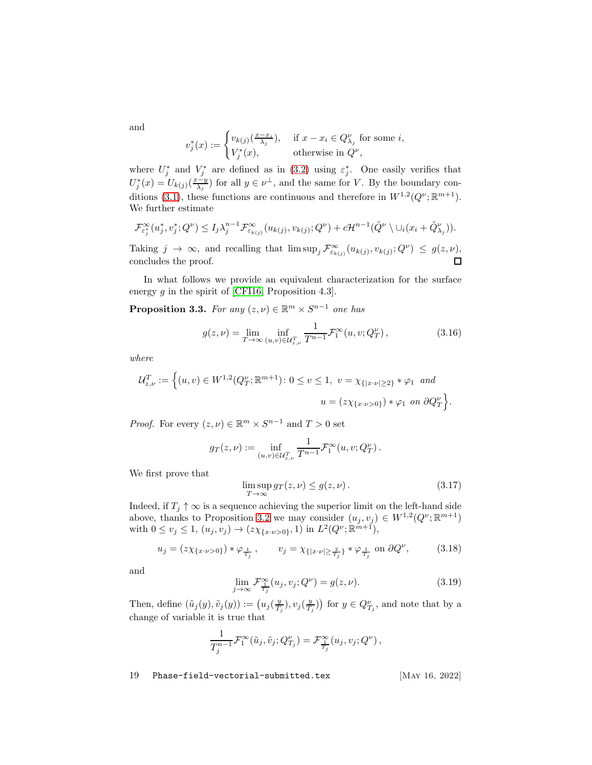and

$$
v_j^*(x) := \begin{cases} v_{k(j)}(\frac{x - x_i}{\lambda_j}), & \text{if } x - x_i \in Q_{\lambda_j}^{\nu} \text{ for some } i, \\ V_j^*(x), & \text{otherwise in } Q^{\nu}, \end{cases}
$$

where  $U_j^*$  and  $V_j^*$  are defined as in [\(3.2\)](#page-13-3) using  $\varepsilon_j^*$ . One easily verifies that  $U_j^*(x) = U_{k(j)}(\frac{x-y}{\lambda_j})$  for all  $y \in \nu^{\perp}$ , and the same for V. By the boundary con-ditions [\(3.1\)](#page-13-4), these functions are continuous and therefore in  $W^{1,2}(Q^{\nu}; \mathbb{R}^{m+1})$ . We further estimate

$$
\mathcal{F}_{\varepsilon_j^*}^{\infty}(u_j^*, v_j^*; Q^{\nu}) \leq I_j \lambda_j^{n-1} \mathcal{F}_{\varepsilon_{k(j)}}^{\infty}(u_{k(j)}, v_{k(j)}; Q^{\nu}) + c \mathcal{H}^{n-1}(\tilde{Q}^{\nu} \setminus \cup_i (x_i + \tilde{Q}_{\lambda_j}^{\nu})).
$$

Taking  $j \to \infty$ , and recalling that  $\limsup_j \mathcal{F}_{\varepsilon_{k}(j)}^{\infty}(u_{k(j)}, v_{k(j)}; Q^{\nu}) \leq g(z, \nu)$ , concludes the proof.

In what follows we provide an equivalent characterization for the surface energy  $g$  in the spirit of [\[CFI16,](#page-57-10) Proposition 4.3].

<span id="page-18-0"></span>**Proposition 3.3.** For any  $(z, \nu) \in \mathbb{R}^m \times S^{n-1}$  one has

<span id="page-18-4"></span>
$$
g(z,\nu) = \lim_{T \to \infty} \inf_{(u,v) \in \mathcal{U}_{z,\nu}^T} \frac{1}{T^{n-1}} \mathcal{F}_1^{\infty}(u,v;Q_T^{\nu}), \qquad (3.16)
$$

where

$$
\mathcal{U}_{z,\nu}^T := \left\{ (u,v) \in W^{1,2}(Q_T^{\nu}; \mathbb{R}^{m+1}) \colon 0 \le v \le 1, \ v = \chi_{\{|x \cdot \nu| \ge 2\}} * \varphi_1 \text{ and } \right.\n\left. u = (z\chi_{\{x \cdot \nu > 0\}}) * \varphi_1 \text{ on } \partial Q_T^{\nu} \right\}.
$$

*Proof.* For every  $(z, \nu) \in \mathbb{R}^m \times S^{n-1}$  and  $T > 0$  set

$$
g_T(z,\nu) := \inf_{(u,v) \in \mathcal{U}_{z,\nu}^T} \frac{1}{T^{n-1}} \mathcal{F}_1^{\infty}(u,v;Q_T^{\nu}).
$$

We first prove that

<span id="page-18-3"></span>
$$
\limsup_{T \to \infty} gr(z, \nu) \le g(z, \nu).
$$
\n(3.17)

Indeed, if  $T_i \uparrow \infty$  is a sequence achieving the superior limit on the left-hand side above, thanks to Proposition [3.2](#page-16-0) we may consider  $(u_j, v_j) \in W^{1,2}(Q^{\nu}; \mathbb{R}^{m+1})$ with  $0 \le v_j \le 1$ ,  $(u_j, v_j) \to (z\chi_{\{x \cdot \nu > 0\}}, 1)$  in  $L^2(Q^{\nu}; \mathbb{R}^{m+1})$ ,

<span id="page-18-1"></span>
$$
u_j = (z\chi_{\{x \cdot \nu > 0\}}) * \varphi_{\frac{1}{T_j}}, \qquad v_j = \chi_{\{|x \cdot \nu| \ge \frac{2}{T_j}\}} * \varphi_{\frac{1}{T_j}} \text{ on } \partial Q^{\nu}, \tag{3.18}
$$

and

<span id="page-18-2"></span>
$$
\lim_{j \to \infty} \mathcal{F}_{\frac{\tau}{T_j}}^{\infty}(u_j, v_j; Q^{\nu}) = g(z, \nu).
$$
\n(3.19)

Then, define  $(\tilde{u}_j(y), \tilde{v}_j(y)) := (u_j(\frac{y}{T_j}), v_j(\frac{y}{T_j}))$  for  $y \in Q_{T_j}^{\nu}$ , and note that by a change of variable it is true that

$$
\frac{1}{T_j^{n-1}}\mathcal{F}^\infty_1(\tilde u_j,\tilde v_j;Q_{T_j}^\nu)=\mathcal{F}^\infty_{\frac{1}{T_j}}(u_j,v_j;Q^\nu)\,,
$$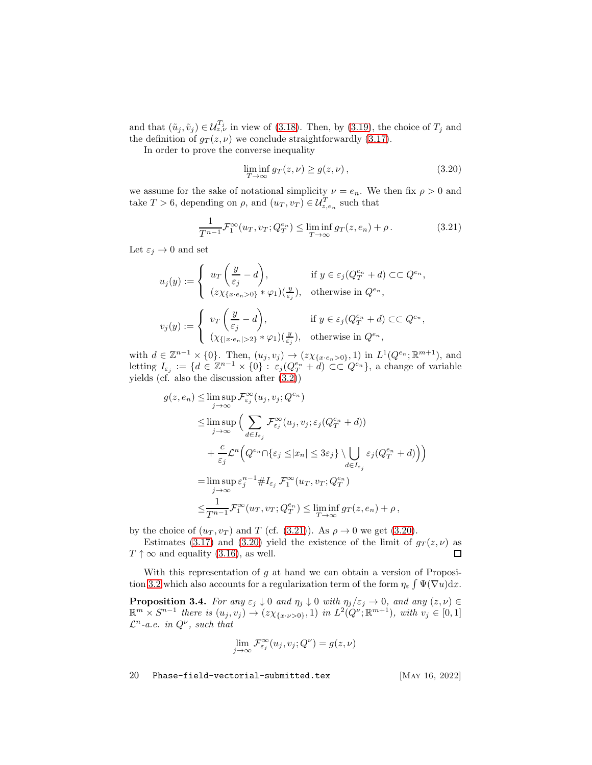and that  $(\tilde{u}_j, \tilde{v}_j) \in \mathcal{U}_{z,\nu}^{T_j}$  in view of [\(3.18\)](#page-18-1). Then, by [\(3.19\)](#page-18-2), the choice of  $T_j$  and the definition of  $g_T(z, \nu)$  we conclude straightforwardly [\(3.17\)](#page-18-3).

In order to prove the converse inequality

<span id="page-19-1"></span>
$$
\liminf_{T \to \infty} g_T(z, \nu) \ge g(z, \nu), \tag{3.20}
$$

we assume for the sake of notational simplicity  $\nu = e_n$ . We then fix  $\rho > 0$  and take  $T > 6$ , depending on  $\rho$ , and  $(u_T, v_T) \in \mathcal{U}_{z,e_n}^T$  such that

<span id="page-19-0"></span>
$$
\frac{1}{T^{n-1}}\mathcal{F}_1^{\infty}(u_T, v_T; Q_T^{e_n}) \le \liminf_{T \to \infty} g_T(z, e_n) + \rho.
$$
 (3.21)

Let  $\varepsilon_j \to 0$  and set

$$
u_j(y) := \begin{cases} u_T\left(\frac{y}{\varepsilon_j} - d\right), & \text{if } y \in \varepsilon_j(Q_T^{e_n} + d) \subset\subset Q^{e_n}, \\ (z\chi_{\{x \cdot e_n > 0\}} * \varphi_1)(\frac{y}{\varepsilon_j}), & \text{otherwise in } Q^{e_n}, \end{cases}
$$
  

$$
v_j(y) := \begin{cases} v_T\left(\frac{y}{\varepsilon_j} - d\right), & \text{if } y \in \varepsilon_j(Q_T^{e_n} + d) \subset\subset Q^{e_n}, \\ (\chi_{\{|x \cdot e_n| > 2\}} * \varphi_1)(\frac{y}{\varepsilon_j}), & \text{otherwise in } Q^{e_n}, \end{cases}
$$

with  $d \in \mathbb{Z}^{n-1} \times \{0\}$ . Then,  $(u_j, v_j) \to (z \chi_{\{x \cdot e_n > 0\}}, 1)$  in  $L^1(Q^{e_n}; \mathbb{R}^{m+1})$ , and letting  $I_{\varepsilon_j} := \{d \in \mathbb{Z}^{n-1} \times \{0\} : \varepsilon_j(Q_T^{e_n} + d) \subset\subset Q^{e_n}\}\,$ , a change of variable yields (cf. also the discussion after [\(3.2\)](#page-13-3))

$$
g(z, e_n) \leq \limsup_{j \to \infty} \mathcal{F}_{\varepsilon_j}^{\infty}(u_j, v_j; Q^{e_n})
$$
  
\n
$$
\leq \limsup_{j \to \infty} \Big( \sum_{d \in I_{\varepsilon_j}} \mathcal{F}_{\varepsilon_j}^{\infty}(u_j, v_j; \varepsilon_j(Q_T^{e_n} + d))
$$
  
\n
$$
+ \frac{c}{\varepsilon_j} \mathcal{L}^n \Big( Q^{e_n} \cap \{ \varepsilon_j \leq |x_n| \leq 3\varepsilon_j \} \setminus \bigcup_{d \in I_{\varepsilon_j}} \varepsilon_j(Q_T^{e_n} + d) \Big) \Big)
$$
  
\n
$$
= \limsup_{j \to \infty} \varepsilon_j^{n-1} \# I_{\varepsilon_j} \mathcal{F}_1^{\infty}(u_T, v_T; Q_T^{e_n})
$$
  
\n
$$
\leq \frac{1}{T^{n-1}} \mathcal{F}_1^{\infty}(u_T, v_T; Q_T^{e_n}) \leq \liminf_{T \to \infty} g_T(z, e_n) + \rho,
$$

by the choice of  $(u_T, v_T)$  and T (cf. [\(3.21\)](#page-19-0)). As  $\rho \to 0$  we get [\(3.20\)](#page-19-1).

Estimates [\(3.17\)](#page-18-3) and [\(3.20\)](#page-19-1) yield the existence of the limit of  $g_T(z, \nu)$  as  $T \uparrow \infty$  and equality [\(3.16\)](#page-18-4), as well.  $\Box$ 

With this representation of  $g$  at hand we can obtain a version of Proposi-tion [3.2](#page-16-0) which also accounts for a regularization term of the form  $\eta_{\varepsilon} \int \Psi(\nabla u) dx$ .

<span id="page-19-2"></span>**Proposition 3.4.** For any  $\varepsilon_j \downarrow 0$  and  $\eta_j \downarrow 0$  with  $\eta_j/\varepsilon_j \to 0$ , and any  $(z, \nu) \in \mathbb{R}^m \times S^{n-1}$  there is  $(u_j, v_j) \to (z\chi_{\{x \cdot \nu > 0\}}, 1)$  in  $L^2(Q^{\nu}; \mathbb{R}^{m+1})$ , with  $v_j \in [0, 1]$  $\mathcal{L}^n$ -a.e. in  $Q^{\nu}$ , such that

$$
\lim_{j \to \infty} \mathcal{F}_{\varepsilon_j}^{\infty}(u_j, v_j; Q^{\nu}) = g(z, \nu)
$$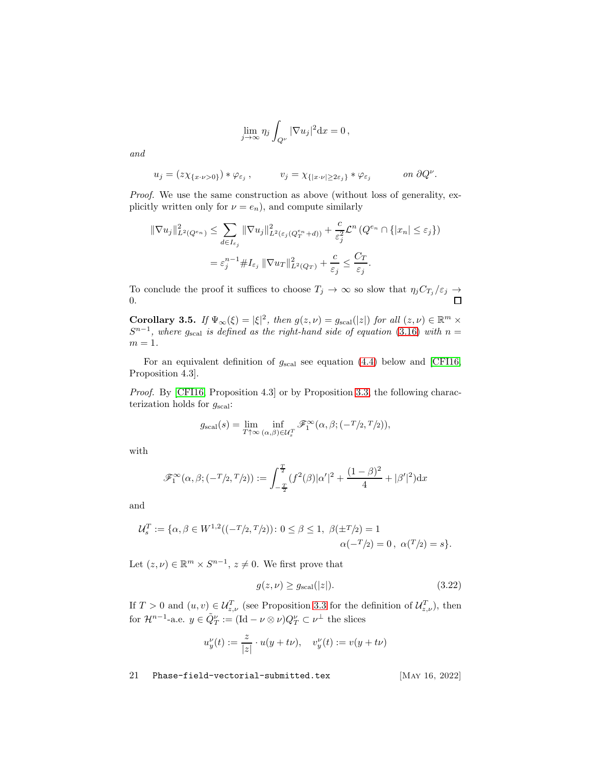$$
\lim_{j \to \infty} \eta_j \int_{Q^{\nu}} |\nabla u_j|^2 \mathrm{d} x = 0,
$$

and

$$
u_j = (z\chi_{\{x\cdot\nu>0\}})*\varphi_{\varepsilon_j}, \qquad v_j = \chi_{\{|x\cdot\nu|\geq 2\varepsilon_j\}}*\varphi_{\varepsilon_j} \qquad \text{on } \partial Q^{\nu}.
$$

Proof. We use the same construction as above (without loss of generality, explicitly written only for  $\nu = e_n$ ), and compute similarly

$$
\begin{aligned} \|\nabla u_j\|_{L^2(Q^{e_n})}^2 &\leq \sum_{d \in I_{\varepsilon_j}} \|\nabla u_j\|_{L^2(\varepsilon_j(Q^{e_n}_T + d))}^2 + \frac{c}{\varepsilon_j^2} \mathcal{L}^n\left(Q^{e_n} \cap \{|x_n| \leq \varepsilon_j\}\right) \\ &= \varepsilon_j^{n-1} \# I_{\varepsilon_j} \|\nabla u_T\|_{L^2(Q_T)}^2 + \frac{c}{\varepsilon_j} \leq \frac{C_T}{\varepsilon_j} .\end{aligned}
$$

To conclude the proof it suffices to choose  $T_j \to \infty$  so slow that  $\eta_j C_{T_j} / \varepsilon_j \to \square$ 0.

<span id="page-20-0"></span>Corollary 3.5. If  $\Psi_{\infty}(\xi) = |\xi|^2$ , then  $g(z, \nu) = g_{\text{scal}}(|z|)$  for all  $(z, \nu) \in \mathbb{R}^m \times$  $S^{n-1}$ , where  $g_{\text{scal}}$  is defined as the right-hand side of equation [\(3.16\)](#page-18-4) with  $n =$  $m=1$ .

For an equivalent definition of  $g_{\text{scal}}$  see equation [\(4.4\)](#page-29-2) below and [\[CFI16,](#page-57-10) Proposition 4.3].

Proof. By [\[CFI16,](#page-57-10) Proposition 4.3] or by Proposition [3.3,](#page-18-0) the following characterization holds for  $g_{\text{scal}}$ :

$$
g_{\text{scal}}(s) = \lim_{T \uparrow \infty} \inf_{(\alpha,\beta) \in \mathcal{U}_s^T} \mathscr{F}_1^{\infty}(\alpha,\beta;(-T/2,T/2)),
$$

with

$$
\mathscr{F}_1^{\infty}(\alpha,\beta;(-T/2,T/2)) := \int_{-\frac{T}{2}}^{\frac{T}{2}} (f^2(\beta)|\alpha'|^2 + \frac{(1-\beta)^2}{4} + |\beta'|^2) dx
$$

and

$$
\mathcal{U}_s^T := \{ \alpha, \beta \in W^{1,2}((-T/2, T/2)) \colon 0 \le \beta \le 1, \ \beta(\pm T/2) = 1
$$
  

$$
\alpha(-T/2) = 0, \ \alpha(T/2) = s \}.
$$

Let  $(z, \nu) \in \mathbb{R}^m \times S^{n-1}$ ,  $z \neq 0$ . We first prove that

<span id="page-20-1"></span>
$$
g(z,\nu) \ge g_{\text{scal}}(|z|). \tag{3.22}
$$

If  $T > 0$  and  $(u, v) \in \mathcal{U}_{z, \nu}^T$  (see Proposition [3.3](#page-18-0) for the definition of  $\mathcal{U}_{z, \nu}^T$ ), then for  $\mathcal{H}^{n-1}$ -a.e.  $y \in \tilde{Q}^{\nu}_{T} := (\text{Id} - \nu \otimes \nu) Q^{\nu}_{T} \subset \nu^{\perp}$  the slices

$$
u''_y(t) := \frac{z}{|z|} \cdot u(y + t\nu), \quad v''_y(t) := v(y + t\nu)
$$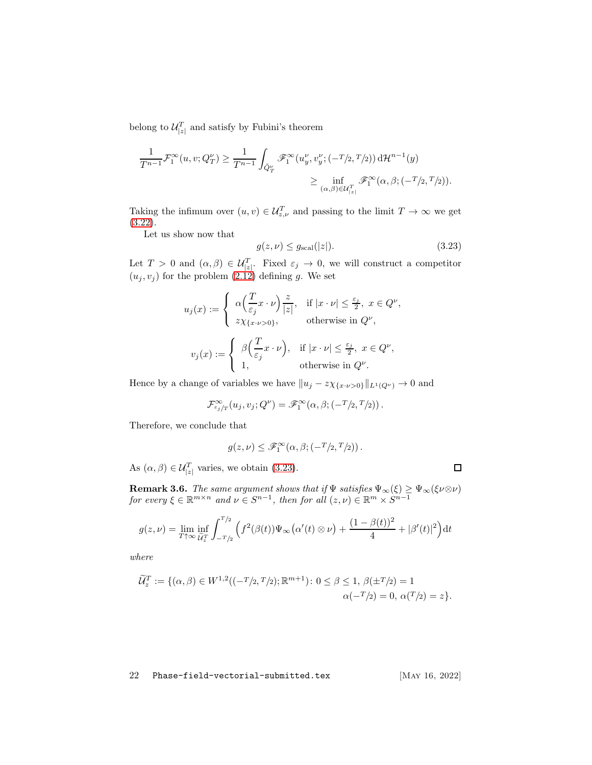belong to  $\mathcal{U}_{|z|}^T$  and satisfy by Fubini's theorem

$$
\frac{1}{T^{n-1}}\mathcal{F}_1^{\infty}(u,v;Q_T^{\nu}) \ge \frac{1}{T^{n-1}}\int_{\tilde{Q}_T^{\nu}} \mathscr{F}_1^{\infty}(u_y^{\nu},v_y^{\nu};(-T/2,T/2))\,\mathrm{d}\mathcal{H}^{n-1}(y) \ge \inf_{(\alpha,\beta)\in\mathcal{U}_{\lfloor z\rfloor}^T} \mathscr{F}_1^{\infty}(\alpha,\beta;(-T/2,T/2)).
$$

Taking the infimum over  $(u, v) \in \mathcal{U}_{z,\nu}^T$  and passing to the limit  $T \to \infty$  we get [\(3.22\)](#page-20-1).

Let us show now that

<span id="page-21-0"></span>
$$
g(z,\nu) \le g_{\text{scal}}(|z|). \tag{3.23}
$$

Let  $T > 0$  and  $(\alpha, \beta) \in \mathcal{U}_{|z|}^T$ . Fixed  $\varepsilon_j \to 0$ , we will construct a competitor  $(u_j, v_j)$  for the problem  $(2.12)$  defining g. We set

$$
\begin{aligned} u_j(x) &:= \left\{ \begin{array}{ll} \alpha\Big(\frac{T}{\varepsilon_j}x\cdot \nu\Big)\frac{z}{|z|}, & \text{if } |x\cdot \nu|\leq \frac{\varepsilon_j}{2},\; x\in Q^\nu, \\ z\chi_{\{x\cdot \nu>0\}}, & \text{otherwise in } Q^\nu, \end{array}\right.\\ v_j(x) &:= \left\{ \begin{array}{ll} \beta\Big(\frac{T}{\varepsilon_j}x\cdot \nu\Big), & \text{if } |x\cdot \nu|\leq \frac{\varepsilon_j}{2},\; x\in Q^\nu, \\ 1, & \text{otherwise in } Q^\nu. \end{array}\right. \end{aligned}
$$

Hence by a change of variables we have  $||u_j - z\chi_{\{x \cdot \nu > 0\}}||_{L^1(Q^{\nu})} \to 0$  and

$$
\mathcal{F}^{\infty}_{\varepsilon_j/T}(u_j,v_j;Q^{\nu})=\mathscr{F}^{\infty}_{1}(\alpha,\beta;(-^{T}/_{2},^{T}/_{2}))\,.
$$

Therefore, we conclude that

$$
g(z,\nu) \leq \mathscr{F}_1^{\infty}(\alpha,\beta;(-^T/2,T/2)).
$$

As  $(\alpha, \beta) \in \mathcal{U}_{|z|}^T$  varies, we obtain [\(3.23\)](#page-21-0).

**Remark 3.6.** The same argument shows that if  $\Psi$  satisfies  $\Psi_{\infty}(\xi) \ge \Psi_{\infty}(\xi \nu \otimes \nu)$ for every  $\xi \in \mathbb{R}^{m \times n}$  and  $\nu \in S^{n-1}$ , then for all  $(z, \nu) \in \mathbb{R}^m \times S^{n-1}$ 

$$
g(z,\nu) = \lim_{T \uparrow \infty} \inf_{\widetilde{U}_z^T} \int_{-T/2}^{T/2} \left( f^2(\beta(t)) \Psi_{\infty}(\alpha'(t) \otimes \nu) + \frac{(1-\beta(t))^2}{4} + |\beta'(t)|^2 \right) dt
$$

where

$$
\widetilde{\mathcal{U}}_z^T := \{ (\alpha, \beta) \in W^{1,2}((-T/2, T/2); \mathbb{R}^{m+1}) : 0 \le \beta \le 1, \, \beta(\pm T/2) = 1 \alpha(-T/2) = 0, \, \alpha(T/2) = z \}.
$$

22 Phase-field-vectorial-submitted.tex [MAY 16, 2022]

 $\Box$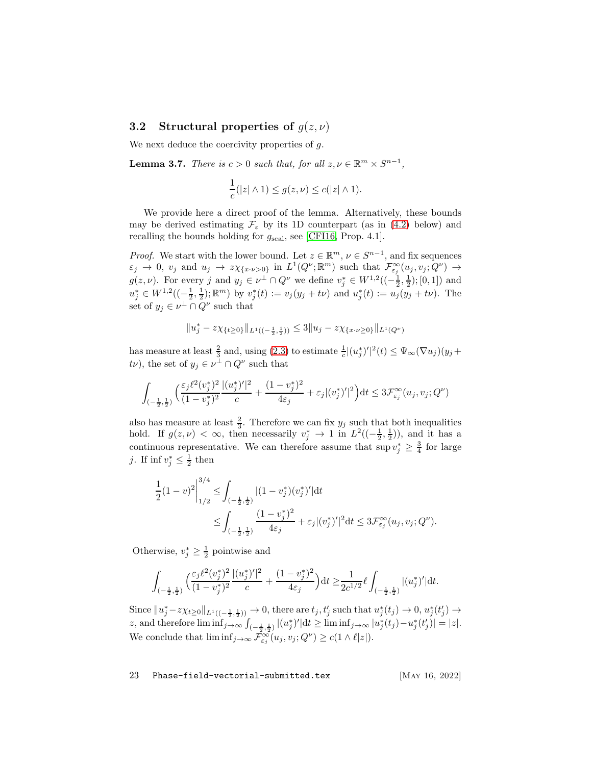### <span id="page-22-0"></span>3.2 Structural properties of  $g(z, \nu)$

We next deduce the coercivity properties of q.

<span id="page-22-1"></span>**Lemma 3.7.** There is  $c > 0$  such that, for all  $z, \nu \in \mathbb{R}^m \times S^{n-1}$ ,

$$
\frac{1}{c}(|z| \wedge 1) \le g(z,\nu) \le c(|z| \wedge 1).
$$

We provide here a direct proof of the lemma. Alternatively, these bounds may be derived estimating  $\mathcal{F}_{\varepsilon}$  by its 1D counterpart (as in [\(4.2\)](#page-29-3) below) and recalling the bounds holding for  $g_{\text{scal}}$ , see [\[CFI16,](#page-57-10) Prop. 4.1].

*Proof.* We start with the lower bound. Let  $z \in \mathbb{R}^m$ ,  $\nu \in S^{n-1}$ , and fix sequences  $\varepsilon_j \to 0$ ,  $v_j$  and  $u_j \to z \chi_{\{x \cdot \nu > 0\}}$  in  $L^1(Q^{\nu}; \mathbb{R}^m)$  such that  $\mathcal{F}^{\infty}_{\varepsilon_j}(u_j, v_j; Q^{\nu}) \to$  $g(z, \nu)$ . For every j and  $y_j \in \nu^{\perp} \cap Q^{\nu}$  we define  $v_j^* \in W^{1,2}((-\frac{1}{2}, \frac{1}{2}); [0, 1])$  and  $u_j^* \in W^{1,2}((-\frac{1}{2},\frac{1}{2});\mathbb{R}^m)$  by  $v_j^*(t) := v_j(y_j + t\nu)$  and  $u_j^*(t) := u_j(y_j + t\nu)$ . The set of  $y_j \in \nu^{\perp} \cap Q^{\nu}$  such that

$$
||u_j^* - z\chi_{\{t\geq 0\}}||_{L^1((-\frac{1}{2},\frac{1}{2}))} \leq 3||u_j - z\chi_{\{x \cdot \nu \geq 0\}}||_{L^1(Q^{\nu})}
$$

has measure at least  $\frac{2}{3}$  and, using [\(2.3\)](#page-5-3) to estimate  $\frac{1}{c} |(u_j^*)'|^2(t) \leq \Psi_{\infty}(\nabla u_j)(y_j +$  $t\nu$ , the set of  $y_j \in \nu^{\perp} \cap Q^{\nu}$  such that

$$
\int_{\left(-\frac{1}{2},\frac{1}{2}\right)} \left(\frac{\varepsilon_j \ell^2 (v_j^*)^2}{(1-v_j^*)^2} \frac{|(u_j^*)'|^2}{c} + \frac{(1-v_j^*)^2}{4\varepsilon_j} + \varepsilon_j |(v_j^*)'|^2\right) dt \leq 3 \mathcal{F}_{\varepsilon_j}^{\infty}(u_j, v_j; Q^{\nu})
$$

also has measure at least  $\frac{2}{3}$ . Therefore we can fix  $y_j$  such that both inequalities hold. If  $g(z, \nu) < \infty$ , then necessarily  $v_j^* \to 1$  in  $L^2((-\frac{1}{2}, \frac{1}{2}))$ , and it has a continuous representative. We can therefore assume that  $\sup v_j^* \geq \frac{3}{4}$  for large j. If  $\inf v_j^* \leq \frac{1}{2}$  then

$$
\begin{split} \frac{1}{2}(1-v)^2 \bigg|_{1/2}^{3/4} &\leq \int_{(-\frac{1}{2},\frac{1}{2})} |(1-v_j^*)(v_j^*)'| \mathrm{d} t \\ &\leq \int_{(-\frac{1}{2},\frac{1}{2})} \frac{(1-v_j^*)^2}{4\varepsilon_j} + \varepsilon_j |(v_j^*)'|^2 \mathrm{d} t \leq 3\mathcal{F}_{\varepsilon_j}^{\infty}(u_j,v_j;Q^{\nu}). \end{split}
$$

Otherwise,  $v_j^* \geq \frac{1}{2}$  pointwise and

$$
\int_{(-\frac{1}{2},\frac{1}{2})}\Big(\frac{\varepsilon_j \ell^2(v_j^*)^2}{(1-v_j^*)^2}\frac{|(u_j^*)'|^2}{c}+\frac{(1-v_j^*)^2}{4\varepsilon_j}\Big) \mathrm{d} t \geq \frac{1}{2c^{1/2}}\ell \int_{(-\frac{1}{2},\frac{1}{2})}|(u_j^*)'| \mathrm{d} t.
$$

Since  $||u_j^* - z\chi_{t\geq 0}||_{L^1((-\frac{1}{2},\frac{1}{2}))} \to 0$ , there are  $t_j, t'_j$  such that  $u_j^*(t_j) \to 0$ ,  $u_j^*(t'_j) \to$ z, and therefore  $\liminf_{j\to\infty} \int_{(-\frac{1}{2},\frac{1}{2})} |(u_j^*)'| dt \geq \liminf_{j\to\infty} |u_j^*(t_j) - u_j^*(t_j')| = |z|.$ We conclude that  $\liminf_{j\to\infty} \widetilde{\mathcal{F}^{\infty}_{\varepsilon_j}(u_j, v_j; Q^{\nu})} \geq c(1 \wedge \ell |z|).$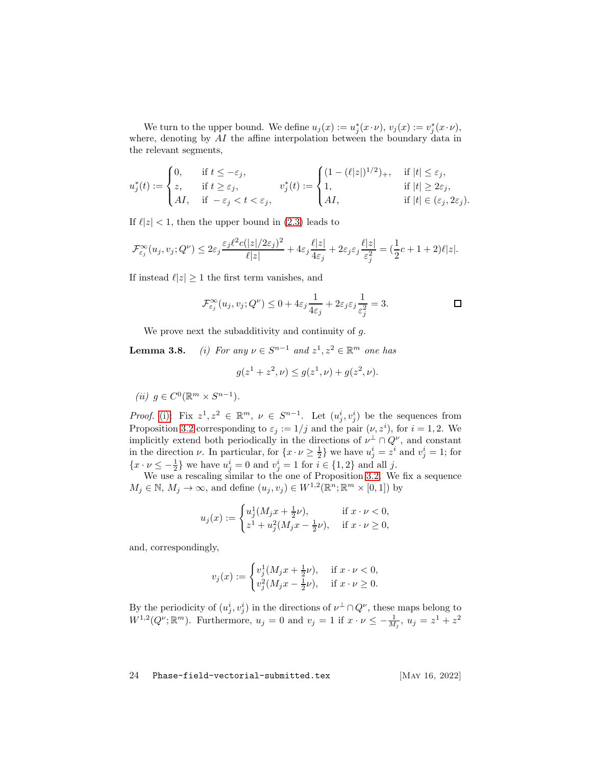We turn to the upper bound. We define  $u_j(x) := u_j^*(x \cdot \nu)$ ,  $v_j(x) := v_j^*(x \cdot \nu)$ , where, denoting by AI the affine interpolation between the boundary data in the relevant segments,

$$
u_j^*(t) := \begin{cases} 0, & \text{if } t \leq -\varepsilon_j, \\ z, & \text{if } t \geq \varepsilon_j, \\ A I, & \text{if } -\varepsilon_j < t < \varepsilon_j, \end{cases} \qquad v_j^*(t) := \begin{cases} (1-(\ell|z|)^{1/2})_+, & \text{if } |t| \leq \varepsilon_j, \\ 1, & \text{if } |t| \geq 2\varepsilon_j, \\ A I, & \text{if } |t| \in (\varepsilon_j, 2\varepsilon_j). \end{cases}
$$

If  $\ell |z| < 1$ , then the upper bound in [\(2.3\)](#page-5-3) leads to

$$
\mathcal{F}_{\varepsilon_j}^{\infty}(u_j, v_j; Q^{\nu}) \leq 2\varepsilon_j \frac{\varepsilon_j \ell^2 c(|z|/2\varepsilon_j)^2}{\ell |z|} + 4\varepsilon_j \frac{\ell |z|}{4\varepsilon_j} + 2\varepsilon_j \varepsilon_j \frac{\ell |z|}{\varepsilon_j^2} = (\frac{1}{2}c + 1 + 2)\ell |z|.
$$

If instead  $\ell |z| \geq 1$  the first term vanishes, and

$$
\mathcal{F}_{\varepsilon_j}^{\infty}(u_j, v_j; Q^{\nu}) \leq 0 + 4\varepsilon_j \frac{1}{4\varepsilon_j} + 2\varepsilon_j \varepsilon_j \frac{1}{\varepsilon_j^2} = 3.
$$

We prove next the subadditivity and continuity of g.

<span id="page-23-0"></span>**Lemma 3.8.** (i) For any  $\nu \in S^{n-1}$  and  $z^1, z^2 \in \mathbb{R}^m$  one has

$$
g(z^1 + z^2, \nu) \le g(z^1, \nu) + g(z^2, \nu).
$$

<span id="page-23-1"></span>
$$
(ii) \ g \in C^0(\mathbb{R}^m \times S^{n-1}).
$$

*Proof.* [\(i\):](#page-23-0) Fix  $z^1, z^2 \in \mathbb{R}^m$ ,  $\nu \in S^{n-1}$ . Let  $(u_j^i, v_j^i)$  be the sequences from Proposition [3.2](#page-16-0) corresponding to  $\varepsilon_j := 1/j$  and the pair  $(\nu, z^i)$ , for  $i = 1, 2$ . We implicitly extend both periodically in the directions of  $\nu^{\perp} \cap Q^{\nu}$ , and constant in the direction  $\nu$ . In particular, for  $\{x \cdot \nu \geq \frac{1}{2}\}\$  we have  $u_j^i = z^i$  and  $v_j^i = 1$ ; for  ${x \cdot \nu \le -\frac{1}{2}}$  we have  $u_j^i = 0$  and  $v_j^i = 1$  for  $i \in \{1, 2\}$  and all j.

We use a rescaling similar to the one of Proposition [3.2.](#page-16-0) We fix a sequence  $M_j \in \mathbb{N}, M_j \to \infty$ , and define  $(u_j, v_j) \in W^{1,2}(\mathbb{R}^n; \mathbb{R}^m \times [0,1])$  by

$$
u_j(x):=\begin{cases} u_j^1(M_jx+\frac{1}{2}\nu),&\text{if } x\cdot \nu<0,\\ z^1+u_j^2(M_jx-\frac{1}{2}\nu),&\text{if } x\cdot \nu\geq 0,\end{cases}
$$

and, correspondingly,

$$
v_j(x):=\begin{cases}v_j^1(M_jx+\frac{1}{2}\nu),&\text{ if } x\cdot\nu<0,\\v_j^2(M_jx-\frac{1}{2}\nu),&\text{ if } x\cdot\nu\geq0.\end{cases}
$$

By the periodicity of  $(u_j^i, v_j^i)$  in the directions of  $\nu^{\perp} \cap Q^{\nu}$ , these maps belong to  $W^{1,2}(Q^{\nu};\mathbb{R}^m)$ . Furthermore,  $u_j = 0$  and  $v_j = 1$  if  $x \cdot \nu \leq -\frac{1}{M_j}$ ,  $u_j = z^1 + z^2$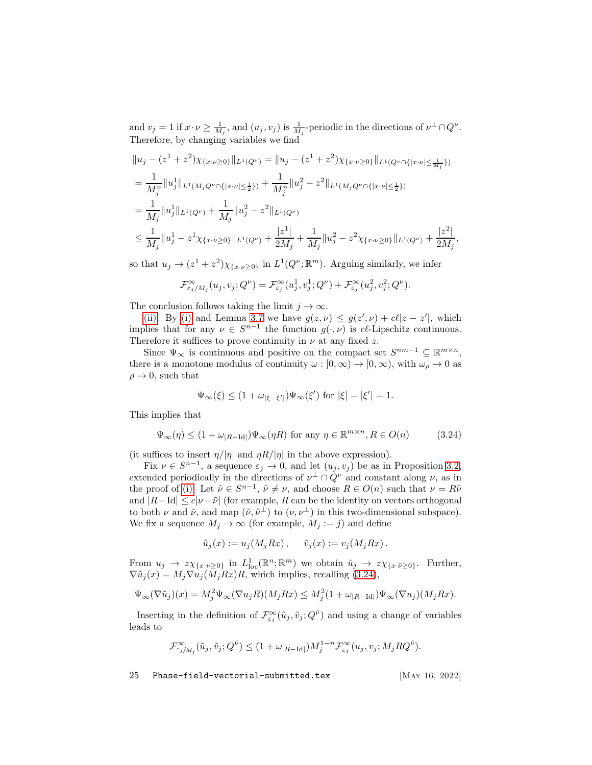and  $v_j = 1$  if  $x \cdot \nu \ge \frac{1}{M_j}$ , and  $(u_j, v_j)$  is  $\frac{1}{M_j}$ -periodic in the directions of  $\nu^{\perp} \cap Q^{\nu}$ . Therefore, by changing variables we find

$$
\|u_j - (z^1 + z^2)\chi_{\{x \cdot \nu \ge 0\}}\|_{L^1(Q^{\nu})} = \|u_j - (z^1 + z^2)\chi_{\{x \cdot \nu \ge 0\}}\|_{L^1(Q^{\nu} \cap \{|x \cdot \nu| \le \frac{1}{M_j}\})}
$$
  
\n
$$
= \frac{1}{M_j^n} \|u_j^1\|_{L^1(M_j Q^{\nu} \cap \{|x \cdot \nu| \le \frac{1}{2}\})} + \frac{1}{M_j^n} \|u_j^2 - z^2\|_{L^1(M_j Q^{\nu} \cap \{|x \cdot \nu| \le \frac{1}{2}\})}
$$
  
\n
$$
= \frac{1}{M_j} \|u_j^1\|_{L^1(Q^{\nu})} + \frac{1}{M_j} \|u_j^2 - z^2\|_{L^1(Q^{\nu})}
$$
  
\n
$$
\le \frac{1}{M_j} \|u_j^1 - z^1 \chi_{\{x \cdot \nu \ge 0\}}\|_{L^1(Q^{\nu})} + \frac{|z^1|}{2M_j} + \frac{1}{M_j} \|u_j^2 - z^2 \chi_{\{x \cdot \nu \ge 0\}}\|_{L^1(Q^{\nu})} + \frac{|z^2|}{2M_j},
$$

so that  $u_j \to (z^1 + z^2) \chi_{\{x \cdot \nu \geq 0\}}$  in  $L^1(Q^{\nu}; \mathbb{R}^m)$ . Arguing similarly, we infer

$$
\mathcal{F}_{\varepsilon_j/M_j}^{\infty}(u_j,v_j;Q^{\nu})=\mathcal{F}_{\varepsilon_j}^{\infty}(u_j^1,v_j^1;Q^{\nu})+\mathcal{F}_{\varepsilon_j}^{\infty}(u_j^2,v_j^2;Q^{\nu}).
$$

The conclusion follows taking the limit  $j \to \infty$ .

[\(ii\):](#page-23-1) By [\(i\)](#page-23-0) and Lemma [3.7](#page-22-1) we have  $g(z, \nu) \leq g(z', \nu) + c\ell |z - z'|$ , which implies that for any  $\nu \in S^{n-1}$  the function  $g(\cdot, \nu)$  is cl-Lipschitz continuous. Therefore it suffices to prove continuity in  $\nu$  at any fixed z.

Since  $\Psi_{\infty}$  is continuous and positive on the compact set  $S^{nm-1} \subseteq \mathbb{R}^{m \times n}$ , there is a monotone modulus of continuity  $\omega : [0, \infty) \to [0, \infty)$ , with  $\omega_{\rho} \to 0$  as  $\rho \rightarrow 0$ , such that

$$
\Psi_{\infty}(\xi) \le (1 + \omega_{|\xi - \xi'|}) \Psi_{\infty}(\xi') \text{ for } |\xi| = |\xi'| = 1.
$$

This implies that

<span id="page-24-0"></span>
$$
\Psi_{\infty}(\eta) \le (1 + \omega_{|R-\text{Id}|}) \Psi_{\infty}(\eta R) \text{ for any } \eta \in \mathbb{R}^{m \times n}, R \in O(n)
$$
 (3.24)

(it suffices to insert  $\eta/|\eta|$  and  $\eta R/|\eta|$  in the above expression).

Fix  $\nu \in S^{n-1}$ , a sequence  $\varepsilon_j \to 0$ , and let  $(u_j, v_j)$  be as in Proposition [3.2,](#page-16-0) extended periodically in the directions of  $\nu^{\perp} \cap Q^{\nu}$  and constant along  $\nu$ , as in the proof of [\(i\).](#page-23-0) Let  $\tilde{\nu} \in S^{n-1}$ ,  $\tilde{\nu} \neq \nu$ , and choose  $R \in O(n)$  such that  $\nu = R\tilde{\nu}$ and  $|R-\text{Id}| \leq c|\nu-\tilde{\nu}|$  (for example, R can be the identity on vectors orthogonal to both  $\nu$  and  $\tilde{\nu}$ , and map  $(\tilde{\nu}, \tilde{\nu}^{\perp})$  to  $(\nu, \nu^{\perp})$  in this two-dimensional subspace). We fix a sequence  $M_j \to \infty$  (for example,  $M_j := j$ ) and define

$$
\tilde{u}_j(x) := u_j(M_jRx), \quad \tilde{v}_j(x) := v_j(M_jRx).
$$

From  $u_j \to z\chi_{\{x\cdot\nu\geq 0\}}$  in  $L^1_{\text{loc}}(\mathbb{R}^n;\mathbb{R}^m)$  we obtain  $\tilde{u}_j \to z\chi_{\{x\cdot\tilde{\nu}\geq 0\}}$ . Further,  $\nabla \tilde{u}_i(x) = M_i \nabla \tilde{u}_i(\overline{M}_iRx)R$ , which implies, recalling [\(3.24\)](#page-24-0),

$$
\Psi_{\infty}(\nabla \tilde{u}_j)(x) = M_j^2 \Psi_{\infty}(\nabla u_j R)(M_j R x) \le M_j^2 (1 + \omega_{|R - \text{Id}|}) \Psi_{\infty}(\nabla u_j)(M_j R x).
$$

Inserting in the definition of  $\mathcal{F}^{\infty}_{\varepsilon_j}(\tilde{u}_j, \tilde{v}_j; Q^{\tilde{\nu}})$  and using a change of variables leads to

$$
\mathcal{F}^{\infty}_{\varepsilon_j/M_j}(\tilde{u}_j, \tilde{v}_j; Q^{\tilde{\nu}}) \leq (1 + \omega_{|R - \text{Id}|}) M_j^{1-n} \mathcal{F}^{\infty}_{\varepsilon_j}(u_j, v_j; M_j R Q^{\tilde{\nu}}).
$$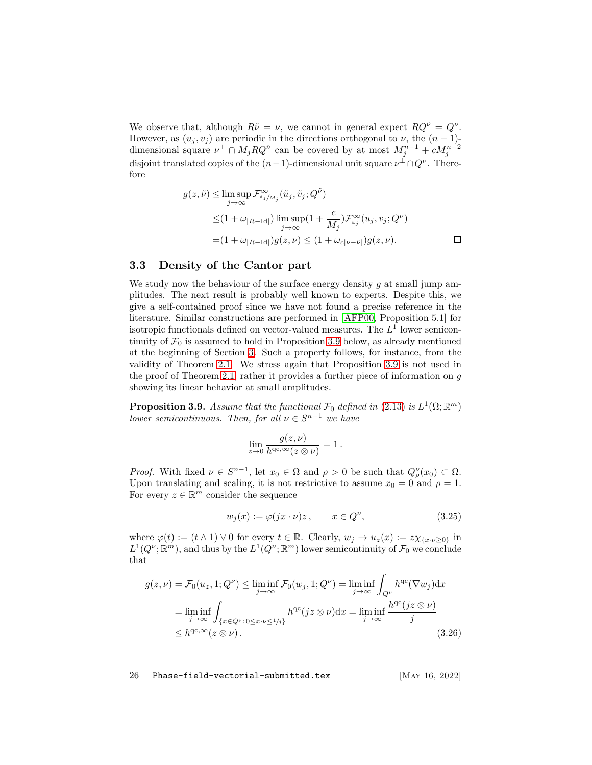We observe that, although  $R\tilde{\nu} = \nu$ , we cannot in general expect  $RQ^{\tilde{\nu}} = Q^{\nu}$ . However, as  $(u_i, v_i)$  are periodic in the directions orthogonal to  $\nu$ , the  $(n - 1)$ dimensional square  $\nu^{\perp} \cap M_j R Q^{\tilde{\nu}}$  can be covered by at most  $M_j^{n-1} + c M_j^{n-2}$ disjoint translated copies of the  $(n-1)$ -dimensional unit square  $\nu^{\perp} \cap Q^{\nu}$ . Therefore

$$
g(z, \tilde{\nu}) \leq \limsup_{j \to \infty} \mathcal{F}_{\varepsilon_j/M_j}^{\infty}(\tilde{u}_j, \tilde{v}_j; Q^{\tilde{\nu}})
$$
  

$$
\leq (1 + \omega_{|R - \text{Id}|}) \limsup_{j \to \infty} (1 + \frac{c}{M_j}) \mathcal{F}_{\varepsilon_j}^{\infty}(u_j, v_j; Q^{\nu})
$$
  

$$
= (1 + \omega_{|R - \text{Id}|}) g(z, \nu) \leq (1 + \omega_{c|\nu - \tilde{\nu}|}) g(z, \nu).
$$

### <span id="page-25-0"></span>3.3 Density of the Cantor part

We study now the behaviour of the surface energy density  $g$  at small jump amplitudes. The next result is probably well known to experts. Despite this, we give a self-contained proof since we have not found a precise reference in the literature. Similar constructions are performed in [\[AFP00,](#page-55-2) Proposition 5.1] for isotropic functionals defined on vector-valued measures. The  $L^1$  lower semicontinuity of  $\mathcal{F}_0$  is assumed to hold in Proposition [3.9](#page-25-1) below, as already mentioned at the beginning of Section [3.](#page-13-0) Such a property follows, for instance, from the validity of Theorem [2.1.](#page-7-0) We stress again that Proposition [3.9](#page-25-1) is not used in the proof of Theorem [2.1,](#page-7-0) rather it provides a further piece of information on  $g$ showing its linear behavior at small amplitudes.

<span id="page-25-1"></span>**Proposition 3.9.** Assume that the functional  $\mathcal{F}_0$  defined in [\(2.13\)](#page-7-2) is  $L^1(\Omega;\mathbb{R}^m)$ lower semicontinuous. Then, for all  $\nu \in S^{n-1}$  we have

$$
\lim_{z \to 0} \frac{g(z,\nu)}{h^{\text{qc},\infty}(z \otimes \nu)} = 1.
$$

Proof. With fixed  $\nu \in S^{n-1}$ , let  $x_0 \in \Omega$  and  $\rho > 0$  be such that  $Q_{\rho}^{\nu}(x_0) \subset \Omega$ . Upon translating and scaling, it is not restrictive to assume  $x_0 = 0$  and  $\rho = 1$ . For every  $z \in \mathbb{R}^m$  consider the sequence

<span id="page-25-2"></span>
$$
w_j(x) := \varphi(jx \cdot \nu)z, \qquad x \in Q^{\nu}, \tag{3.25}
$$

where  $\varphi(t) := (t \wedge 1) \vee 0$  for every  $t \in \mathbb{R}$ . Clearly,  $w_j \to u_z(x) := z \chi_{\{x \cdot \nu \geq 0\}}$  in  $L^1(Q^\nu; \mathbb{R}^m)$ , and thus by the  $L^1(Q^\nu; \mathbb{R}^m)$  lower semicontinuity of  $\mathcal{F}_0$  we conclude that

$$
g(z,\nu) = \mathcal{F}_0(u_z, 1; Q^{\nu}) \le \liminf_{j \to \infty} \mathcal{F}_0(w_j, 1; Q^{\nu}) = \liminf_{j \to \infty} \int_{Q^{\nu}} h^{qc}(\nabla w_j) dx
$$
  
\n
$$
= \liminf_{j \to \infty} \int_{\{x \in Q^{\nu} : 0 \le x \cdot \nu \le 1/j\}} h^{qc}(jz \otimes \nu) dx = \liminf_{j \to \infty} \frac{h^{qc}(jz \otimes \nu)}{j}
$$
  
\n
$$
\le h^{qc, \infty}(z \otimes \nu).
$$
 (3.26)

<span id="page-25-3"></span>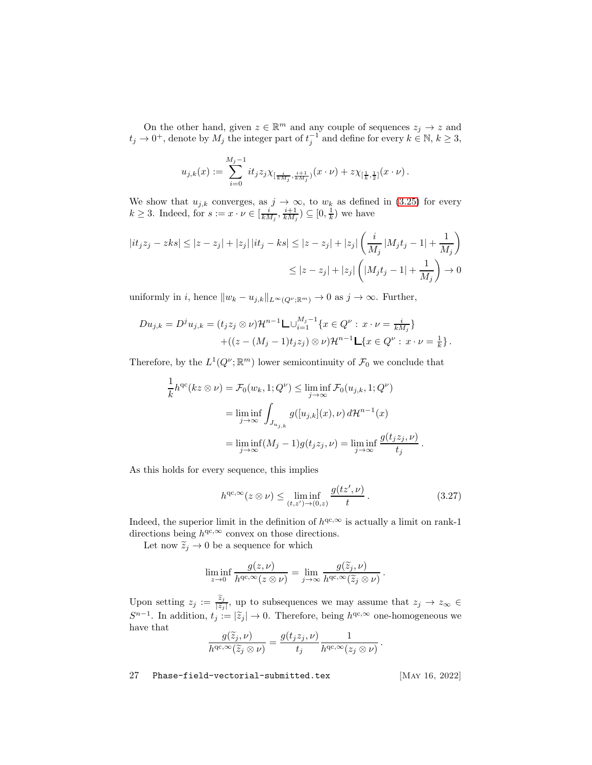On the other hand, given  $z \in \mathbb{R}^m$  and any couple of sequences  $z_j \to z$  and  $t_j \to 0^+$ , denote by  $M_j$  the integer part of  $t_j^{-1}$  and define for every  $k \in \mathbb{N}$ ,  $k \geq 3$ ,

$$
u_{j,k}(x) := \sum_{i=0}^{M_j-1} it_j z_j \chi_{[\frac{i}{kM_j},\frac{i+1}{kM_j}]}(x \cdot \nu) + z \chi_{[\frac{1}{k},\frac{1}{2}]}(x \cdot \nu).
$$

We show that  $u_{j,k}$  converges, as  $j \to \infty$ , to  $w_k$  as defined in [\(3.25\)](#page-25-2) for every  $k \geq 3$ . Indeed, for  $s := x \cdot \nu \in [\frac{i}{kM_j}, \frac{i+1}{kM_j}) \subseteq [0, \frac{1}{k})$  we have

$$
|it_j z_j - z k s| \le |z - z_j| + |z_j| \, |it_j - k s| \le |z - z_j| + |z_j| \left( \frac{i}{M_j} \, |M_j t_j - 1| + \frac{1}{M_j} \right)
$$
  

$$
\le |z - z_j| + |z_j| \left( |M_j t_j - 1| + \frac{1}{M_j} \right) \to 0
$$

uniformly in i, hence  $||w_k - u_{j,k}||_{L^\infty(Q^\nu; \mathbb{R}^m)} \to 0$  as  $j \to \infty$ . Further,

$$
Du_{j,k} = D^j u_{j,k} = (t_j z_j \otimes \nu) \mathcal{H}^{n-1} \mathsf{L} \cup_{i=1}^{M_j-1} \{x \in Q^{\nu} : x \cdot \nu = \frac{i}{k M_j} \} + ((z - (M_j - 1)t_j z_j) \otimes \nu) \mathcal{H}^{n-1} \mathsf{L} \{x \in Q^{\nu} : x \cdot \nu = \frac{1}{k} \}.
$$

Therefore, by the  $L^1(Q^{\nu}; \mathbb{R}^m)$  lower semicontinuity of  $\mathcal{F}_0$  we conclude that

$$
\frac{1}{k}h^{qc}(kz \otimes \nu) = \mathcal{F}_0(w_k, 1; Q^{\nu}) \le \liminf_{j \to \infty} \mathcal{F}_0(u_{j,k}, 1; Q^{\nu})
$$

$$
= \liminf_{j \to \infty} \int_{J_{u_{j,k}}} g([u_{j,k}](x), \nu) d\mathcal{H}^{n-1}(x)
$$

$$
= \liminf_{j \to \infty} (M_j - 1)g(t_j z_j, \nu) = \liminf_{j \to \infty} \frac{g(t_j z_j, \nu)}{t_j}.
$$

As this holds for every sequence, this implies

<span id="page-26-0"></span>
$$
h^{\mathrm{qc}, \infty}(z \otimes \nu) \le \liminf_{(t, z') \to (0, z)} \frac{g(tz', \nu)}{t}.
$$
\n(3.27)

Indeed, the superior limit in the definition of  $h^{qc,\infty}$  is actually a limit on rank-1 directions being  $h^{qc,\infty}$  convex on those directions.

Let now  $\widetilde{z}_j \to 0$  be a sequence for which

$$
\liminf_{z \to 0} \frac{g(z, \nu)}{h^{\text{qc}, \infty}(z \otimes \nu)} = \lim_{j \to \infty} \frac{g(\widetilde{z}_j, \nu)}{h^{\text{qc}, \infty}(\widetilde{z}_j \otimes \nu)}.
$$

Upon setting  $z_j := \frac{\tilde{z}_j}{|\tilde{z}_j|}$  $\frac{z_j}{|\widetilde{z}_j|}$ , up to subsequences we may assume that  $z_j \to z_{\infty} \in$  $S^{n-1}$ . In addition,  $t_j := |\tilde{z}_j| \to 0$ . Therefore, being  $h^{qc, \infty}$  one-homogeneous we have that

$$
\frac{g(\widetilde{z}_j,\nu)}{h^{\mathrm{qc},\infty}(\widetilde{z}_j\otimes \nu)}=\frac{g(t_jz_j,\nu)}{t_j}\frac{1}{h^{\mathrm{qc},\infty}(z_j\otimes \nu)}.
$$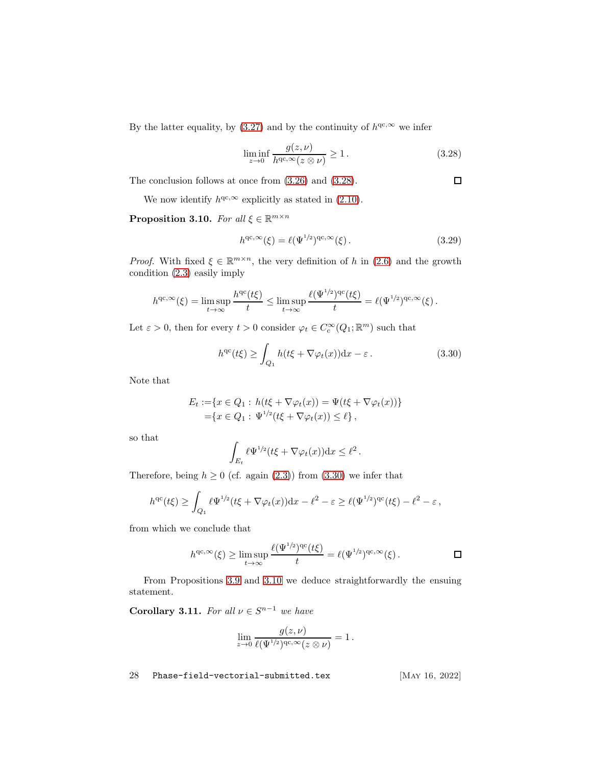By the latter equality, by [\(3.27\)](#page-26-0) and by the continuity of  $h^{qc,\infty}$  we infer

<span id="page-27-2"></span>
$$
\liminf_{z \to 0} \frac{g(z, \nu)}{h^{\text{qc}, \infty}(z \otimes \nu)} \ge 1.
$$
\n(3.28)

 $\Box$ 

The conclusion follows at once from [\(3.26\)](#page-25-3) and [\(3.28\)](#page-27-2).

We now identify  $h^{qc,\infty}$  explicitly as stated in [\(2.10\)](#page-6-4).

<span id="page-27-1"></span>**Proposition 3.10.** For all  $\xi \in \mathbb{R}^{m \times n}$ 

$$
h^{\mathrm{qc}, \infty}(\xi) = \ell(\Psi^{1/2})^{\mathrm{qc}, \infty}(\xi).
$$
\n(3.29)

*Proof.* With fixed  $\xi \in \mathbb{R}^{m \times n}$ , the very definition of h in [\(2.6\)](#page-6-3) and the growth condition [\(2.3\)](#page-5-3) easily imply

$$
h^{\mathrm{qc},\infty}(\xi) = \limsup_{t \to \infty} \frac{h^{\mathrm{qc}}(t\xi)}{t} \leq \limsup_{t \to \infty} \frac{\ell(\Psi^{1/2})^{\mathrm{qc}}(t\xi)}{t} = \ell(\Psi^{1/2})^{\mathrm{qc},\infty}(\xi).
$$

Let  $\varepsilon > 0$ , then for every  $t > 0$  consider  $\varphi_t \in C_c^{\infty}(Q_1; \mathbb{R}^m)$  such that

<span id="page-27-3"></span>
$$
h^{qc}(t\xi) \ge \int_{Q_1} h(t\xi + \nabla \varphi_t(x)) dx - \varepsilon.
$$
 (3.30)

Note that

$$
E_t := \{ x \in Q_1 : h(t\xi + \nabla \varphi_t(x)) = \Psi(t\xi + \nabla \varphi_t(x)) \}
$$
  
=  $\{ x \in Q_1 : \Psi^{1/2}(t\xi + \nabla \varphi_t(x)) \le \ell \},$ 

so that

$$
\int_{E_t} \ell \Psi^{1/2}(t\xi + \nabla \varphi_t(x)) \mathrm{d} x \leq \ell^2.
$$

Therefore, being  $h \ge 0$  (cf. again [\(2.3\)](#page-5-3)) from [\(3.30\)](#page-27-3) we infer that

$$
h^{qc}(t\xi) \geq \int_{Q_1} \ell \Psi^{1/2}(t\xi + \nabla \varphi_t(x)) dx - \ell^2 - \varepsilon \geq \ell(\Psi^{1/2})^{qc}(t\xi) - \ell^2 - \varepsilon,
$$

from which we conclude that

$$
h^{\mathrm{qc}, \infty}(\xi) \ge \limsup_{t \to \infty} \frac{\ell(\Psi^{1/2})^{\mathrm{qc}}(t\xi)}{t} = \ell(\Psi^{1/2})^{\mathrm{qc}, \infty}(\xi).
$$

From Propositions [3.9](#page-25-1) and [3.10](#page-27-1) we deduce straightforwardly the ensuing statement.

<span id="page-27-0"></span>**Corollary 3.11.** For all  $\nu \in S^{n-1}$  we have

$$
\lim_{z \to 0} \frac{g(z,\nu)}{\ell(\Psi^{1/2})^{\mathrm{qc},\infty}(z \otimes \nu)} = 1.
$$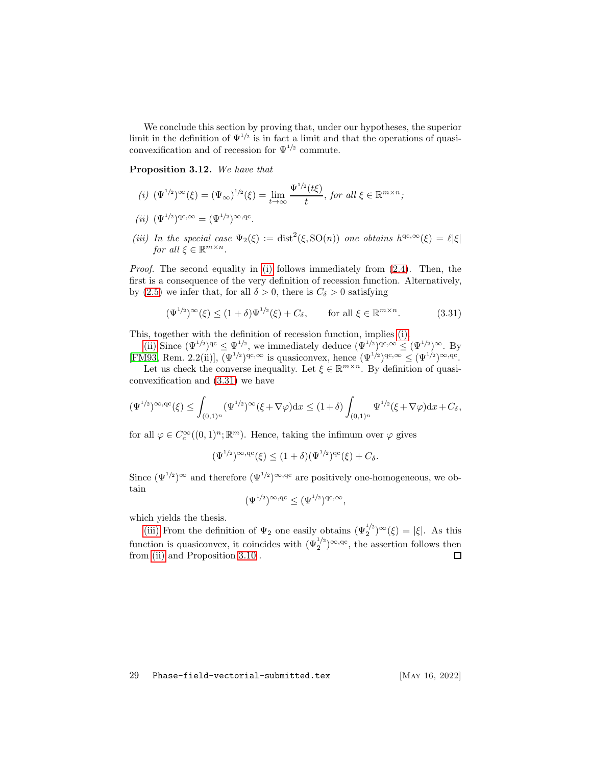We conclude this section by proving that, under our hypotheses, the superior limit in the definition of  $\Psi^{1/2}$  is in fact a limit and that the operations of quasiconvexification and of recession for  $\Psi^{1/2}$  commute.

<span id="page-28-1"></span><span id="page-28-0"></span>Proposition 3.12. We have that

- (i)  $(\Psi^{1/2})^{\infty}(\xi) = (\Psi_{\infty})^{1/2}(\xi) = \lim_{t \to \infty} \frac{\Psi^{1/2}(t\xi)}{t}$  $\frac{f^{(l)}(t)}{t}$ , for all  $\xi \in \mathbb{R}^{m \times n}$ ;
- <span id="page-28-4"></span><span id="page-28-2"></span>(ii)  $(\Psi^{1/2})^{\text{qc},\infty} = (\Psi^{1/2})^{\infty,\text{qc}}.$
- (iii) In the special case  $\Psi_2(\xi) := \text{dist}^2(\xi, \text{SO}(n))$  one obtains  $h^{qc, \infty}(\xi) = \ell |\xi|$ for all  $\xi \in \mathbb{R}^{m \times n}$ .

Proof. The second equality in [\(i\)](#page-28-1) follows immediately from  $(2.4)$ . Then, the first is a consequence of the very definition of recession function. Alternatively, by [\(2.5\)](#page-6-0) we infer that, for all  $\delta > 0$ , there is  $C_{\delta} > 0$  satisfying

<span id="page-28-3"></span>
$$
(\Psi^{1/2})^{\infty}(\xi) \le (1+\delta)\Psi^{1/2}(\xi) + C_{\delta}, \qquad \text{for all } \xi \in \mathbb{R}^{m \times n}.
$$
 (3.31)

This, together with the definition of recession function, implies [\(i\).](#page-28-1)

[\(ii\)](#page-28-2) Since  $(\Psi^{1/2})^{\text{qc}} \leq \Psi^{1/2}$ , we immediately deduce  $(\Psi^{1/2})^{\text{qc},\infty} \leq (\Psi^{1/2})^{\infty}$ . By [\[FM93,](#page-59-10) Rem. 2.2(ii)],  $(\Psi^{1/2})^{\text{qc},\infty}$  is quasiconvex, hence  $(\Psi^{1/2})^{\text{qc},\infty} \leq (\Psi^{1/2})^{\infty,\text{qc}}$ .

Let us check the converse inequality. Let  $\xi \in \mathbb{R}^{m \times n}$ . By definition of quasiconvexification and [\(3.31\)](#page-28-3) we have

$$
(\Psi^{1/2})^{\infty,\mathrm{qc}}(\xi)\leq \int_{(0,1)^n} (\Psi^{1/2})^{\infty}(\xi+\nabla \varphi) \mathrm{d}x \leq (1+\delta) \int_{(0,1)^n} \Psi^{1/2}(\xi+\nabla \varphi) \mathrm{d}x+C_\delta,
$$

for all  $\varphi \in C_c^{\infty}((0,1)^n; \mathbb{R}^m)$ . Hence, taking the infimum over  $\varphi$  gives

$$
(\Psi^{1/2})^{\infty, \mathrm{qc}}(\xi) \le (1+\delta)(\Psi^{1/2})^{\mathrm{qc}}(\xi) + C_{\delta}.
$$

Since  $(\Psi^{1/2})^{\infty}$  and therefore  $(\Psi^{1/2})^{\infty, qc}$  are positively one-homogeneous, we obtain

$$
(\Psi^{1/2})^{\infty, \mathrm{qc}} \le (\Psi^{1/2})^{\mathrm{qc}, \infty},
$$

which yields the thesis.

[\(iii\)](#page-28-4) From the definition of  $\Psi_2$  one easily obtains  $(\Psi_2^{1/2})^{\infty}(\xi) = |\xi|$ . As this function is quasiconvex, it coincides with  $(\Psi_2^{1/2})^{\infty, qc}$ , the assertion follows then from [\(ii\)](#page-28-2) and Proposition [3.10](#page-27-1) . 口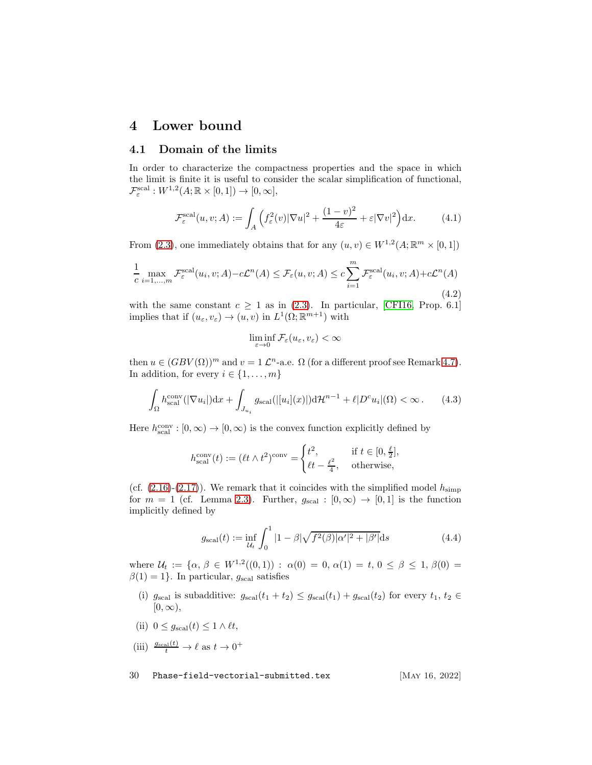### <span id="page-29-1"></span><span id="page-29-0"></span>4 Lower bound

### 4.1 Domain of the limits

In order to characterize the compactness properties and the space in which the limit is finite it is useful to consider the scalar simplification of functional,  $\mathcal{F}_{\varepsilon}^{\mathrm{scal}}:W^{1,2}(A; \mathbb{R}\times [0,1])\to [0,\infty],$ 

$$
\mathcal{F}_{\varepsilon}^{\text{scal}}(u,v;A) := \int_{A} \left( f_{\varepsilon}^{2}(v) |\nabla u|^{2} + \frac{(1-v)^{2}}{4\varepsilon} + \varepsilon |\nabla v|^{2} \right) dx. \tag{4.1}
$$

From [\(2.3\)](#page-5-3), one immediately obtains that for any  $(u, v) \in W^{1,2}(A; \mathbb{R}^m \times [0, 1])$ 

<span id="page-29-3"></span>
$$
\frac{1}{c} \max_{i=1,\dots,m} \mathcal{F}_{\varepsilon}^{\text{scal}}(u_i, v; A) - c\mathcal{L}^n(A) \le \mathcal{F}_{\varepsilon}(u, v; A) \le c \sum_{i=1}^m \mathcal{F}_{\varepsilon}^{\text{scal}}(u_i, v; A) + c\mathcal{L}^n(A)
$$
\n(4.2)

with the same constant  $c \geq 1$  as in [\(2.3\)](#page-5-3). In particular, [\[CFI16,](#page-57-10) Prop. 6.1] implies that if  $(u_{\varepsilon}, v_{\varepsilon}) \to (u, v)$  in  $L^1(\Omega; \mathbb{R}^{m+1})$  with

$$
\liminf_{\varepsilon\to 0}\mathcal{F}_\varepsilon(u_\varepsilon,v_\varepsilon)<\infty
$$

then  $u \in (GBV(\Omega))^m$  and  $v = 1 \mathcal{L}^n$ -a.e.  $\Omega$  (for a different proof see Remark [4.7\)](#page-40-0). In addition, for every  $i \in \{1, \ldots, m\}$ 

<span id="page-29-4"></span>
$$
\int_{\Omega} h_{\text{scal}}^{\text{conv}}(|\nabla u_i|) \mathrm{d}x + \int_{J_{u_i}} g_{\text{scal}}(|[u_i](x)|) \mathrm{d}\mathcal{H}^{n-1} + \ell |D^c u_i|(\Omega) < \infty. \tag{4.3}
$$

Here  $h^{\rm conv}_{\rm scal} : [0,\infty) \to [0,\infty)$  is the convex function explicitly defined by

$$
h_{\rm scal}^{\rm conv}(t):=(\ell t\wedge t^2)^{\rm conv}=\begin{cases} t^2, &\text{if }t\in[0,\frac{\ell}{2}],\\ \ell t-\frac{\ell^2}{4}, &\text{otherwise}, \end{cases}
$$

(cf.  $(2.16)-(2.17)$  $(2.16)-(2.17)$ ). We remark that it coincides with the simplified model  $h_{\text{simp}}$ for  $m = 1$  (cf. Lemma [2.3\)](#page-8-6). Further,  $g_{\text{scal}} : [0, \infty) \to [0, 1]$  is the function implicitly defined by

<span id="page-29-2"></span>
$$
g_{\text{scal}}(t) := \inf_{\mathcal{U}_t} \int_0^1 |1 - \beta| \sqrt{f^2(\beta)} |\alpha'|^2 + |\beta'| \, \mathrm{d}s \tag{4.4}
$$

where  $\mathcal{U}_t := \{ \alpha, \beta \in W^{1,2}((0,1)) : \alpha(0) = 0, \alpha(1) = t, 0 \le \beta \le 1, \beta(0) = 0 \}$  $\beta(1) = 1$ . In particular,  $g_{\text{scal}}$  satisfies

- (i)  $g_{\text{scal}}$  is subadditive:  $g_{\text{scal}}(t_1 + t_2) \leq g_{\text{scal}}(t_1) + g_{\text{scal}}(t_2)$  for every  $t_1, t_2 \in$  $[0, \infty),$
- (ii)  $0 \leq g_{\text{scal}}(t) \leq 1 \wedge \ell t$ ,

(iii) 
$$
\frac{g_{\text{scal}}(t)}{t} \to \ell
$$
 as  $t \to 0^+$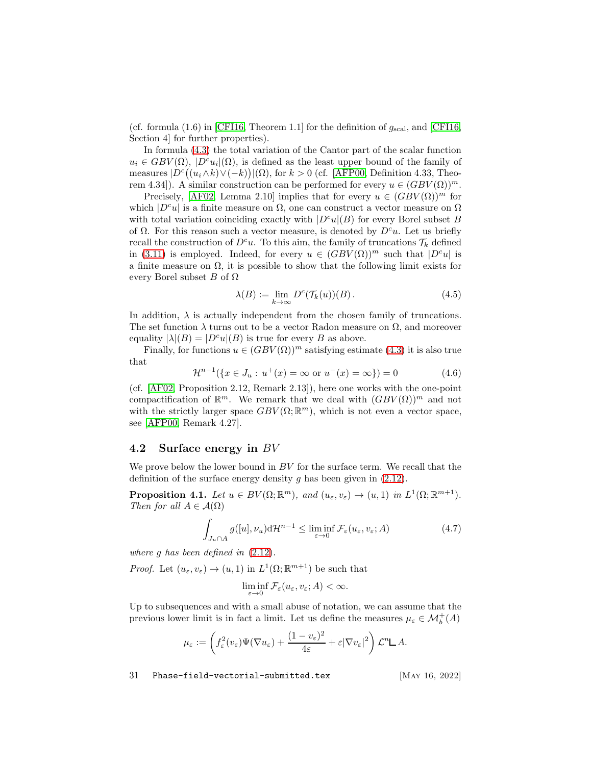(cf. formula  $(1.6)$  in [\[CFI16,](#page-57-10) Theorem 1.1] for the definition of  $g_{\text{scal}}$ , and [CFI16, Section 4] for further properties).

In formula [\(4.3\)](#page-29-4) the total variation of the Cantor part of the scalar function  $u_i \in GBV(\Omega)$ ,  $|D^c u_i|(\Omega)$ , is defined as the least upper bound of the family of measures  $|D^{c}((u_i \wedge k) \vee (-k))|(\Omega)$ , for  $k > 0$  (cf. [\[AFP00,](#page-55-2) Definition 4.33, Theorem 4.34]). A similar construction can be performed for every  $u \in (GBV(\Omega))^m$ .

Precisely, [\[AF02,](#page-55-5) Lemma 2.10] implies that for every  $u \in (GBV(\Omega))^m$  for which  $|D^c u|$  is a finite measure on  $\Omega$ , one can construct a vector measure on  $\Omega$ with total variation coinciding exactly with  $|D^c u|(B)$  for every Borel subset B of  $\Omega$ . For this reason such a vector measure, is denoted by  $D^c u$ . Let us briefly recall the construction of  $D^c u$ . To this aim, the family of truncations  $\mathcal{T}_k$  defined in [\(3.11\)](#page-16-2) is employed. Indeed, for every  $u \in (GBV(\Omega))^m$  such that  $|D^c u|$  is a finite measure on  $\Omega$ , it is possible to show that the following limit exists for every Borel subset B of  $\Omega$ 

<span id="page-30-4"></span>
$$
\lambda(B) := \lim_{k \to \infty} D^c(\mathcal{T}_k(u))(B). \tag{4.5}
$$

In addition,  $\lambda$  is actually independent from the chosen family of truncations. The set function  $\lambda$  turns out to be a vector Radon measure on  $\Omega$ , and moreover equality  $|\lambda|(B) = |D^c u|(B)$  is true for every B as above.

Finally, for functions  $u \in (GBV(\Omega))^m$  satisfying estimate [\(4.3\)](#page-29-4) it is also true that

<span id="page-30-3"></span>
$$
\mathcal{H}^{n-1}(\{x \in J_u : u^+(x) = \infty \text{ or } u^-(x) = \infty\}) = 0 \tag{4.6}
$$

(cf. [\[AF02,](#page-55-5) Proposition 2.12, Remark 2.13]), here one works with the one-point compactification of  $\mathbb{R}^m$ . We remark that we deal with  $(GBV(\Omega))^m$  and not with the strictly larger space  $GBV(\Omega;\mathbb{R}^m)$ , which is not even a vector space, see [\[AFP00,](#page-55-2) Remark 4.27].

#### <span id="page-30-0"></span>4.2 Surface energy in BV

We prove below the lower bound in  $BV$  for the surface term. We recall that the definition of the surface energy density g has been given in  $(2.12)$ .

<span id="page-30-1"></span>**Proposition 4.1.** Let  $u \in BV(\Omega; \mathbb{R}^m)$ , and  $(u_{\varepsilon}, v_{\varepsilon}) \to (u, 1)$  in  $L^1(\Omega; \mathbb{R}^{m+1})$ . Then for all  $A \in \mathcal{A}(\Omega)$ 

<span id="page-30-2"></span>
$$
\int_{J_u \cap A} g([u], \nu_u) d\mathcal{H}^{n-1} \le \liminf_{\varepsilon \to 0} \mathcal{F}_{\varepsilon}(u_{\varepsilon}, v_{\varepsilon}; A)
$$
\n(4.7)

where g has been defined in [\(2.12\)](#page-7-1).

*Proof.* Let  $(u_{\varepsilon}, v_{\varepsilon}) \to (u, 1)$  in  $L^1(\Omega; \mathbb{R}^{m+1})$  be such that

$$
\liminf_{\varepsilon \to 0} \mathcal{F}_{\varepsilon}(u_{\varepsilon}, v_{\varepsilon}; A) < \infty.
$$

Up to subsequences and with a small abuse of notation, we can assume that the previous lower limit is in fact a limit. Let us define the measures  $\mu_{\varepsilon} \in \mathcal{M}_{b}^{+}(A)$ 

$$
\mu_{\varepsilon} := \left( f_{\varepsilon}^2(v_{\varepsilon}) \Psi(\nabla u_{\varepsilon}) + \frac{(1 - v_{\varepsilon})^2}{4\varepsilon} + \varepsilon |\nabla v_{\varepsilon}|^2 \right) \mathcal{L}^n \mathsf{L} A.
$$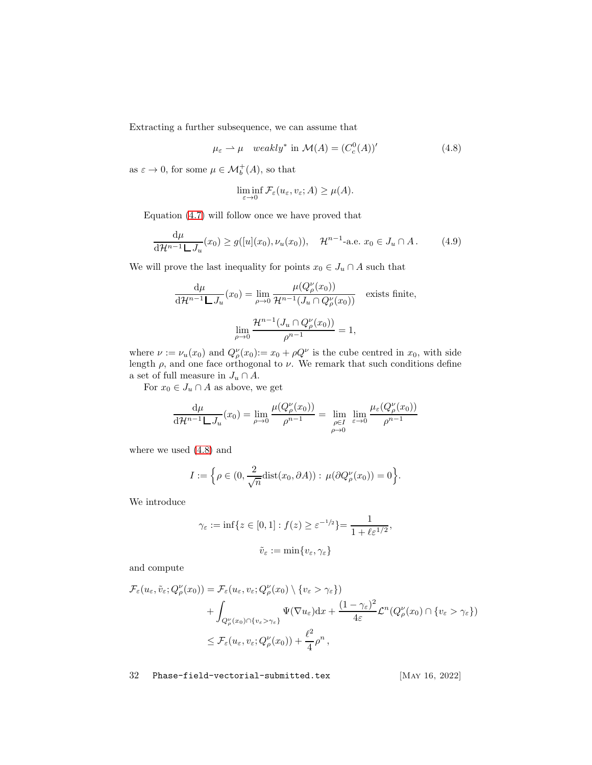Extracting a further subsequence, we can assume that

<span id="page-31-0"></span>
$$
\mu_{\varepsilon} \rightharpoonup \mu \quad weakly^* \text{ in } \mathcal{M}(A) = (C_c^0(A))'
$$
\n(4.8)

as  $\varepsilon \to 0$ , for some  $\mu \in \mathcal{M}_{b}^{+}(A)$ , so that

$$
\liminf_{\varepsilon \to 0} \mathcal{F}_{\varepsilon}(u_{\varepsilon}, v_{\varepsilon}; A) \ge \mu(A).
$$

Equation [\(4.7\)](#page-30-2) will follow once we have proved that

<span id="page-31-1"></span>
$$
\frac{d\mu}{d\mathcal{H}^{n-1} \mathbf{L} J_u}(x_0) \ge g([u](x_0), \nu_u(x_0)), \quad \mathcal{H}^{n-1}\text{-a.e. } x_0 \in J_u \cap A. \tag{4.9}
$$

We will prove the last inequality for points  $x_0 \in J_u \cap A$  such that

$$
\frac{d\mu}{d\mathcal{H}^{n-1} \Box J_u}(x_0) = \lim_{\rho \to 0} \frac{\mu(Q_\rho^{\nu}(x_0))}{\mathcal{H}^{n-1}(J_u \cap Q_\rho^{\nu}(x_0))}
$$
 exists finite,  

$$
\lim_{\rho \to 0} \frac{\mathcal{H}^{n-1}(J_u \cap Q_\rho^{\nu}(x_0))}{\rho^{n-1}} = 1,
$$

where  $\nu := \nu_u(x_0)$  and  $Q^{\nu}_{\rho}(x_0) := x_0 + \rho Q^{\nu}$  is the cube centred in  $x_0$ , with side length  $\rho$ , and one face orthogonal to  $\nu$ . We remark that such conditions define a set of full measure in  $J_u \cap A$ .

For  $x_0 \in J_u \cap A$  as above, we get

$$
\frac{d\mu}{d\mathcal{H}^{n-1} \mathsf{L} J_u}(x_0) = \lim_{\rho \to 0} \frac{\mu(Q_{\rho}^{\nu}(x_0))}{\rho^{n-1}} = \lim_{\substack{\rho \in I \\ \rho \to 0}} \lim_{\varepsilon \to 0} \frac{\mu_{\varepsilon}(Q_{\rho}^{\nu}(x_0))}{\rho^{n-1}}
$$

where we used [\(4.8\)](#page-31-0) and

$$
I := \left\{ \rho \in (0, \frac{2}{\sqrt{n}} \text{dist}(x_0, \partial A)) : \mu(\partial Q^{\nu}_{\rho}(x_0)) = 0 \right\}.
$$

We introduce

$$
\gamma_{\varepsilon} := \inf \{ z \in [0, 1] : f(z) \ge \varepsilon^{-1/2} \} = \frac{1}{1 + \ell \varepsilon^{1/2}},
$$
  

$$
\tilde{\nu}_{\varepsilon} := \min \{ \nu_{\varepsilon}, \gamma_{\varepsilon} \}
$$

and compute

$$
\mathcal{F}_{\varepsilon}(u_{\varepsilon}, \tilde{v}_{\varepsilon}; Q_{\rho}^{\nu}(x_{0})) = \mathcal{F}_{\varepsilon}(u_{\varepsilon}, v_{\varepsilon}; Q_{\rho}^{\nu}(x_{0}) \setminus \{v_{\varepsilon} > \gamma_{\varepsilon}\}) \n+ \int_{Q_{\rho}^{\nu}(x_{0}) \cap \{v_{\varepsilon} > \gamma_{\varepsilon}\}} \Psi(\nabla u_{\varepsilon}) dx + \frac{(1 - \gamma_{\varepsilon})^{2}}{4 \varepsilon} \mathcal{L}^{n}(Q_{\rho}^{\nu}(x_{0}) \cap \{v_{\varepsilon} > \gamma_{\varepsilon}\}) \n\leq \mathcal{F}_{\varepsilon}(u_{\varepsilon}, v_{\varepsilon}; Q_{\rho}^{\nu}(x_{0})) + \frac{\ell^{2}}{4} \rho^{n},
$$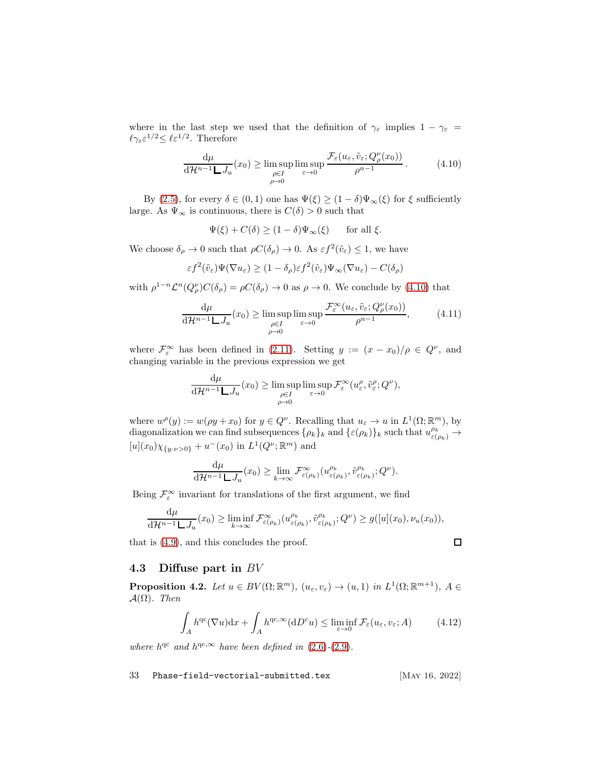where in the last step we used that the definition of  $\gamma_{\varepsilon}$  implies  $1 - \gamma_{\varepsilon} =$  $\ell \gamma_{\varepsilon} \varepsilon^{1/2} \leq \ell \varepsilon^{1/2}$ . Therefore

$$
\frac{d\mu}{d\mathcal{H}^{n-1} \Box J_u}(x_0) \ge \limsup_{\substack{\rho \in I \\ \rho \to 0}} \limsup_{\varepsilon \to 0} \frac{\mathcal{F}_{\varepsilon}(u_{\varepsilon}, \tilde{v}_{\varepsilon}; Q^{\nu}_{\rho}(x_0))}{\rho^{n-1}}.
$$
\n(4.10)

By [\(2.5\)](#page-6-0), for every  $\delta \in (0,1)$  one has  $\Psi(\xi) \geq (1-\delta)\Psi_{\infty}(\xi)$  for  $\xi$  sufficiently large. As  $\Psi_{\infty}$  is continuous, there is  $C(\delta) > 0$  such that

<span id="page-32-2"></span>
$$
\Psi(\xi) + C(\delta) \ge (1 - \delta)\Psi_{\infty}(\xi) \quad \text{for all } \xi.
$$

We choose  $\delta_{\rho} \to 0$  such that  $\rho C(\delta_{\rho}) \to 0$ . As  $\varepsilon f^2(\tilde{v}_{\varepsilon}) \leq 1$ , we have

$$
\varepsilon f^2(\tilde{v}_{\varepsilon})\Psi(\nabla u_{\varepsilon}) \ge (1-\delta_{\rho})\varepsilon f^2(\tilde{v}_{\varepsilon})\Psi_{\infty}(\nabla u_{\varepsilon}) - C(\delta_{\rho})
$$

with  $\rho^{1-n} \mathcal{L}^n(Q_\rho^\nu) C(\delta_\rho) = \rho C(\delta_\rho) \to 0$  as  $\rho \to 0$ . We conclude by [\(4.10\)](#page-32-2) that

$$
\frac{d\mu}{d\mathcal{H}^{n-1} \Box J_u}(x_0) \ge \limsup_{\substack{\rho \in I \\ \rho \to 0}} \limsup_{\varepsilon \to 0} \frac{\mathcal{F}_{\varepsilon}^{\infty}(u_{\varepsilon}, \tilde{v}_{\varepsilon}; Q_{\rho}^{\nu}(x_0))}{\rho^{n-1}}, \tag{4.11}
$$

where  $\mathcal{F}_{\varepsilon}^{\infty}$  has been defined in [\(2.11\)](#page-6-6). Setting  $y := (x - x_0)/\rho \in Q^{\nu}$ , and changing variable in the previous expression we get

$$
\frac{d\mu}{d\mathcal{H}^{n-1} \mathcal{L} J_u}(x_0) \ge \limsup_{\substack{\rho \in I \\ \rho \to 0}} \limsup_{\varepsilon \to 0} \mathcal{F}_{\varepsilon}^{\infty}(u_{\varepsilon}^{\rho}, \tilde{v}_{\varepsilon}^{\rho}; Q^{\nu}),
$$

where  $w^{\rho}(y) := w(\rho y + x_0)$  for  $y \in Q^{\nu}$ . Recalling that  $u_{\varepsilon} \to u$  in  $L^1(\Omega; \mathbb{R}^m)$ , by diagonalization we can find subsequences  $\{\rho_k\}_k$  and  $\{\varepsilon(\rho_k)\}_k$  such that  $u_{\varepsilon(\rho_k)}^{\rho_k} \to$  $[u](x_0)\chi_{y\cdot\nu>0}\ + u^-(x_0)$  in  $L^1(Q^{\nu};\mathbb{R}^m)$  and

$$
\frac{\mathrm{d}\mu}{\mathrm{d}\mathcal{H}^{n-1}\Box J_u}(x_0) \geq \lim_{k \to \infty} \mathcal{F}_{\varepsilon(\rho_k)}^{\infty}(u_{\varepsilon(\rho_k)}^{\rho_k}, \tilde{v}_{\varepsilon(\rho_k)}^{\rho_k}; Q^{\nu}).
$$

Being  $\mathcal{F}_{\varepsilon}^{\infty}$  invariant for translations of the first argument, we find

$$
\frac{\mathrm{d}\mu}{\mathrm{d}\mathcal{H}^{n-1}\mathsf{L} J_u}(x_0) \ge \liminf_{k \to \infty} \mathcal{F}_{\varepsilon(\rho_k)}^{\infty}(u_{\varepsilon(\rho_k)}^{\rho_k}, \tilde{v}_{\varepsilon(\rho_k)}^{\rho_k}; Q^{\nu}) \ge g([u](x_0), \nu_u(x_0)),
$$

that is [\(4.9\)](#page-31-1), and this concludes the proof.

### <span id="page-32-0"></span>4.3 Diffuse part in BV

<span id="page-32-1"></span>**Proposition 4.2.** Let  $u \in BV(\Omega; \mathbb{R}^m)$ ,  $(u_\varepsilon, v_\varepsilon) \to (u, 1)$  in  $L^1(\Omega; \mathbb{R}^{m+1})$ ,  $A \in$  $\mathcal{A}(\Omega)$ . Then

$$
\int_{A} h^{qc}(\nabla u) dx + \int_{A} h^{qc, \infty}(dD^c u) \le \liminf_{\varepsilon \to 0} \mathcal{F}_{\varepsilon}(u_{\varepsilon}, v_{\varepsilon}; A)
$$
\n(4.12)

where  $h^{qc}$  and  $h^{qc,\infty}$  have been defined in [\(2.6\)](#page-6-3)-[\(2.9\)](#page-6-2).

33 Phase-field-vectorial-submitted.tex [May 16, 2022]

 $\Box$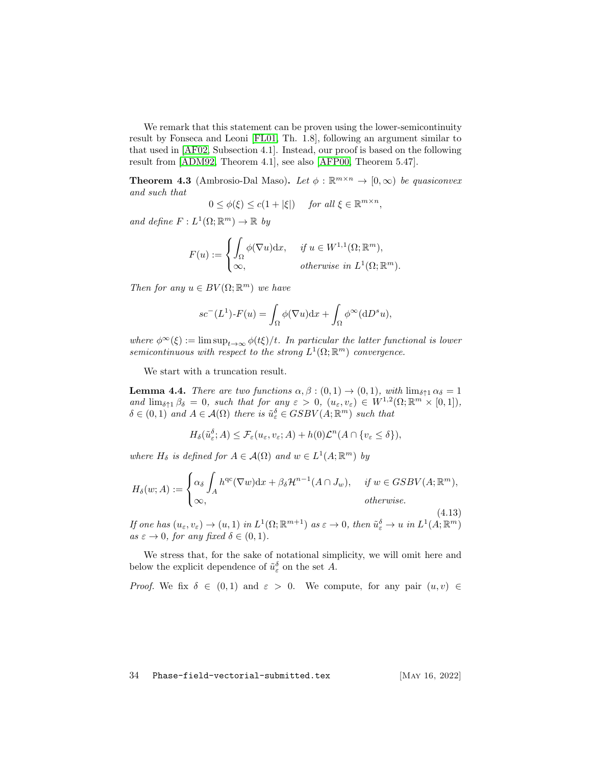We remark that this statement can be proven using the lower-semicontinuity result by Fonseca and Leoni [\[FL01,](#page-59-12) Th. 1.8], following an argument similar to that used in [\[AF02,](#page-55-5) Subsection 4.1]. Instead, our proof is based on the following result from [\[ADM92,](#page-55-6) Theorem 4.1], see also [\[AFP00,](#page-55-2) Theorem 5.47].

<span id="page-33-1"></span>**Theorem 4.3** (Ambrosio-Dal Maso). Let  $\phi : \mathbb{R}^{m \times n} \to [0, \infty)$  be quasiconvex and such that

$$
0 \le \phi(\xi) \le c(1 + |\xi|) \quad \text{ for all } \xi \in \mathbb{R}^{m \times n},
$$

and define  $F: L^1(\Omega; \mathbb{R}^m) \to \mathbb{R}$  by

$$
F(u) := \begin{cases} \int_{\Omega} \phi(\nabla u) dx, & \text{if } u \in W^{1,1}(\Omega; \mathbb{R}^m), \\ \infty, & \text{otherwise in } L^1(\Omega; \mathbb{R}^m). \end{cases}
$$

Then for any  $u \in BV(\Omega;\mathbb{R}^m)$  we have

$$
sc^{-}(L^{1})\cdot F(u) = \int_{\Omega} \phi(\nabla u)dx + \int_{\Omega} \phi^{\infty}(dD^{s}u),
$$

where  $\phi^{\infty}(\xi) := \limsup_{t \to \infty} \phi(t\xi)/t$ . In particular the latter functional is lower semicontinuous with respect to the strong  $L^1(\Omega;\mathbb{R}^m)$  convergence.

We start with a truncation result.

<span id="page-33-0"></span>**Lemma 4.4.** There are two functions  $\alpha, \beta : (0,1) \to (0,1)$ , with  $\lim_{\delta \uparrow 1} \alpha_{\delta} = 1$ and  $\lim_{\delta \uparrow 1} \beta_{\delta} = 0$ , such that for any  $\varepsilon > 0$ ,  $(u_{\varepsilon}, v_{\varepsilon}) \in W^{1,2}(\Omega; \mathbb{R}^m \times [0,1]),$  $\delta \in (0,1)$  and  $A \in \mathcal{A}(\Omega)$  there is  $\tilde{u}_{\varepsilon}^{\delta} \in GSBV(A;\mathbb{R}^m)$  such that

$$
H_{\delta}(\tilde{u}_{\varepsilon}^{\delta};A) \leq \mathcal{F}_{\varepsilon}(u_{\varepsilon},v_{\varepsilon};A) + h(0)\mathcal{L}^{n}(A \cap \{v_{\varepsilon} \leq \delta\}),
$$

where  $H_{\delta}$  is defined for  $A \in \mathcal{A}(\Omega)$  and  $w \in L^1(A; \mathbb{R}^m)$  by

$$
H_{\delta}(w;A) := \begin{cases} \alpha_{\delta} \int_{A} h^{qc}(\nabla w) dx + \beta_{\delta} \mathcal{H}^{n-1}(A \cap J_{w}), & \text{if } w \in GSBV(A; \mathbb{R}^{m}), \\ \infty, & \text{otherwise.} \end{cases}
$$

(4.13) If one has  $(u_{\varepsilon}, v_{\varepsilon}) \to (u, 1)$  in  $L^1(\Omega; \mathbb{R}^{m+1})$  as  $\varepsilon \to 0$ , then  $\tilde{u}_{\varepsilon}^{\delta} \to u$  in  $L^1(A; \mathbb{R}^m)$ as  $\varepsilon \to 0$ , for any fixed  $\delta \in (0,1)$ .

We stress that, for the sake of notational simplicity, we will omit here and below the explicit dependence of  $\tilde{u}_{\varepsilon}^{\delta}$  on the set A.

Proof. We fix  $\delta \in (0,1)$  and  $\varepsilon > 0$ . We compute, for any pair  $(u, v) \in$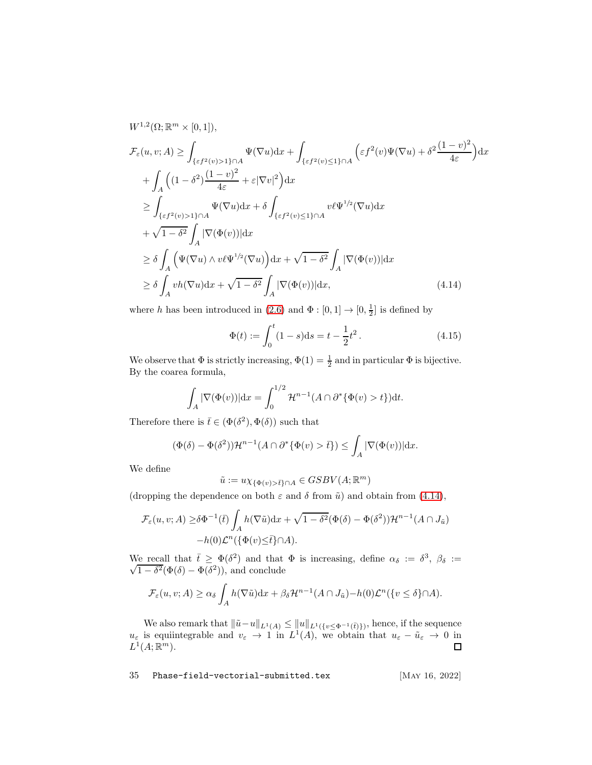$$
W^{1,2}(\Omega; \mathbb{R}^m \times [0,1]),
$$
  
\n
$$
\mathcal{F}_{\varepsilon}(u, v; A) \geq \int_{\{\varepsilon f^2(v) > 1\} \cap A} \Psi(\nabla u) dx + \int_{\{\varepsilon f^2(v) \leq 1\} \cap A} \left(\varepsilon f^2(v) \Psi(\nabla u) + \delta^2 \frac{(1-v)^2}{4\varepsilon}\right) dx
$$
  
\n
$$
+ \int_A \left((1-\delta^2) \frac{(1-v)^2}{4\varepsilon} + \varepsilon |\nabla v|^2\right) dx
$$
  
\n
$$
\geq \int_{\{\varepsilon f^2(v) > 1\} \cap A} \Psi(\nabla u) dx + \delta \int_{\{\varepsilon f^2(v) \leq 1\} \cap A} v \ell \Psi^{1/2}(\nabla u) dx
$$
  
\n
$$
+ \sqrt{1-\delta^2} \int_A |\nabla(\Phi(v))| dx
$$
  
\n
$$
\geq \delta \int_A \left(\Psi(\nabla u) \wedge v \ell \Psi^{1/2}(\nabla u)\right) dx + \sqrt{1-\delta^2} \int_A |\nabla(\Phi(v))| dx
$$
  
\n
$$
\geq \delta \int_A v h(\nabla u) dx + \sqrt{1-\delta^2} \int_A |\nabla(\Phi(v))| dx, \tag{4.14}
$$

where h has been introduced in [\(2.6\)](#page-6-3) and  $\Phi : [0,1] \to [0, \frac{1}{2}]$  is defined by

<span id="page-34-0"></span>
$$
\Phi(t) := \int_0^t (1 - s) \mathrm{d}s = t - \frac{1}{2}t^2. \tag{4.15}
$$

We observe that  $\Phi$  is strictly increasing,  $\Phi(1) = \frac{1}{2}$  and in particular  $\Phi$  is bijective. By the coarea formula,

$$
\int_A |\nabla(\Phi(v))| \mathrm{d}x = \int_0^{1/2} \mathcal{H}^{n-1}(A \cap \partial^* \{\Phi(v) > t\}) \mathrm{d}t.
$$

Therefore there is  $\bar{t} \in (\Phi(\delta^2), \Phi(\delta))$  such that

$$
(\Phi(\delta) - \Phi(\delta^2))\mathcal{H}^{n-1}(A \cap \partial^*\{\Phi(v) > \bar{t}\}) \le \int_A |\nabla(\Phi(v))| \,dx.
$$

We define

$$
\tilde{u}:=u\chi_{\{\Phi(v)>\bar{t}\}\cap A}\in GSBV(A;\mathbb{R}^m)
$$

(dropping the dependence on both  $\varepsilon$  and  $\delta$  from  $\tilde{u}$ ) and obtain from [\(4.14\)](#page-34-0),

$$
\mathcal{F}_{\varepsilon}(u, v; A) \ge \delta \Phi^{-1}(\bar{t}) \int_{A} h(\nabla \tilde{u}) dx + \sqrt{1 - \delta^{2}} (\Phi(\delta) - \Phi(\delta^{2})) \mathcal{H}^{n-1}(A \cap J_{\tilde{u}})
$$

$$
-h(0) \mathcal{L}^{n} (\{\Phi(v) \le \bar{t}\} \cap A).
$$

We recall that  $\bar{t} \geq \Phi(\delta^2)$  and that  $\Phi$  is increasing, define  $\alpha_{\delta} := \delta^3$ ,  $\beta_{\delta} := \sqrt{1 - \delta^2} (\Phi(\delta) - \Phi(\delta^2))$  and conclude  $(1 - \delta^2(\Phi(\delta) - \Phi(\delta^2)))$ , and conclude

$$
\mathcal{F}_{\varepsilon}(u,v;A) \geq \alpha_{\delta} \int_{A} h(\nabla \tilde{u}) dx + \beta_{\delta} \mathcal{H}^{n-1}(A \cap J_{\tilde{u}}) - h(0) \mathcal{L}^{n}(\lbrace v \leq \delta \rbrace \cap A).
$$

We also remark that  $\|\tilde{u}-u\|_{L^1(A)} \leq \|u\|_{L^1(\{v \leq \Phi^{-1}(\bar{t})\})}$ , hence, if the sequence  $u_{\varepsilon}$  is equiintegrable and  $v_{\varepsilon} \to 1$  in  $L^1(A)$ , we obtain that  $u_{\varepsilon} - \tilde{u}_{\varepsilon} \to 0$  in  $L^1(A; \mathbb{R}^m)$ .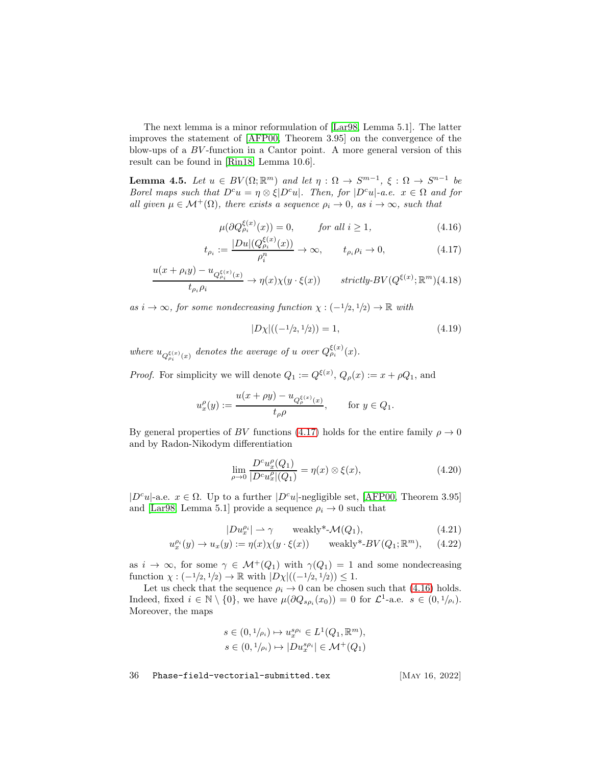The next lemma is a minor reformulation of [\[Lar98,](#page-59-13) Lemma 5.1]. The latter improves the statement of [\[AFP00,](#page-55-2) Theorem 3.95] on the convergence of the blow-ups of a BV -function in a Cantor point. A more general version of this result can be found in [\[Rin18,](#page-60-6) Lemma 10.6].

<span id="page-35-3"></span>**Lemma 4.5.** Let  $u \in BV(\Omega;\mathbb{R}^m)$  and let  $\eta : \Omega \to S^{m-1}, \xi : \Omega \to S^{n-1}$  be Borel maps such that  $D^c u = \eta \otimes \xi |D^c u|$ . Then, for  $|D^c u|$ -a.e.  $x \in \Omega$  and for all given  $\mu \in \mathcal{M}^+(\Omega)$ , there exists a sequence  $\rho_i \to 0$ , as  $i \to \infty$ , such that

$$
\mu(\partial Q_{\rho_i}^{\xi(x)}(x)) = 0, \qquad \text{for all } i \ge 1,
$$
\n(4.16)

$$
t_{\rho_i} := \frac{|Du|(Q_{\rho_i}^{\xi(x)}(x))}{\rho_i^n} \to \infty, \qquad t_{\rho_i} \rho_i \to 0,
$$
 (4.17)

<span id="page-35-0"></span>
$$
\frac{u(x+\rho_i y) - u_{Q_{\rho_i}^{\xi(x)}(x)}}{t_{\rho_i} \rho_i} \to \eta(x)\chi(y \cdot \xi(x)) \qquad strictly\text{-}BV(Q^{\xi(x)}; \mathbb{R}^m)\text{(4.18)}
$$

as  $i \to \infty$ , for some nondecreasing function  $\chi : (-1/2, 1/2) \to \mathbb{R}$  with

<span id="page-35-1"></span>
$$
|D\chi|((-1/2, 1/2)) = 1,\t\t(4.19)
$$

where  $u_{Q_{\rho_i}^{\xi(x)}(x)}$  denotes the average of u over  $Q_{\rho_i}^{\xi(x)}(x)$ .

*Proof.* For simplicity we will denote  $Q_1 := Q^{\xi(x)}$ ,  $Q_\rho(x) := x + \rho Q_1$ , and

$$
u_x^{\rho}(y) := \frac{u(x + \rho y) - u_{Q_{\rho}^{\xi(x)}(x)}}{t_{\rho}\rho}, \quad \text{for } y \in Q_1.
$$

By general properties of BV functions [\(4.17\)](#page-35-0) holds for the entire family  $\rho \to 0$ and by Radon-Nikodym differentiation

$$
\lim_{\rho \to 0} \frac{D^c u_x^{\rho}(Q_1)}{|D^c u_x^{\rho}|(Q_1)} = \eta(x) \otimes \xi(x),
$$
\n(4.20)

 $|D^c u|$ -a.e.  $x \in \Omega$ . Up to a further  $|D^c u|$ -negligible set, [\[AFP00,](#page-55-2) Theorem 3.95] and [\[Lar98,](#page-59-13) Lemma 5.1] provide a sequence  $\rho_i \rightarrow 0$  such that

$$
|Du_x^{\rho_i}| \rightharpoonup \gamma \qquad \text{weakly*-}\mathcal{M}(Q_1),\tag{4.21}
$$

<span id="page-35-2"></span>
$$
u_x^{\rho_i}(y) \to u_x(y) := \eta(x)\chi(y \cdot \xi(x)) \quad \text{weakly*-BV}(Q_1; \mathbb{R}^m), \quad (4.22)
$$

as  $i \to \infty$ , for some  $\gamma \in \mathcal{M}^+(Q_1)$  with  $\gamma(Q_1) = 1$  and some nondecreasing function  $\chi: (-1/2, 1/2) \to \mathbb{R}$  with  $|D\chi|((-1/2, 1/2)) \leq 1$ .

Let us check that the sequence  $\rho_i \rightarrow 0$  can be chosen such that [\(4.16\)](#page-35-0) holds. Indeed, fixed  $i \in \mathbb{N} \setminus \{0\}$ , we have  $\mu(\partial Q_{s\rho_i}(x_0)) = 0$  for  $\mathcal{L}^1$ -a.e.  $s \in (0, 1/\rho_i)$ . Moreover, the maps

$$
s \in (0, 1/\rho_i) \mapsto u_x^{s\rho_i} \in L^1(Q_1, \mathbb{R}^m),
$$
  

$$
s \in (0, 1/\rho_i) \mapsto |Du_x^{s\rho_i}| \in \mathcal{M}^+(Q_1)
$$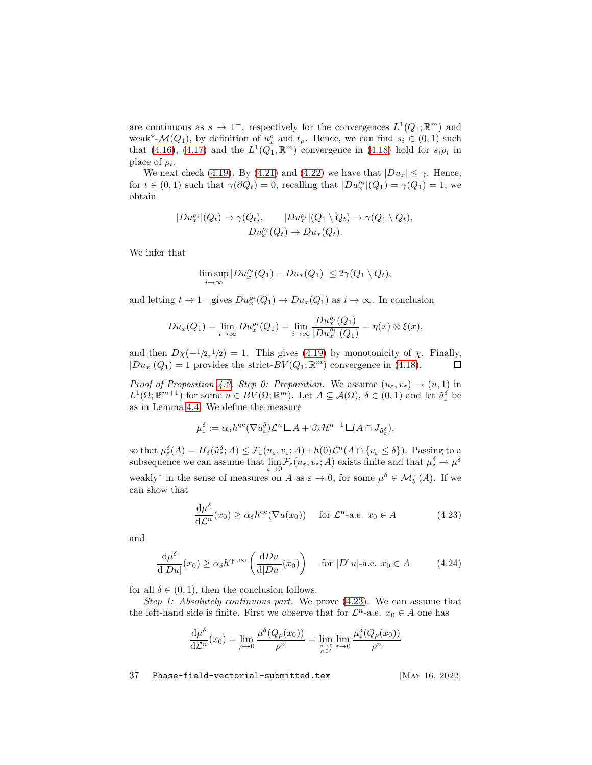are continuous as  $s \to 1^-$ , respectively for the convergences  $L^1(Q_1; \mathbb{R}^m)$  and weak<sup>\*</sup>- $\mathcal{M}(Q_1)$ , by definition of  $u_x^{\rho}$  and  $t_{\rho}$ . Hence, we can find  $s_i \in (0,1)$  such that [\(4.16\)](#page-35-0), [\(4.17\)](#page-35-0) and the  $L^1(Q_1,\mathbb{R}^m)$  convergence in [\(4.18\)](#page-35-0) hold for  $s_i \rho_i$  in place of  $\rho_i$ .

We next check [\(4.19\)](#page-35-1). By [\(4.21\)](#page-35-2) and [\(4.22\)](#page-35-2) we have that  $|Du_x| \leq \gamma$ . Hence, for  $t \in (0,1)$  such that  $\gamma(\partial Q_t) = 0$ , recalling that  $|Du_x^{\rho_i}|(Q_1) = \gamma(Q_1) = 1$ , we obtain

$$
|Du_x^{\rho_i}|(Q_t) \to \gamma(Q_t), \qquad |Du_x^{\rho_i}|(Q_1 \setminus Q_t) \to \gamma(Q_1 \setminus Q_t),
$$
  

$$
Du_x^{\rho_i}(Q_t) \to Du_x(Q_t).
$$

We infer that

$$
\limsup_{i \to \infty} |Du_x^{\rho_i}(Q_1) - Du_x(Q_1)| \leq 2\gamma(Q_1 \setminus Q_t),
$$

and letting  $t \to 1^-$  gives  $Du_x^{\rho_i}(Q_1) \to Du_x(Q_1)$  as  $i \to \infty$ . In conclusion

$$
Du_x(Q_1) = \lim_{i \to \infty} Du_x^{\rho_i}(Q_1) = \lim_{i \to \infty} \frac{Du_x^{\rho_i}(Q_1)}{|Du_x^{\rho_i}|(Q_1)} = \eta(x) \otimes \xi(x),
$$

and then  $D\chi(-1/2, 1/2) = 1$ . This gives [\(4.19\)](#page-35-1) by monotonicity of  $\chi$ . Finally,  $|Du_x|(Q_1) = 1$  provides the strict- $BV(Q_1; \mathbb{R}^m)$  convergence in [\(4.18\)](#page-35-0).  $\Box$ 

Proof of Proposition [4.2.](#page-32-1) Step 0: Preparation. We assume  $(u_{\varepsilon}, v_{\varepsilon}) \to (u, 1)$  in  $L^1(\Omega;\mathbb{R}^{m+1})$  for some  $u \in BV(\Omega;\mathbb{R}^m)$ . Let  $A \subseteq \mathcal{A}(\Omega)$ ,  $\delta \in (0,1)$  and let  $\tilde{u}_{\varepsilon}^{\delta}$  be as in Lemma [4.4.](#page-33-0) We define the measure

$$
\mu_{\varepsilon}^{\delta} := \alpha_{\delta} h^{\mathrm{qc}} (\nabla \tilde{u}_{\varepsilon}^{\delta}) \mathcal{L}^n \mathsf{L} A + \beta_{\delta} \mathcal{H}^{n-1} \mathsf{L} (A \cap J_{\tilde{u}_{\varepsilon}^{\delta}}),
$$

so that  $\mu_{\varepsilon}^{\delta}(A) = H_{\delta}(\tilde{u}_{\varepsilon}^{\delta}; A) \leq \mathcal{F}_{\varepsilon}(u_{\varepsilon}, v_{\varepsilon}; A) + h(0)\mathcal{L}^{n}(A \cap \{v_{\varepsilon} \leq \delta\}).$  Passing to a subsequence we can assume that  $\lim_{\varepsilon \to 0} \mathcal{F}_{\varepsilon}(u_{\varepsilon}, v_{\varepsilon}; A)$  exists finite and that  $\mu_{\varepsilon}^{\delta} \to \mu^{\delta}$ weakly<sup>\*</sup> in the sense of measures on A as  $\varepsilon \to 0$ , for some  $\mu^{\delta} \in \mathcal{M}_{b}^{+}(A)$ . If we can show that

<span id="page-36-0"></span>
$$
\frac{d\mu^{\delta}}{d\mathcal{L}^n}(x_0) \ge \alpha_{\delta} h^{\text{qc}}(\nabla u(x_0)) \quad \text{for } \mathcal{L}^n\text{-a.e. } x_0 \in A \tag{4.23}
$$

and

<span id="page-36-1"></span>
$$
\frac{\mathrm{d}\mu^{\delta}}{\mathrm{d}|Du|}(x_0) \ge \alpha_{\delta}h^{\mathrm{qc},\infty}\left(\frac{\mathrm{d}Du}{\mathrm{d}|Du|}(x_0)\right) \quad \text{for } |D^c u| \text{-a.e. } x_0 \in A \tag{4.24}
$$

for all  $\delta \in (0,1)$ , then the conclusion follows.

Step 1: Absolutely continuous part. We prove [\(4.23\)](#page-36-0). We can assume that the left-hand side is finite. First we observe that for  $\mathcal{L}^n$ -a.e.  $x_0 \in A$  one has

$$
\frac{d\mu^{\delta}}{d\mathcal{L}^n}(x_0) = \lim_{\rho \to 0} \frac{\mu^{\delta}(Q_{\rho}(x_0))}{\rho^n} = \lim_{\substack{\rho \to 0 \\ \rho \in I}} \lim_{\varepsilon \to 0} \frac{\mu_{\varepsilon}^{\delta}(Q_{\rho}(x_0))}{\rho^n}
$$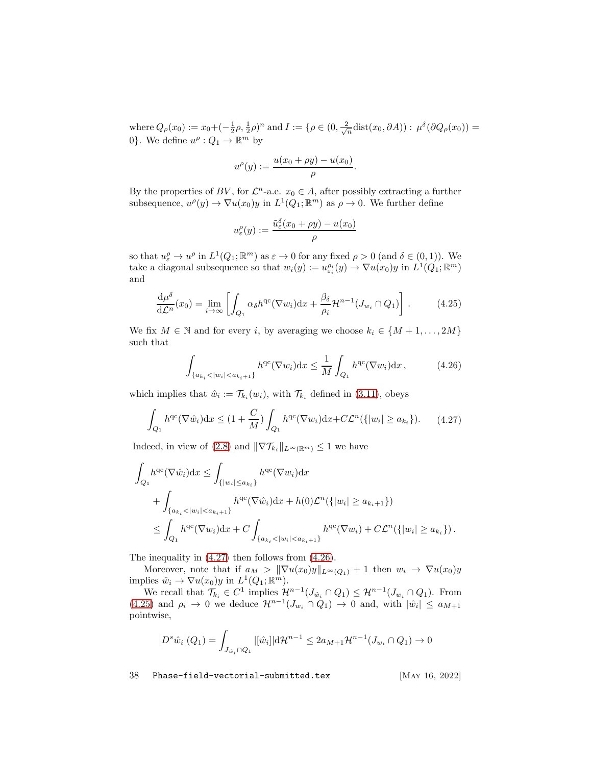where  $Q_{\rho}(x_0) := x_0 + \left(-\frac{1}{2}\rho, \frac{1}{2}\rho\right)^n$  and  $I := \{\rho \in (0, \frac{2}{\sqrt{n}} \text{dist}(x_0, \partial A)) : \mu^{\delta}(\partial Q_{\rho}(x_0)) =$ 0}. We define  $u^{\rho}: Q_1 \to \mathbb{R}^m$  by

$$
u^{\rho}(y) := \frac{u(x_0 + \rho y) - u(x_0)}{\rho}.
$$

By the properties of BV, for  $\mathcal{L}^n$ -a.e.  $x_0 \in A$ , after possibly extracting a further subsequence,  $u^{\rho}(y) \to \nabla u(x_0)y$  in  $L^1(Q_1; \mathbb{R}^m)$  as  $\rho \to 0$ . We further define

$$
u_{\varepsilon}^{\rho}(y) := \frac{\tilde{u}_{\varepsilon}^{\delta}(x_0 + \rho y) - u(x_0)}{\rho}
$$

so that  $u_{\varepsilon}^{\rho} \to u^{\rho}$  in  $L^1(Q_1; \mathbb{R}^m)$  as  $\varepsilon \to 0$  for any fixed  $\rho > 0$  (and  $\delta \in (0, 1)$ ). We take a diagonal subsequence so that  $w_i(y) := u_{\varepsilon_i}^{\rho_i}(y) \to \nabla u(x_0)y$  in  $L^1(Q_1; \mathbb{R}^m)$ and

<span id="page-37-2"></span>
$$
\frac{\mathrm{d}\mu^{\delta}}{\mathrm{d}\mathcal{L}^n}(x_0) = \lim_{i \to \infty} \left[ \int_{Q_1} \alpha_{\delta} h^{\mathrm{qc}}(\nabla w_i) \mathrm{d}x + \frac{\beta_{\delta}}{\rho_i} \mathcal{H}^{n-1}(J_{w_i} \cap Q_1) \right]. \tag{4.25}
$$

We fix  $M \in \mathbb{N}$  and for every i, by averaging we choose  $k_i \in \{M+1,\ldots,2M\}$ such that

<span id="page-37-1"></span>
$$
\int_{\{a_{k_i} < |w_i| < a_{k_i+1}\}} h^{\text{qc}}(\nabla w_i) \, \mathrm{d}x \le \frac{1}{M} \int_{Q_1} h^{\text{qc}}(\nabla w_i) \, \mathrm{d}x \,,\tag{4.26}
$$

which implies that  $\hat{w}_i := \mathcal{T}_{k_i}(w_i)$ , with  $\mathcal{T}_{k_i}$  defined in [\(3.11\)](#page-16-2), obeys

<span id="page-37-0"></span>
$$
\int_{Q_1} h^{\mathrm{qc}}(\nabla \hat{w}_i) \mathrm{d}x \le (1 + \frac{C}{M}) \int_{Q_1} h^{\mathrm{qc}}(\nabla w_i) \mathrm{d}x + C\mathcal{L}^n(\{|w_i| \ge a_{k_i}\}).\tag{4.27}
$$

Indeed, in view of [\(2.8\)](#page-6-7) and  $\|\nabla \mathcal{T}_{k_i}\|_{L^{\infty}(\mathbb{R}^m)} \leq 1$  we have

$$
\int_{Q_1} h^{qc}(\nabla \hat{w}_i) dx \le \int_{\{|w_i| \le a_{k_i}\}} h^{qc}(\nabla w_i) dx \n+ \int_{\{a_{k_i} < |w_i| < a_{k_i+1}\}} h^{qc}(\nabla \hat{w}_i) dx + h(0) \mathcal{L}^n(\{|w_i| \ge a_{k_i+1}\}) \n\le \int_{Q_1} h^{qc}(\nabla w_i) dx + C \int_{\{a_{k_i} < |w_i| < a_{k_i+1}\}} h^{qc}(\nabla w_i) + C \mathcal{L}^n(\{|w_i| \ge a_{k_i}\}).
$$

The inequality in [\(4.27\)](#page-37-0) then follows from [\(4.26\)](#page-37-1).

Moreover, note that if  $a_M > ||\nabla u(x_0)y||_{L^\infty(Q_1)} + 1$  then  $w_i \to \nabla u(x_0)y$ implies  $\hat{w}_i \to \nabla u(x_0) y$  in  $L^1(Q_1; \mathbb{R}^m)$ .

We recall that  $\mathcal{T}_{k_i} \in C^1$  implies  $\mathcal{H}^{n-1}(J_{\hat{w}_i} \cap Q_1) \leq \mathcal{H}^{n-1}(J_{w_i} \cap Q_1)$ . From [\(4.25\)](#page-37-2) and  $\rho_i \to 0$  we deduce  $\mathcal{H}^{n-1}(J_{w_i} \cap Q_1) \to 0$  and, with  $|\hat{w}_i| \le a_{M+1}$ pointwise,

$$
|D^s \hat{w}_i|(Q_1) = \int_{J_{\hat{w}_i} \cap Q_1} |[\hat{w}_i]| \mathrm{d} \mathcal{H}^{n-1} \leq 2a_{M+1} \mathcal{H}^{n-1}(J_{w_i} \cap Q_1) \to 0
$$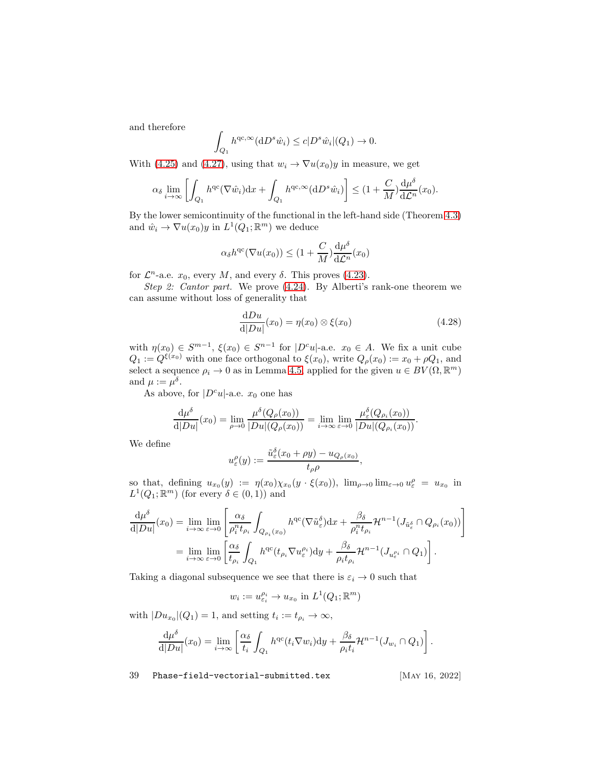and therefore

$$
\int_{Q_1} h^{\mathrm{qc},\infty}(\mathrm{d} D^s \hat{w}_i) \leq c |D^s \hat{w}_i|(Q_1) \to 0.
$$

With [\(4.25\)](#page-37-2) and [\(4.27\)](#page-37-0), using that  $w_i \to \nabla u(x_0)y$  in measure, we get

$$
\alpha_{\delta} \lim_{i \to \infty} \left[ \int_{Q_1} h^{qc} (\nabla \hat{w}_i) dx + \int_{Q_1} h^{qc, \infty}(dD^s \hat{w}_i) \right] \leq (1 + \frac{C}{M}) \frac{d\mu^{\delta}}{d\mathcal{L}^n}(x_0).
$$

By the lower semicontinuity of the functional in the left-hand side (Theorem [4.3\)](#page-33-1) and  $\hat{w}_i \to \nabla u(x_0) y$  in  $L^1(Q_1; \mathbb{R}^m)$  we deduce

$$
\alpha_{\delta}h^{\mathrm{qc}}(\nabla u(x_0)) \le (1 + \frac{C}{M})\frac{\mathrm{d}\mu^{\delta}}{\mathrm{d}\mathcal{L}^n}(x_0)
$$

for  $\mathcal{L}^n$ -a.e.  $x_0$ , every M, and every  $\delta$ . This proves [\(4.23\)](#page-36-0).

Step 2: Cantor part. We prove  $(4.24)$ . By Alberti's rank-one theorem we can assume without loss of generality that

<span id="page-38-0"></span>
$$
\frac{\mathrm{d}Du}{\mathrm{d}|Du|}(x_0) = \eta(x_0) \otimes \xi(x_0) \tag{4.28}
$$

with  $\eta(x_0) \in S^{m-1}$ ,  $\xi(x_0) \in S^{n-1}$  for  $|D^c u|$ -a.e.  $x_0 \in A$ . We fix a unit cube  $Q_1 := Q^{\xi(x_0)}$  with one face orthogonal to  $\xi(x_0)$ , write  $Q_\rho(x_0) := x_0 + \rho Q_1$ , and select a sequence  $\rho_i \to 0$  as in Lemma [4.5,](#page-35-3) applied for the given  $u \in BV(\Omega, \mathbb{R}^m)$ and  $\mu := \mu^{\delta}$ .

As above, for  $|D^c u|$ -a.e.  $x_0$  one has

u

$$
\frac{\mathrm{d}\mu^{\delta}}{\mathrm{d}|Du|}(x_0)=\lim_{\rho\to 0}\frac{\mu^{\delta}(Q_{\rho}(x_0))}{|Du|(Q_{\rho}(x_0))}=\lim_{i\to\infty}\lim_{\varepsilon\to 0}\frac{\mu_{\varepsilon}^{\delta}(Q_{\rho_i}(x_0))}{|Du|(Q_{\rho_i}(x_0))}.
$$

We define

$$
u_{\varepsilon}^{\rho}(y) := \frac{\tilde{u}_{\varepsilon}^{\delta}(x_0 + \rho y) - u_{Q_{\rho}(x_0)}}{t_{\rho}\rho},
$$

so that, defining  $u_{x_0}(y) := \eta(x_0)\chi_{x_0}(y \cdot \xi(x_0))$ ,  $\lim_{\rho \to 0} \lim_{\varepsilon \to 0} u_{\varepsilon}^{\rho} = u_{x_0}$  in  $L^1(Q_1; \mathbb{R}^m)$  (for every  $\delta \in (0, 1)$ ) and

$$
\frac{d\mu^{\delta}}{d|Du|}(x_0) = \lim_{i \to \infty} \lim_{\varepsilon \to 0} \left[ \frac{\alpha_{\delta}}{\rho_i^n t_{\rho_i}} \int_{Q_{\rho_i}(x_0)} h^{qc}(\nabla \tilde{u}_{\varepsilon}^{\delta}) dx + \frac{\beta_{\delta}}{\rho_i^n t_{\rho_i}} \mathcal{H}^{n-1}(J_{\tilde{u}_{\varepsilon}^{\delta}} \cap Q_{\rho_i}(x_0)) \right]
$$
  
= 
$$
\lim_{i \to \infty} \lim_{\varepsilon \to 0} \left[ \frac{\alpha_{\delta}}{t_{\rho_i}} \int_{Q_1} h^{qc}(t_{\rho_i} \nabla u_{\varepsilon}^{\rho_i}) dy + \frac{\beta_{\delta}}{\rho_i t_{\rho_i}} \mathcal{H}^{n-1}(J_{u_{\varepsilon}^{\rho_i}} \cap Q_1) \right].
$$

Taking a diagonal subsequence we see that there is  $\varepsilon_i \to 0$  such that

$$
w_i := u_{\varepsilon_i}^{\rho_i} \to u_{x_0} \text{ in } L^1(Q_1; \mathbb{R}^m)
$$

with  $|Du_{x_0}|(Q_1)=1$ , and setting  $t_i:=t_{\rho_i}\to\infty$ ,

$$
\frac{\mathrm{d}\mu^{\delta}}{\mathrm{d}|Du|}(x_0)=\lim_{i\to\infty}\left[\frac{\alpha_{\delta}}{t_i}\int_{Q_1}h^{\mathrm{qc}}(t_i\nabla w_i)\mathrm{d}y+\frac{\beta_{\delta}}{\rho_it_i}\mathcal{H}^{n-1}(J_{w_i}\cap Q_1)\right].
$$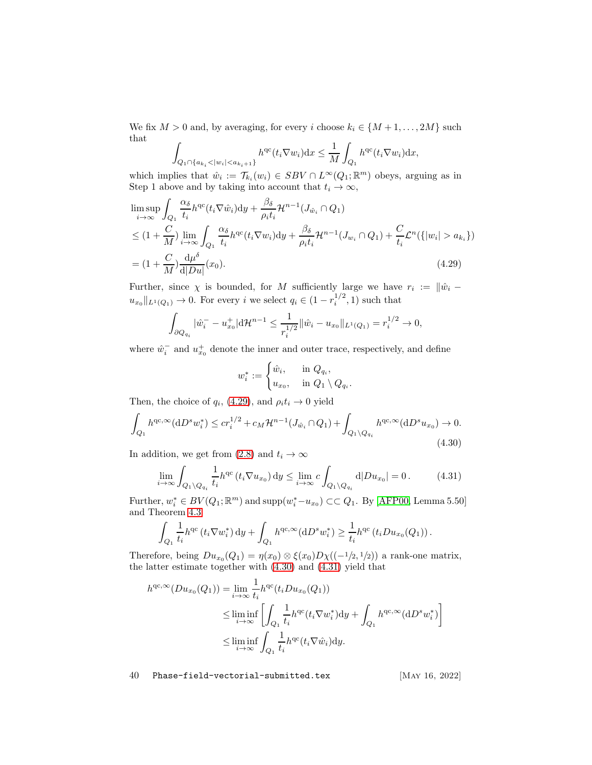We fix  $M > 0$  and, by averaging, for every i choose  $k_i \in \{M+1, \ldots, 2M\}$  such that Z

$$
\int_{Q_1 \cap \{a_{k_i} < |w_i| < a_{k_i+1}\}} h^{\text{qc}}(t_i \nabla w_i) \, dx \le \frac{1}{M} \int_{Q_1} h^{\text{qc}}(t_i \nabla w_i) \, dx,
$$

which implies that  $\hat{w}_i := \mathcal{T}_{k_i}(w_i) \in SBV \cap L^{\infty}(Q_1; \mathbb{R}^m)$  obeys, arguing as in Step 1 above and by taking into account that  $t_i \to \infty$ ,

$$
\limsup_{i \to \infty} \int_{Q_1} \frac{\alpha_{\delta}}{t_i} h^{qc}(t_i \nabla \hat{w}_i) dy + \frac{\beta_{\delta}}{\rho_i t_i} \mathcal{H}^{n-1}(J_{\hat{w}_i} \cap Q_1)
$$
\n
$$
\leq (1 + \frac{C}{M}) \lim_{i \to \infty} \int_{Q_1} \frac{\alpha_{\delta}}{t_i} h^{qc}(t_i \nabla w_i) dy + \frac{\beta_{\delta}}{\rho_i t_i} \mathcal{H}^{n-1}(J_{w_i} \cap Q_1) + \frac{C}{t_i} \mathcal{L}^n(\{|w_i| > a_{k_i}\})
$$
\n
$$
= (1 + \frac{C}{M}) \frac{d\mu^{\delta}}{d|Du|}(x_0).
$$
\n(4.29)

Further, since  $\chi$  is bounded, for M sufficiently large we have  $r_i := \|\hat{w}_i$  $u_{x_0}||_{L^1(Q_1)} \to 0$ . For every i we select  $q_i \in (1 - r_i^{1/2}, 1)$  such that

$$
\int_{\partial Q_{q_i}} |\hat{w}_i^- - u_{x_0}^+| \mathrm{d} \mathcal{H}^{n-1} \le \frac{1}{r_i^{1/2}} ||\hat{w}_i - u_{x_0}||_{L^1(Q_1)} = r_i^{1/2} \to 0,
$$

where  $\hat{w}_i^-$  and  $u_{x_0}^+$  denote the inner and outer trace, respectively, and define

<span id="page-39-0"></span>
$$
w_i^* := \begin{cases} \hat{w}_i, & \text{in } Q_{q_i}, \\ u_{x_0}, & \text{in } Q_1 \setminus Q_{q_i}. \end{cases}
$$

Then, the choice of  $q_i$ , [\(4.29\)](#page-39-0), and  $\rho_i t_i \to 0$  yield

<span id="page-39-1"></span>
$$
\int_{Q_1} h^{qc, \infty} (\mathrm{d}D^s w_i^*) \le c r_i^{1/2} + c_M \mathcal{H}^{n-1}(J_{\hat{w}_i} \cap Q_1) + \int_{Q_1 \backslash Q_{q_i}} h^{qc, \infty} (\mathrm{d}D^s u_{x_0}) \to 0. \tag{4.30}
$$

In addition, we get from [\(2.8\)](#page-6-7) and  $t_i \to \infty$ 

<span id="page-39-2"></span>
$$
\lim_{i \to \infty} \int_{Q_1 \setminus Q_{q_i}} \frac{1}{t_i} h^{qc} \left( t_i \nabla u_{x_0} \right) dy \le \lim_{i \to \infty} c \int_{Q_1 \setminus Q_{q_i}} d|Du_{x_0}| = 0. \tag{4.31}
$$

Further,  $w_i^* \in BV(Q_1; \mathbb{R}^m)$  and  $\text{supp}(w_i^* - u_{x_0}) \subset\subset Q_1$ . By [\[AFP00,](#page-55-2) Lemma 5.50] and Theorem [4.3](#page-33-1)

$$
\int_{Q_1} \frac{1}{t_i} h^{\mathrm{qc}} \left( t_i \nabla w_i^* \right) \mathrm{d}y + \int_{Q_1} h^{\mathrm{qc}, \infty} (\mathrm{d}D^s w_i^*) \ge \frac{1}{t_i} h^{\mathrm{qc}} \left( t_i D u_{x_0}(Q_1) \right).
$$

Therefore, being  $Du_{x_0}(Q_1) = \eta(x_0) \otimes \xi(x_0)D\chi((-1/2, 1/2))$  a rank-one matrix, the latter estimate together with [\(4.30\)](#page-39-1) and [\(4.31\)](#page-39-2) yield that

$$
h^{qc, \infty}(Du_{x_0}(Q_1)) = \lim_{i \to \infty} \frac{1}{t_i} h^{qc}(t_i Du_{x_0}(Q_1))
$$
  
\n
$$
\leq \liminf_{i \to \infty} \left[ \int_{Q_1} \frac{1}{t_i} h^{qc}(t_i \nabla w_i^*) dy + \int_{Q_1} h^{qc, \infty}(dD^s w_i^*) \right]
$$
  
\n
$$
\leq \liminf_{i \to \infty} \int_{Q_1} \frac{1}{t_i} h^{qc}(t_i \nabla \hat{w}_i) dy.
$$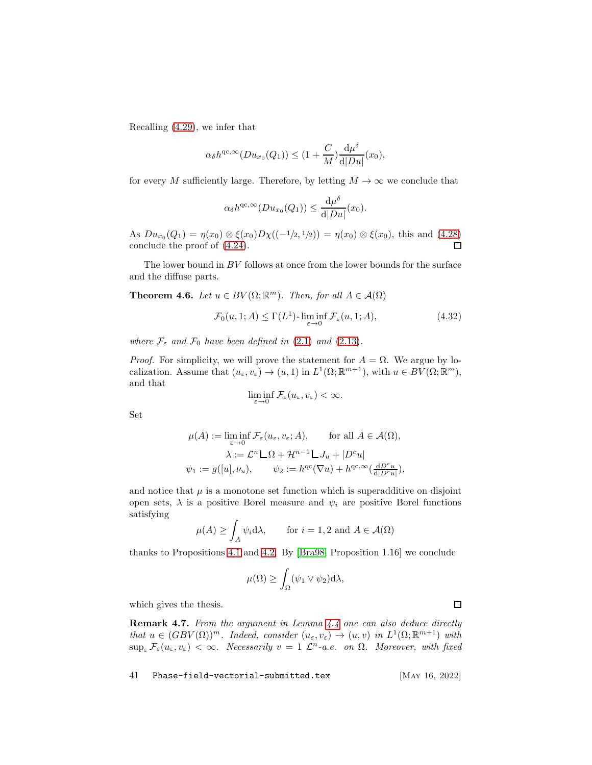Recalling [\(4.29\)](#page-39-0), we infer that

$$
\alpha_{\delta}h^{\mathrm{qc},\infty}(Du_{x_0}(Q_1)) \leq (1+\frac{C}{M})\frac{\mathrm{d}\mu^{\delta}}{\mathrm{d}|Du|}(x_0),
$$

for every M sufficiently large. Therefore, by letting  $M \to \infty$  we conclude that

$$
\alpha_{\delta}h^{\mathrm{qc},\infty}(Du_{x_0}(Q_1)) \leq \frac{\mathrm{d}\mu^{\delta}}{\mathrm{d}|Du|}(x_0).
$$

As  $Du_{x_0}(Q_1) = \eta(x_0) \otimes \xi(x_0)D\chi((-1/2, 1/2)) = \eta(x_0) \otimes \xi(x_0)$ , this and [\(4.28\)](#page-38-0) conclude the proof of [\(4.24\)](#page-36-1).

The lower bound in  $BV$  follows at once from the lower bounds for the surface and the diffuse parts.

<span id="page-40-1"></span>**Theorem 4.6.** Let  $u \in BV(\Omega;\mathbb{R}^m)$ . Then, for all  $A \in \mathcal{A}(\Omega)$ 

$$
\mathcal{F}_0(u, 1; A) \le \Gamma(L^1) \cdot \liminf_{\varepsilon \to 0} \mathcal{F}_\varepsilon(u, 1; A), \tag{4.32}
$$

where  $\mathcal{F}_{\varepsilon}$  and  $\mathcal{F}_{0}$  have been defined in [\(2.1\)](#page-5-4) and [\(2.13\)](#page-7-2).

*Proof.* For simplicity, we will prove the statement for  $A = \Omega$ . We argue by localization. Assume that  $(u_{\varepsilon}, v_{\varepsilon}) \to (u, 1)$  in  $L^1(\Omega; \mathbb{R}^{m+1})$ , with  $u \in BV(\Omega; \mathbb{R}^m)$ , and that

$$
\liminf_{\varepsilon \to 0} \mathcal{F}_{\varepsilon}(u_{\varepsilon}, v_{\varepsilon}) < \infty.
$$

Set

$$
\mu(A) := \liminf_{\varepsilon \to 0} \mathcal{F}_{\varepsilon}(u_{\varepsilon}, v_{\varepsilon}; A), \quad \text{for all } A \in \mathcal{A}(\Omega),
$$

$$
\lambda := \mathcal{L}^n \mathcal{L} \Omega + \mathcal{H}^{n-1} \mathcal{L} J_u + |D^c u|
$$

$$
\psi_1 := g([u], \nu_u), \quad \psi_2 := h^{\mathrm{qc}}(\nabla u) + h^{\mathrm{qc}, \infty}(\frac{\mathrm{d}D^c u}{\mathrm{d} |D^c u|}),
$$

and notice that  $\mu$  is a monotone set function which is superadditive on disjoint open sets,  $\lambda$  is a positive Borel measure and  $\psi_i$  are positive Borel functions satisfying

$$
\mu(A) \ge \int_A \psi_i \, d\lambda, \qquad \text{for } i = 1, 2 \text{ and } A \in \mathcal{A}(\Omega)
$$

thanks to Propositions [4.1](#page-30-1) and [4.2.](#page-32-1) By [\[Bra98,](#page-57-8) Proposition 1.16] we conclude

$$
\mu(\Omega) \ge \int_{\Omega} (\psi_1 \vee \psi_2) \mathrm{d}\lambda,
$$

which gives the thesis.

<span id="page-40-0"></span>Remark 4.7. From the argument in Lemma [4.4](#page-33-0) one can also deduce directly that  $u \in (GBV(\Omega))^m$ . Indeed, consider  $(u_\varepsilon, v_\varepsilon) \to (u, v)$  in  $L^1(\Omega; \mathbb{R}^{m+1})$  with  $\sup_{\varepsilon} \mathcal{F}_{\varepsilon}(u_{\varepsilon}, v_{\varepsilon}) < \infty$ . Necessarily  $v = 1 \mathcal{L}^n$ -a.e. on  $\Omega$ . Moreover, with fixed

41 Phase-field-vectorial-submitted.tex [May 16, 2022]

 $\Box$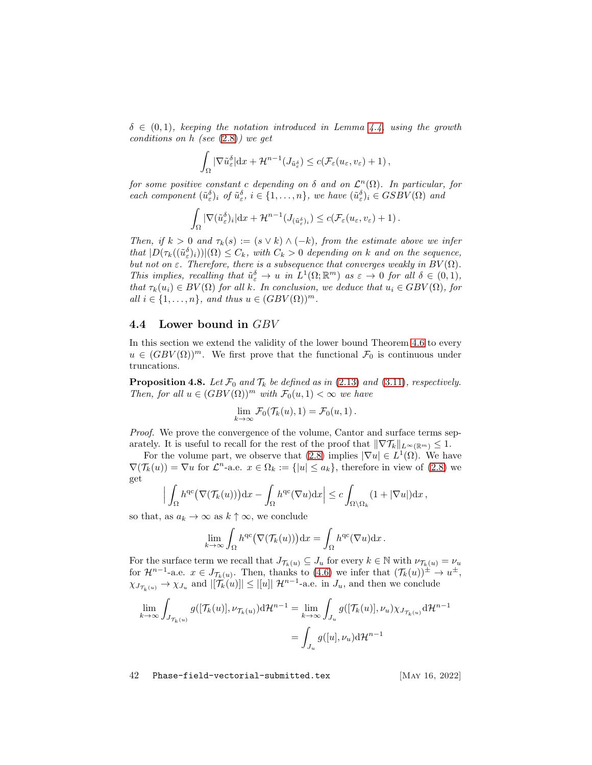$\delta \in (0,1)$ , keeping the notation introduced in Lemma [4.4,](#page-33-0) using the growth conditions on h (see [\(2.8\)](#page-6-7)) we get

$$
\int_{\Omega} |\nabla \tilde{u}_{\varepsilon}^{\delta}| dx + \mathcal{H}^{n-1}(J_{\tilde{u}_{\varepsilon}^{\delta}}) \leq c(\mathcal{F}_{\varepsilon}(u_{\varepsilon}, v_{\varepsilon}) + 1),
$$

for some positive constant c depending on  $\delta$  and on  $\mathcal{L}^n(\Omega)$ . In particular, for each component  $(\tilde{u}_{\varepsilon}^{\delta})_i$  of  $\tilde{u}_{\varepsilon}^{\delta}$ ,  $i \in \{1, ..., n\}$ , we have  $(\tilde{u}_{\varepsilon}^{\delta})_i \in GSBV(\Omega)$  and

$$
\int_{\Omega} |\nabla(\tilde u_{\varepsilon}^{\delta})_i| \mathrm{d} x + \mathcal{H}^{n-1}(J_{(\tilde u_{\varepsilon}^{\delta})_i}) \leq c(\mathcal{F}_{\varepsilon}(u_{\varepsilon}, v_{\varepsilon}) + 1).
$$

Then, if  $k > 0$  and  $\tau_k(s) := (s \vee k) \wedge (-k)$ , from the estimate above we infer that  $|D(\tau_k((\tilde{u}_{\varepsilon})_i))|(\Omega) \leq C_k$ , with  $C_k > 0$  depending on k and on the sequence, but not on  $\varepsilon$ . Therefore, there is a subsequence that converges weakly in  $BV(\Omega)$ . This implies, recalling that  $\tilde{u}_{\varepsilon}^{\delta} \to u$  in  $L^1(\Omega; \mathbb{R}^m)$  as  $\varepsilon \to 0$  for all  $\delta \in (0,1)$ , that  $\tau_k(u_i) \in BV(\Omega)$  for all k. In conclusion, we deduce that  $u_i \in GBV(\Omega)$ , for all  $i \in \{1, \ldots, n\}$ , and thus  $u \in (GBV(\Omega))^m$ .

### <span id="page-41-0"></span>4.4 Lower bound in GBV

In this section we extend the validity of the lower bound Theorem [4.6](#page-40-1) to every  $u \in (GBV(\Omega))^m$ . We first prove that the functional  $\mathcal{F}_0$  is continuous under truncations.

<span id="page-41-1"></span>**Proposition 4.8.** Let  $\mathcal{F}_0$  and  $\mathcal{T}_k$  be defined as in [\(2.13\)](#page-7-2) and [\(3.11\)](#page-16-2), respectively. Then, for all  $u \in (GBV(\Omega))^m$  with  $\mathcal{F}_0(u, 1) < \infty$  we have

$$
\lim_{k\to\infty}\mathcal{F}_0(\mathcal{T}_k(u),1)=\mathcal{F}_0(u,1).
$$

*Proof.* We prove the convergence of the volume, Cantor and surface terms separately. It is useful to recall for the rest of the proof that  $\|\nabla \mathcal{T}_k\|_{L^\infty(\mathbb{R}^m)} \leq 1$ .

For the volume part, we observe that [\(2.8\)](#page-6-7) implies  $|\nabla u| \in L^1(\Omega)$ . We have  $\nabla(\mathcal{T}_k(u)) = \nabla u$  for  $\mathcal{L}^n$ -a.e.  $x \in \Omega_k := \{|u| \le a_k\}$ , therefore in view of  $(2.8)$  we get

$$
\Big|\int_{\Omega} h^{\rm qc}\big(\nabla (\mathcal{T}_k(u))\big){\rm d} x-\int_{\Omega} h^{\rm qc}(\nabla u){\rm d} x\Big|\leq c\int_{\Omega\setminus\Omega_k}(1+|\nabla u|){\rm d} x\,,
$$

so that, as  $a_k \to \infty$  as  $k \uparrow \infty$ , we conclude

$$
\lim_{k \to \infty} \int_{\Omega} h^{\rm qc}\big(\nabla(\mathcal{T}_k(u))\big) \mathrm{d}x = \int_{\Omega} h^{\rm qc}(\nabla u) \mathrm{d}x.
$$

For the surface term we recall that  $J_{\mathcal{T}_k(u)} \subseteq J_u$  for every  $k \in \mathbb{N}$  with  $\nu_{\mathcal{T}_k(u)} = \nu_u$ for  $\mathcal{H}^{n-1}$ -a.e.  $x \in J_{\mathcal{T}_k(u)}$ . Then, thanks to [\(4.6\)](#page-30-3) we infer that  $(\mathcal{T}_k(u))^{\pm} \to u^{\pm}$ ,  $\chi_{J_{\mathcal{T}_k(u)}} \to \chi_{J_u}$  and  $|[\mathcal{T}_k(u)]| \leq |[u]| \mathcal{H}^{n-1}$ -a.e. in  $J_u$ , and then we conclude

$$
\lim_{k \to \infty} \int_{J_{\mathcal{T}_k(u)}} g([\mathcal{T}_k(u)], \nu_{\mathcal{T}_k(u)}) \mathrm{d} \mathcal{H}^{n-1} = \lim_{k \to \infty} \int_{J_u} g([\mathcal{T}_k(u)], \nu_u) \chi_{J_{\mathcal{T}_k(u)}} \mathrm{d} \mathcal{H}^{n-1}
$$
\n
$$
= \int_{J_u} g([u], \nu_u) \mathrm{d} \mathcal{H}^{n-1}
$$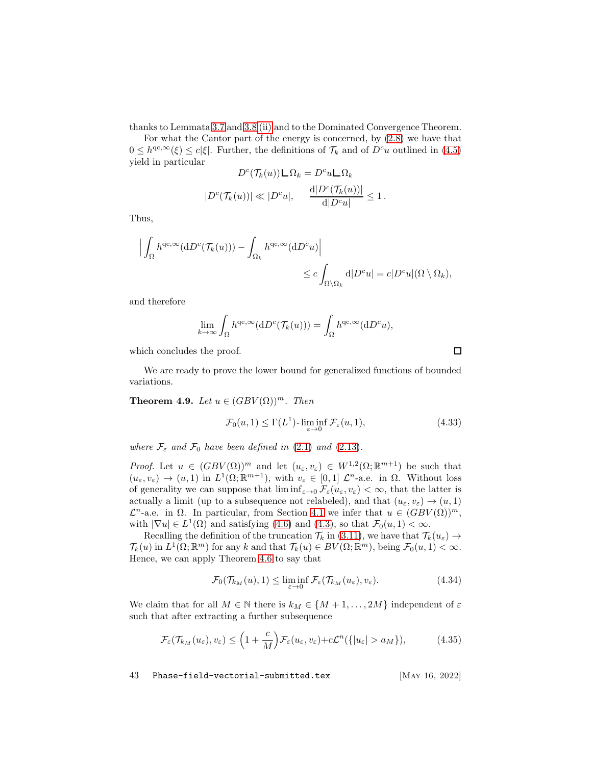thanks to Lemmata [3.7](#page-22-1) and 3.8 [\(ii\)](#page-23-1) and to the Dominated Convergence Theorem.

For what the Cantor part of the energy is concerned, by [\(2.8\)](#page-6-7) we have that  $0 \leq h^{\text{qc},\infty}(\xi) \leq c|\xi|$ . Further, the definitions of  $\mathcal{T}_k$  and of  $D^c u$  outlined in  $(4.5)$ yield in particular

$$
D^{c}(\mathcal{T}_{k}(u))\mathbf{\square}\Omega_{k} = D^{c}u\mathbf{\square}\Omega_{k}
$$

$$
|D^{c}(\mathcal{T}_{k}(u))| \ll |D^{c}u|, \quad \frac{d|D^{c}(\mathcal{T}_{k}(u))|}{d|D^{c}u|} \leq 1.
$$

Thus,

$$
\left| \int_{\Omega} h^{qc, \infty} (dD^c(\mathcal{T}_k(u))) - \int_{\Omega_k} h^{qc, \infty} (dD^c u) \right|
$$
  

$$
\leq c \int_{\Omega \setminus \Omega_k} d|D^c u| = c|D^c u|(\Omega \setminus \Omega_k),
$$

and therefore

$$
\lim_{k \to \infty} \int_{\Omega} h^{\text{qc}, \infty}(\mathrm{d}D^c(\mathcal{T}_k(u))) = \int_{\Omega} h^{\text{qc}, \infty}(\mathrm{d}D^c u),
$$

which concludes the proof.

We are ready to prove the lower bound for generalized functions of bounded variations.

<span id="page-42-0"></span>**Theorem 4.9.** Let  $u \in (GBV(\Omega))^m$ . Then

<span id="page-42-3"></span>
$$
\mathcal{F}_0(u,1) \le \Gamma(L^1) \cdot \liminf_{\varepsilon \to 0} \mathcal{F}_\varepsilon(u,1),\tag{4.33}
$$

where  $\mathcal{F}_{\varepsilon}$  and  $\mathcal{F}_{0}$  have been defined in [\(2.1\)](#page-5-4) and [\(2.13\)](#page-7-2).

*Proof.* Let  $u \in (GBV(\Omega))^m$  and let  $(u_\varepsilon, v_\varepsilon) \in W^{1,2}(\Omega; \mathbb{R}^{m+1})$  be such that  $(u_{\varepsilon}, v_{\varepsilon}) \to (u, 1)$  in  $L^1(\Omega; \mathbb{R}^{m+1})$ , with  $v_{\varepsilon} \in [0, 1]$   $\mathcal{L}^n$ -a.e. in  $\Omega$ . Without loss of generality we can suppose that  $\liminf_{\varepsilon\to 0} \mathcal{F}_{\varepsilon}(u_{\varepsilon}, v_{\varepsilon}) < \infty$ , that the latter is actually a limit (up to a subsequence not relabeled), and that  $(u_\varepsilon, v_\varepsilon) \to (u, 1)$  $\mathcal{L}^n$ -a.e. in  $\Omega$ . In particular, from Section [4.1](#page-29-1) we infer that  $u \in (GBV(\Omega))^m$ , with  $|\nabla u| \in L^1(\Omega)$  and satisfying [\(4.6\)](#page-30-3) and [\(4.3\)](#page-29-4), so that  $\mathcal{F}_0(u, 1) < \infty$ .

Recalling the definition of the truncation  $\mathcal{T}_k$  in [\(3.11\)](#page-16-2), we have that  $\mathcal{T}_k(u_\varepsilon) \to$  $\mathcal{T}_k(u)$  in  $L^1(\Omega;\mathbb{R}^m)$  for any k and that  $\mathcal{T}_k(u) \in BV(\Omega;\mathbb{R}^m)$ , being  $\mathcal{F}_0(u,1) < \infty$ . Hence, we can apply Theorem [4.6](#page-40-1) to say that

<span id="page-42-1"></span>
$$
\mathcal{F}_0(\mathcal{T}_{k_M}(u), 1) \le \liminf_{\varepsilon \to 0} \mathcal{F}_{\varepsilon}(\mathcal{T}_{k_M}(u_{\varepsilon}), v_{\varepsilon}). \tag{4.34}
$$

We claim that for all  $M \in \mathbb{N}$  there is  $k_M \in \{M+1,\ldots,2M\}$  independent of  $\varepsilon$ such that after extracting a further subsequence

<span id="page-42-2"></span>
$$
\mathcal{F}_{\varepsilon}(\mathcal{T}_{k_M}(u_{\varepsilon}), v_{\varepsilon}) \le \left(1 + \frac{c}{M}\right) \mathcal{F}_{\varepsilon}(u_{\varepsilon}, v_{\varepsilon}) + c \mathcal{L}^n(\{|u_{\varepsilon}| > a_M\}), \tag{4.35}
$$

43 Phase-field-vectorial-submitted.tex [May 16, 2022]

 $\Box$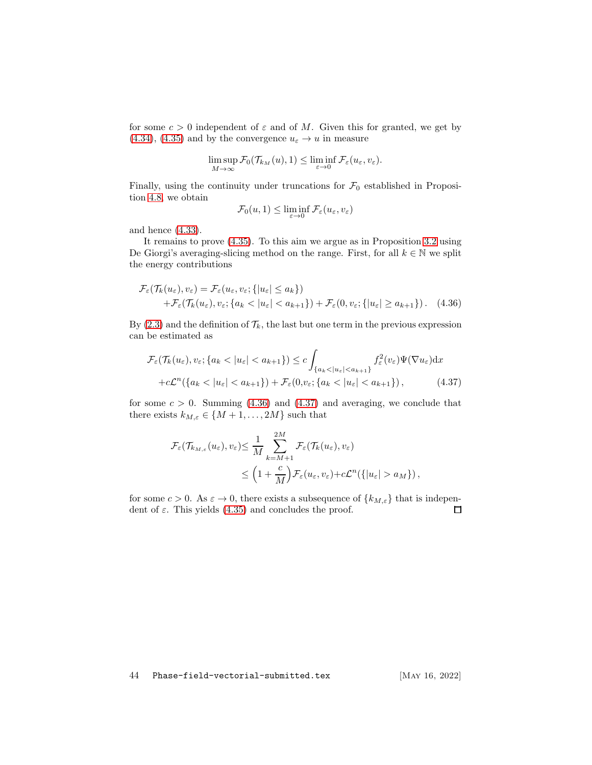for some  $c > 0$  independent of  $\varepsilon$  and of M. Given this for granted, we get by [\(4.34\)](#page-42-1), [\(4.35\)](#page-42-2) and by the convergence  $u_{\varepsilon} \to u$  in measure

$$
\limsup_{M\to\infty} \mathcal{F}_0(\mathcal{T}_{k_M}(u),1) \le \liminf_{\varepsilon\to 0} \mathcal{F}_\varepsilon(u_\varepsilon,v_\varepsilon).
$$

Finally, using the continuity under truncations for  $\mathcal{F}_0$  established in Proposition [4.8,](#page-41-1) we obtain

<span id="page-43-1"></span><span id="page-43-0"></span>
$$
\mathcal{F}_0(u,1) \le \liminf_{\varepsilon \to 0} \mathcal{F}_\varepsilon(u_\varepsilon,v_\varepsilon)
$$

and hence [\(4.33\)](#page-42-3).

It remains to prove [\(4.35\)](#page-42-2). To this aim we argue as in Proposition [3.2](#page-16-0) using De Giorgi's averaging-slicing method on the range. First, for all  $k \in \mathbb{N}$  we split the energy contributions

$$
\mathcal{F}_{\varepsilon}(\mathcal{T}_{k}(u_{\varepsilon}), v_{\varepsilon}) = \mathcal{F}_{\varepsilon}(u_{\varepsilon}, v_{\varepsilon}; \{ |u_{\varepsilon}| \le a_{k} \}) \n+ \mathcal{F}_{\varepsilon}(\mathcal{T}_{k}(u_{\varepsilon}), v_{\varepsilon}; \{ a_{k} < |u_{\varepsilon}| < a_{k+1} \}) + \mathcal{F}_{\varepsilon}(0, v_{\varepsilon}; \{ |u_{\varepsilon}| \ge a_{k+1} \}). \tag{4.36}
$$

By [\(2.3\)](#page-5-3) and the definition of  $\mathcal{T}_k$ , the last but one term in the previous expression can be estimated as

$$
\mathcal{F}_{\varepsilon}(\mathcal{T}_{k}(u_{\varepsilon}), v_{\varepsilon}; \{a_{k} < |u_{\varepsilon}| < a_{k+1}\}) \leq c \int_{\{a_{k} < |u_{\varepsilon}| < a_{k+1}\}} f_{\varepsilon}^{2}(v_{\varepsilon}) \Psi(\nabla u_{\varepsilon}) dx \n+ c\mathcal{L}^{n}(\{a_{k} < |u_{\varepsilon}| < a_{k+1}\}) + \mathcal{F}_{\varepsilon}(0, v_{\varepsilon}; \{a_{k} < |u_{\varepsilon}| < a_{k+1}\}),
$$
\n(4.37)

for some  $c > 0$ . Summing [\(4.36\)](#page-43-0) and [\(4.37\)](#page-43-1) and averaging, we conclude that there exists  $k_{M,\varepsilon} \in \{M+1,\ldots,2M\}$  such that

$$
\mathcal{F}_{\varepsilon}(\mathcal{T}_{k_{M,\varepsilon}}(u_{\varepsilon}),v_{\varepsilon}) \leq \frac{1}{M} \sum_{k=M+1}^{2M} \mathcal{F}_{\varepsilon}(\mathcal{T}_{k}(u_{\varepsilon}),v_{\varepsilon})\n\n\leq \left(1 + \frac{c}{M}\right) \mathcal{F}_{\varepsilon}(u_{\varepsilon},v_{\varepsilon}) + c\mathcal{L}^{n}(\{|u_{\varepsilon}| > a_{M}\}),
$$

for some  $c > 0$ . As  $\varepsilon \to 0$ , there exists a subsequence of  $\{k_{M,\varepsilon}\}\)$  that is independent of  $\varepsilon$ . This yields (4.35) and concludes the proof. dent of  $\varepsilon$ . This yields [\(4.35\)](#page-42-2) and concludes the proof.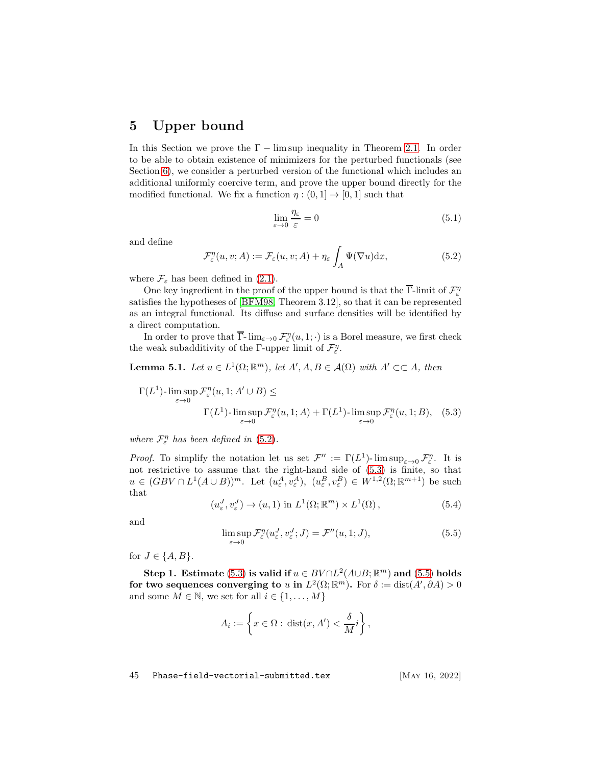### <span id="page-44-0"></span>5 Upper bound

In this Section we prove the  $\Gamma$  – lim sup inequality in Theorem [2.1.](#page-7-0) In order to be able to obtain existence of minimizers for the perturbed functionals (see Section [6\)](#page-52-0), we consider a perturbed version of the functional which includes an additional uniformly coercive term, and prove the upper bound directly for the modified functional. We fix a function  $\eta : (0,1] \to [0,1]$  such that

<span id="page-44-6"></span>
$$
\lim_{\varepsilon \to 0} \frac{\eta_{\varepsilon}}{\varepsilon} = 0 \tag{5.1}
$$

and define

<span id="page-44-1"></span>
$$
\mathcal{F}_{\varepsilon}^{\eta}(u,v;A) := \mathcal{F}_{\varepsilon}(u,v;A) + \eta_{\varepsilon} \int_{A} \Psi(\nabla u) \mathrm{d}x, \tag{5.2}
$$

where  $\mathcal{F}_{\varepsilon}$  has been defined in [\(2.1\)](#page-5-4).

One key ingredient in the proof of the upper bound is that the  $\overline{\Gamma}$ -limit of  $\mathcal{F}_{\varepsilon}^{\eta}$ satisfies the hypotheses of [\[BFM98,](#page-56-11) Theorem 3.12], so that it can be represented as an integral functional. Its diffuse and surface densities will be identified by a direct computation.

In order to prove that  $\overline{\Gamma}$ - $\lim_{\varepsilon \to 0} \mathcal{F}_{\varepsilon}^{\eta}(u,1; \cdot)$  is a Borel measure, we first check the weak subadditivity of the Γ-upper limit of  $\mathcal{F}_{\varepsilon}^{\eta}$ .

<span id="page-44-5"></span>**Lemma 5.1.** Let  $u \in L^1(\Omega; \mathbb{R}^m)$ , let  $A', A, B \in \mathcal{A}(\Omega)$  with  $A' \subset\subset A$ , then

$$
\Gamma(L^1) \text{-}\limsup_{\varepsilon \to 0} \mathcal{F}_\varepsilon^\eta(u, 1; A' \cup B) \le \Gamma(L^1) \text{-}\limsup_{\varepsilon \to 0} \mathcal{F}_\varepsilon^\eta(u, 1; A) + \Gamma(L^1) \text{-}\limsup_{\varepsilon \to 0} \mathcal{F}_\varepsilon^\eta(u, 1; B), \quad (5.3)
$$

where  $\mathcal{F}_{\varepsilon}^{\eta}$  has been defined in [\(5.2\)](#page-44-1).

*Proof.* To simplify the notation let us set  $\mathcal{F}'' := \Gamma(L^1)$ -  $\limsup_{\varepsilon \to 0} \mathcal{F}''_{\varepsilon}$ . It is not restrictive to assume that the right-hand side of [\(5.3\)](#page-44-2) is finite, so that  $u \in (GBV \cap L^1(A \cup B))^m$ . Let  $(u_{\varepsilon}^A, v_{\varepsilon}^A), (u_{\varepsilon}^B, v_{\varepsilon}^B) \in W^{1,2}(\Omega; \mathbb{R}^{m+1})$  be such that

<span id="page-44-4"></span><span id="page-44-2"></span>
$$
(u_{\varepsilon}^{J}, v_{\varepsilon}^{J}) \to (u, 1) \text{ in } L^{1}(\Omega; \mathbb{R}^{m}) \times L^{1}(\Omega), \qquad (5.4)
$$

and

<span id="page-44-3"></span>
$$
\limsup_{\varepsilon \to 0} \mathcal{F}_{\varepsilon}^{\eta}(u_{\varepsilon}^J, v_{\varepsilon}^J; J) = \mathcal{F}^{\prime\prime}(u, 1; J), \tag{5.5}
$$

for  $J \in \{A, B\}.$ 

Step 1. Estimate [\(5.3\)](#page-44-2) is valid if  $u \in BV \cap L^2(A \cup B; \mathbb{R}^m)$  and [\(5.5\)](#page-44-3) holds for two sequences converging to u in  $L^2(\Omega; \mathbb{R}^m)$ . For  $\delta := \text{dist}(A', \partial A) > 0$ and some  $M \in \mathbb{N}$ , we set for all  $i \in \{1, \ldots, M\}$ 

$$
A_i := \left\{ x \in \Omega : \operatorname{dist}(x, A') < \frac{\delta}{M} i \right\},\
$$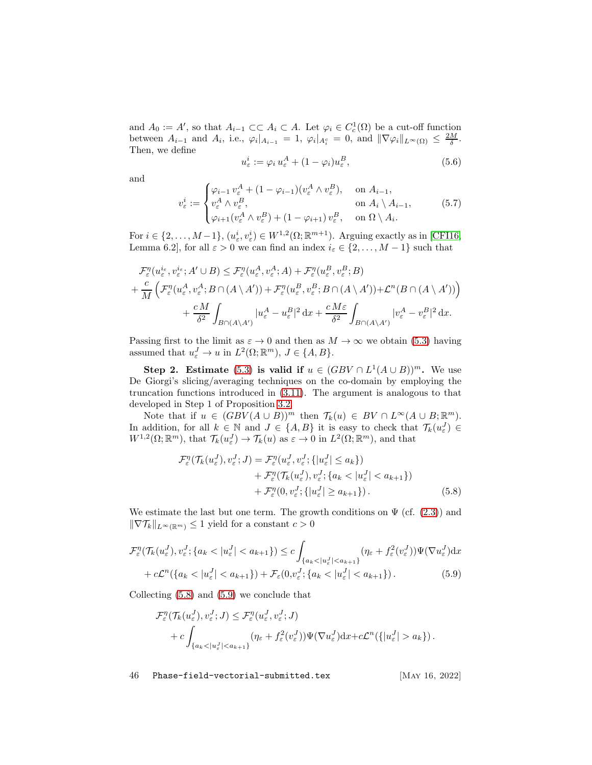and  $A_0 := A'$ , so that  $A_{i-1} \subset \subset A_i \subset A$ . Let  $\varphi_i \in C_c^1(\Omega)$  be a cut-off function between  $A_{i-1}$  and  $A_i$ , i.e.,  $\varphi_i|_{A_{i-1}} = 1$ ,  $\varphi_i|_{A_i^c} = 0$ , and  $\|\nabla \varphi_i\|_{L^{\infty}(\Omega)} \leq \frac{2M}{\delta}$ . Then, we define

$$
u_{\varepsilon}^{i} := \varphi_{i} u_{\varepsilon}^{A} + (1 - \varphi_{i}) u_{\varepsilon}^{B}, \qquad (5.6)
$$

and

$$
v_{\varepsilon}^{i} := \begin{cases} \varphi_{i-1} \, v_{\varepsilon}^{A} + (1 - \varphi_{i-1}) (v_{\varepsilon}^{A} \wedge v_{\varepsilon}^{B}), & \text{on } A_{i-1}, \\ v_{\varepsilon}^{A} \wedge v_{\varepsilon}^{B}, & \text{on } A_{i} \setminus A_{i-1}, \\ \varphi_{i+1} (v_{\varepsilon}^{A} \wedge v_{\varepsilon}^{B}) + (1 - \varphi_{i+1}) \, v_{\varepsilon}^{B}, & \text{on } \Omega \setminus A_{i}. \end{cases} \tag{5.7}
$$

For  $i \in \{2, ..., M-1\}$ ,  $(u_{\varepsilon}^i, v_{\varepsilon}^i) \in W^{1,2}(\Omega; \mathbb{R}^{m+1})$ . Arguing exactly as in [\[CFI16,](#page-57-10) Lemma 6.2], for all  $\varepsilon > 0$  we can find an index  $i_{\varepsilon} \in \{2, ..., M-1\}$  such that

$$
\mathcal{F}_{\varepsilon}^{\eta}(u_{\varepsilon}^{i_{\varepsilon}}, v_{\varepsilon}^{i_{\varepsilon}}; A' \cup B) \leq \mathcal{F}_{\varepsilon}^{\eta}(u_{\varepsilon}^{A}, v_{\varepsilon}^{A}; A) + \mathcal{F}_{\varepsilon}^{\eta}(u_{\varepsilon}^{B}, v_{\varepsilon}^{B}; B) \n+ \frac{c}{M} \left( \mathcal{F}_{\varepsilon}^{\eta}(u_{\varepsilon}^{A}, v_{\varepsilon}^{A}; B \cap (A \setminus A')) + \mathcal{F}_{\varepsilon}^{\eta}(u_{\varepsilon}^{B}, v_{\varepsilon}^{B}; B \cap (A \setminus A')) + \mathcal{L}^{\eta}(B \cap (A \setminus A')) \right) \n+ \frac{cM}{\delta^{2}} \int_{B \cap (A \setminus A')} |u_{\varepsilon}^{A} - u_{\varepsilon}^{B}|^{2} dx + \frac{cM\varepsilon}{\delta^{2}} \int_{B \cap (A \setminus A')} |v_{\varepsilon}^{A} - v_{\varepsilon}^{B}|^{2} dx.
$$

Passing first to the limit as  $\varepsilon \to 0$  and then as  $M \to \infty$  we obtain [\(5.3\)](#page-44-2) having assumed that  $u_{\varepsilon}^J \to u$  in  $L^2(\Omega; \mathbb{R}^m)$ ,  $J \in \{A, B\}$ .

Step 2. Estimate [\(5.3\)](#page-44-2) is valid if  $u \in (GBV \cap L^1(A \cup B))^m$ . We use De Giorgi's slicing/averaging techniques on the co-domain by employing the truncation functions introduced in [\(3.11\)](#page-16-2). The argument is analogous to that developed in Step 1 of Proposition [3.2.](#page-16-0)

Note that if  $u \in (GBV(A \cup B))^m$  then  $\mathcal{T}_k(u) \in BV \cap L^{\infty}(A \cup B; \mathbb{R}^m)$ . In addition, for all  $k \in \mathbb{N}$  and  $J \in \{A, B\}$  it is easy to check that  $\mathcal{T}_k(u_\varepsilon^J) \in$  $W^{1,2}(\Omega;\mathbb{R}^m)$ , that  $\mathcal{T}_k(u^J_\varepsilon) \to \mathcal{T}_k(u)$  as  $\varepsilon \to 0$  in  $L^2(\Omega;\mathbb{R}^m)$ , and that

$$
\mathcal{F}_{\varepsilon}^{\eta}(\mathcal{T}_{k}(u_{\varepsilon}^{J}), v_{\varepsilon}^{J}; J) = \mathcal{F}_{\varepsilon}^{\eta}(u_{\varepsilon}^{J}, v_{\varepsilon}^{J}; \{|u_{\varepsilon}^{J}| \le a_{k}\}) \n+ \mathcal{F}_{\varepsilon}^{\eta}(\mathcal{T}_{k}(u_{\varepsilon}^{J}), v_{\varepsilon}^{J}; \{a_{k} < |u_{\varepsilon}^{J}| < a_{k+1}\}) \n+ \mathcal{F}_{\varepsilon}^{\eta}(0, v_{\varepsilon}^{J}; \{|u_{\varepsilon}^{J}| \ge a_{k+1}\}).
$$
\n(5.8)

We estimate the last but one term. The growth conditions on  $\Psi$  (cf. [\(2.3\)](#page-5-3)) and  $\|\nabla \mathcal{T}_k\|_{L^\infty(\mathbb{R}^m)} \leq 1$  yield for a constant  $c > 0$ 

$$
\mathcal{F}_{\varepsilon}^{\eta}(\mathcal{T}_{k}(u_{\varepsilon}^{J}), v_{\varepsilon}^{J}; \{a_{k} < |u_{\varepsilon}^{J}| < a_{k+1}\}) \leq c \int_{\{a_{k} < |u_{\varepsilon}^{J}| < a_{k+1}\}} (\eta_{\varepsilon} + f_{\varepsilon}^{2}(v_{\varepsilon}^{J})) \Psi(\nabla u_{\varepsilon}^{J}) dx
$$

$$
+ c\mathcal{L}^{n}(\{a_{k} < |u_{\varepsilon}^{J}| < a_{k+1}\}) + \mathcal{F}_{\varepsilon}(0, v_{\varepsilon}^{J}; \{a_{k} < |u_{\varepsilon}^{J}| < a_{k+1}\}). \tag{5.9}
$$

Collecting [\(5.8\)](#page-45-0) and [\(5.9\)](#page-45-1) we conclude that

$$
\mathcal{F}_{\varepsilon}^{\eta}(\mathcal{T}_{k}(u_{\varepsilon}^{J}), v_{\varepsilon}^{J}; J) \leq \mathcal{F}_{\varepsilon}^{\eta}(u_{\varepsilon}^{J}, v_{\varepsilon}^{J}; J) \n+ c \int_{\{a_{k} < |u_{\varepsilon}^{J}| < a_{k+1}\}} (\eta_{\varepsilon} + f_{\varepsilon}^{2}(v_{\varepsilon}^{J})) \Psi(\nabla u_{\varepsilon}^{J}) dx + c\mathcal{L}^{n}(\{|u_{\varepsilon}^{J}| > a_{k}\}).
$$

<span id="page-45-1"></span><span id="page-45-0"></span>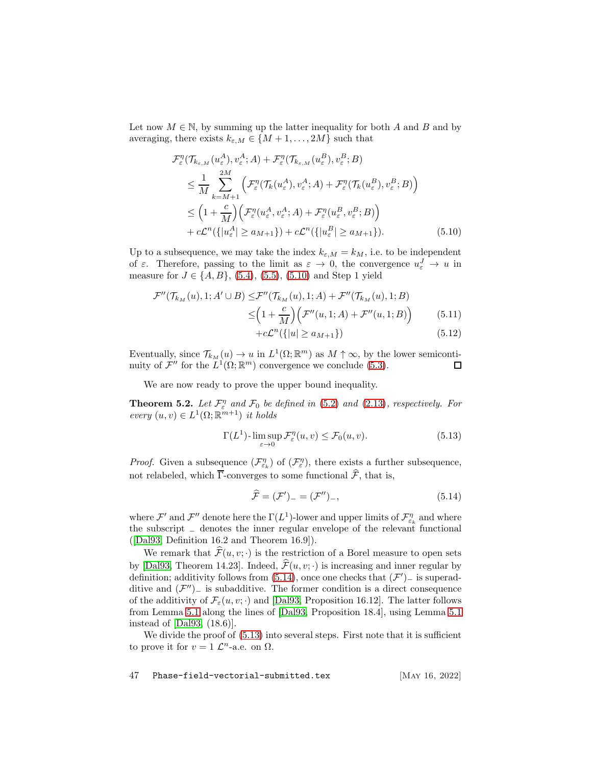Let now  $M \in \mathbb{N}$ , by summing up the latter inequality for both A and B and by averaging, there exists  $k_{\varepsilon,M} \in \{M+1,\ldots,2M\}$  such that

<span id="page-46-1"></span>
$$
\mathcal{F}_{\varepsilon}^{\eta}(\mathcal{T}_{k_{\varepsilon,M}}(u_{\varepsilon}^{A}), v_{\varepsilon}^{A}; A) + \mathcal{F}_{\varepsilon}^{\eta}(\mathcal{T}_{k_{\varepsilon,M}}(u_{\varepsilon}^{B}), v_{\varepsilon}^{B}; B) \n\leq \frac{1}{M} \sum_{k=M+1}^{2M} \left( \mathcal{F}_{\varepsilon}^{\eta}(\mathcal{T}_{k}(u_{\varepsilon}^{A}), v_{\varepsilon}^{A}; A) + \mathcal{F}_{\varepsilon}^{\eta}(\mathcal{T}_{k}(u_{\varepsilon}^{B}), v_{\varepsilon}^{B}; B) \right) \n\leq \left( 1 + \frac{c}{M} \right) \left( \mathcal{F}_{\varepsilon}^{\eta}(u_{\varepsilon}^{A}, v_{\varepsilon}^{A}; A) + \mathcal{F}_{\varepsilon}^{\eta}(u_{\varepsilon}^{B}, v_{\varepsilon}^{B}; B) \right) \n+ c\mathcal{L}^{n}(\{|u_{\varepsilon}^{A}| \geq a_{M+1}\}) + c\mathcal{L}^{n}(\{|u_{\varepsilon}^{B}| \geq a_{M+1}\}).
$$
\n(5.10)

Up to a subsequence, we may take the index  $k_{\varepsilon,M} = k_M$ , i.e. to be independent of  $\varepsilon$ . Therefore, passing to the limit as  $\varepsilon \to 0$ , the convergence  $u_{\varepsilon}^J \to u$  in measure for  $J \in \{A, B\}$ , [\(5.4\)](#page-44-4), [\(5.5\)](#page-44-3), [\(5.10\)](#page-46-1) and Step 1 yield

$$
\mathcal{F}''(\mathcal{T}_{k_M}(u), 1; A' \cup B) \leq \mathcal{F}''(\mathcal{T}_{k_M}(u), 1; A) + \mathcal{F}''(\mathcal{T}_{k_M}(u), 1; B) \n\leq \left(1 + \frac{c}{M}\right) \left(\mathcal{F}''(u, 1; A) + \mathcal{F}''(u, 1; B)\right) \n+ c\mathcal{L}^n(\{|u| \geq a_{M+1}\})
$$
\n(5.12)

Eventually, since  $\mathcal{T}_{k_M}(u) \to u$  in  $L^1(\Omega;\mathbb{R}^m)$  as  $M \uparrow \infty$ , by the lower semicontinuity of  $\mathcal{F}''$  for the  $L^1(\Omega;\mathbb{R}^m)$  convergence we conclude [\(5.3\)](#page-44-2).

We are now ready to prove the upper bound inequality.

<span id="page-46-0"></span>**Theorem 5.2.** Let  $\mathcal{F}_{\varepsilon}^{\eta}$  and  $\mathcal{F}_{0}$  be defined in [\(5.2\)](#page-44-1) and [\(2.13\)](#page-7-2), respectively. For every  $(u, v) \in L^1(\Omega; \mathbb{R}^{m+1})$  it holds

<span id="page-46-3"></span>
$$
\Gamma(L^1) - \limsup_{\varepsilon \to 0} \mathcal{F}_\varepsilon^\eta(u, v) \le \mathcal{F}_0(u, v). \tag{5.13}
$$

*Proof.* Given a subsequence  $(\mathcal{F}_{\varepsilon_k}^{\eta})$  of  $(\mathcal{F}_{\varepsilon}^{\eta})$ , there exists a further subsequence, not relabeled, which  $\overline{\Gamma}$ -converges to some functional  $\widehat{\mathcal{F}}$ , that is,

<span id="page-46-2"></span>
$$
\widehat{\mathcal{F}} = (\mathcal{F}')_{-} = (\mathcal{F}'')_{-},\tag{5.14}
$$

where  $\mathcal{F}'$  and  $\mathcal{F}''$  denote here the  $\Gamma(L^1)$ -lower and upper limits of  $\mathcal{F}_{\varepsilon_k}^{\eta}$  and where the subscript <sup>−</sup> denotes the inner regular envelope of the relevant functional ([\[Dal93,](#page-58-11) Definition 16.2 and Theorem 16.9]).

We remark that  $\widehat{\mathcal{F}}(u, v; \cdot)$  is the restriction of a Borel measure to open sets by [\[Dal93,](#page-58-11) Theorem 14.23]. Indeed,  $\hat{\mathcal{F}}(u, v; \cdot)$  is increasing and inner regular by definition; additivity follows from  $(5.14)$ , once one checks that  $(F')$  is superadditive and  $(\mathcal{F}'')$  is subadditive. The former condition is a direct consequence of the additivity of  $\mathcal{F}_{\varepsilon}(u, v; \cdot)$  and [\[Dal93,](#page-58-11) Proposition 16.12]. The latter follows from Lemma [5.1](#page-44-5) along the lines of [\[Dal93,](#page-58-11) Proposition 18.4], using Lemma [5.1](#page-44-5) instead of [\[Dal93,](#page-58-11) (18.6)].

We divide the proof of  $(5.13)$  into several steps. First note that it is sufficient to prove it for  $v = 1 \mathcal{L}^n$ -a.e. on  $\Omega$ .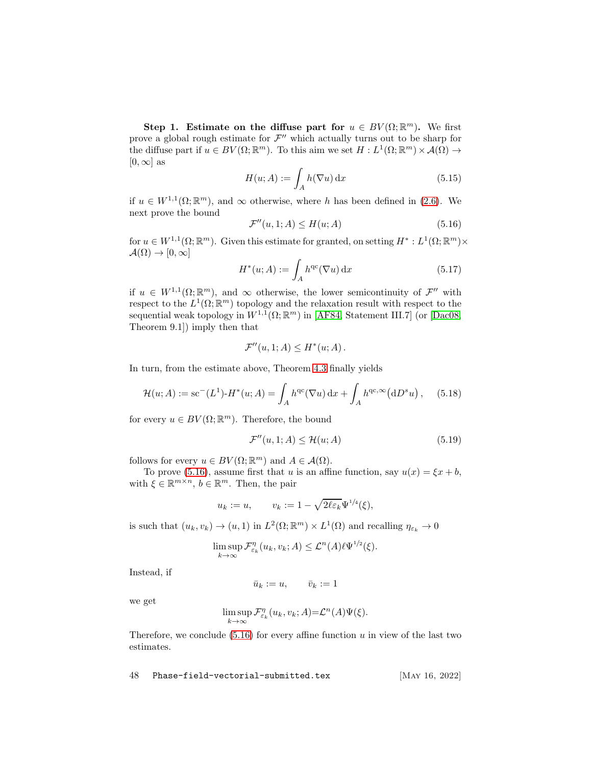Step 1. Estimate on the diffuse part for  $u \in BV(\Omega;\mathbb{R}^m)$ . We first prove a global rough estimate for  $\mathcal{F}''$  which actually turns out to be sharp for the diffuse part if  $u \in BV(\Omega;\mathbb{R}^m)$ . To this aim we set  $H: L^1(\Omega;\mathbb{R}^m) \times \mathcal{A}(\Omega) \to$  $[0, \infty]$  as

$$
H(u; A) := \int_{A} h(\nabla u) dx
$$
\n(5.15)

if  $u \in W^{1,1}(\Omega;\mathbb{R}^m)$ , and  $\infty$  otherwise, where h has been defined in [\(2.6\)](#page-6-3). We next prove the bound

<span id="page-47-0"></span>
$$
\mathcal{F}''(u,1;A) \le H(u;A) \tag{5.16}
$$

for  $u \in W^{1,1}(\Omega;\mathbb{R}^m)$ . Given this estimate for granted, on setting  $H^*: L^1(\Omega;\mathbb{R}^m) \times$  $\mathcal{A}(\Omega) \to [0,\infty]$ 

$$
H^*(u;A) := \int_A h^{qc}(\nabla u) dx \qquad (5.17)
$$

if  $u \in W^{1,1}(\Omega;\mathbb{R}^m)$ , and  $\infty$  otherwise, the lower semicontinuity of  $\mathcal{F}''$  with respect to the  $L^1(\Omega;\mathbb{R}^m)$  topology and the relaxation result with respect to the sequential weak topology in  $W^{1,1}(\Omega;\mathbb{R}^m)$  in [\[AF84,](#page-55-7) Statement III.7] (or [\[Dac08,](#page-58-10) Theorem 9.1]) imply then that

$$
\mathcal{F}''(u,1;A) \leq H^*(u;A).
$$

In turn, from the estimate above, Theorem [4.3](#page-33-1) finally yields

<span id="page-47-1"></span>
$$
\mathcal{H}(u;A) := \mathrm{sc}^{-}(L^{1}) \cdot H^{*}(u;A) = \int_{A} h^{\mathrm{qc}}(\nabla u) dx + \int_{A} h^{\mathrm{qc},\infty}(\mathrm{d}D^{s}u), \quad (5.18)
$$

for every  $u \in BV(\Omega;\mathbb{R}^m)$ . Therefore, the bound

<span id="page-47-2"></span>
$$
\mathcal{F}''(u,1;A) \le \mathcal{H}(u;A) \tag{5.19}
$$

follows for every  $u \in BV(\Omega;\mathbb{R}^m)$  and  $A \in \mathcal{A}(\Omega)$ .

To prove [\(5.16\)](#page-47-0), assume first that u is an affine function, say  $u(x) = \xi x + b$ , with  $\xi \in \mathbb{R}^{m \times n}$ ,  $b \in \mathbb{R}^m$ . Then, the pair

$$
u_k := u, \qquad v_k := 1 - \sqrt{2\ell\varepsilon_k} \Psi^{1/4}(\xi),
$$

is such that  $(u_k, v_k) \to (u, 1)$  in  $L^2(\Omega; \mathbb{R}^m) \times L^1(\Omega)$  and recalling  $\eta_{\varepsilon_k} \to 0$ 

$$
\limsup_{k \to \infty} \mathcal{F}_{\varepsilon_k}^{\eta}(u_k, v_k; A) \leq \mathcal{L}^n(A) \ell \Psi^{1/2}(\xi).
$$

Instead, if

$$
\bar{u}_k := u, \qquad \bar{v}_k := 1
$$

we get

$$
\limsup_{k \to \infty} \mathcal{F}_{\varepsilon_k}^{\eta}(u_k, v_k; A) = \mathcal{L}^n(A)\Psi(\xi).
$$

Therefore, we conclude  $(5.16)$  for every affine function u in view of the last two estimates.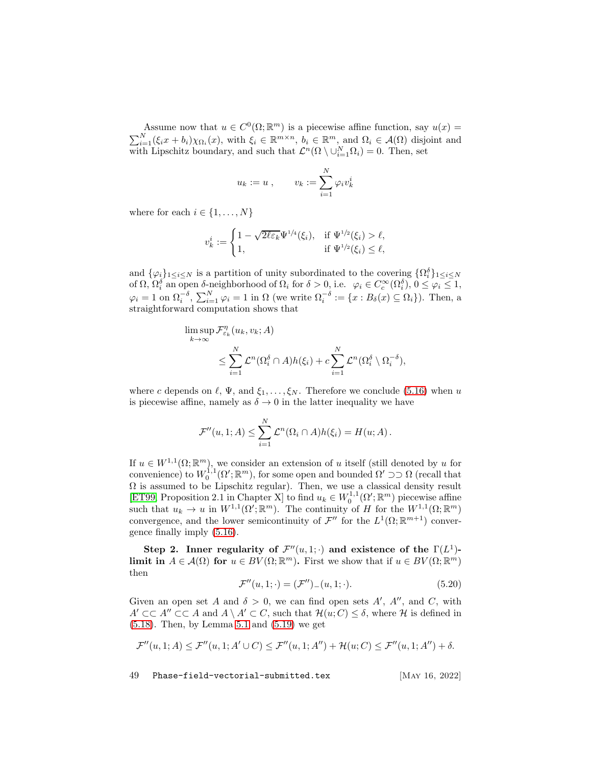Assume now that  $u \in C^0(\Omega; \mathbb{R}^m)$  is a piecewise affine function, say  $u(x) =$  $\sum_{i=1}^{N}(\xi_i x + b_i)\chi_{\Omega_i}(x)$ , with  $\xi_i \in \mathbb{R}^{m \times n}$ ,  $b_i \in \mathbb{R}^m$ , and  $\Omega_i \in \mathcal{A}(\Omega)$  disjoint and with Lipschitz boundary, and such that  $\mathcal{L}^n(\Omega \setminus \cup_{i=1}^N \Omega_i) = 0$ . Then, set

$$
u_k := u , \qquad v_k := \sum_{i=1}^N \varphi_i v_k^i
$$

where for each  $i \in \{1, \ldots, N\}$ 

$$
v_k^i := \begin{cases} 1 - \sqrt{2\ell\varepsilon_k} \Psi^{1/4}(\xi_i), & \text{if } \Psi^{1/2}(\xi_i) > \ell, \\ 1, & \text{if } \Psi^{1/2}(\xi_i) \le \ell, \end{cases}
$$

and  $\{\varphi_i\}_{1\leq i\leq N}$  is a partition of unity subordinated to the covering  $\{\Omega_i^{\delta}\}_{1\leq i\leq N}$ of  $\Omega$ ,  $\Omega_i^{\delta}$  an open  $\delta$ -neighborhood of  $\Omega_i$  for  $\delta > 0$ , i.e.  $\varphi_i \in C_c^{\infty}(\Omega_i^{\delta}), 0 \leq \varphi_i \leq 1$ ,  $\varphi_i = 1$  on  $\Omega_i^{-\delta}, \sum_{i=1}^N \varphi_i = 1$  in  $\Omega$  (we write  $\Omega_i^{-\delta} := \{x : B_\delta(x) \subseteq \Omega_i\}$ ). Then, a straightforward computation shows that

$$
\limsup_{k \to \infty} \mathcal{F}_{\varepsilon_k}^{\eta}(u_k, v_k; A) \leq \sum_{i=1}^N \mathcal{L}^n(\Omega_i^{\delta} \cap A) h(\xi_i) + c \sum_{i=1}^N \mathcal{L}^n(\Omega_i^{\delta} \setminus \Omega_i^{-\delta}),
$$

where c depends on  $\ell$ ,  $\Psi$ , and  $\xi_1, \ldots, \xi_N$ . Therefore we conclude [\(5.16\)](#page-47-0) when u is piecewise affine, namely as  $\delta \to 0$  in the latter inequality we have

$$
\mathcal{F}''(u,1;A) \leq \sum_{i=1}^N \mathcal{L}^n(\Omega_i \cap A)h(\xi_i) = H(u;A).
$$

If  $u \in W^{1,1}(\Omega;\mathbb{R}^m)$ , we consider an extension of u itself (still denoted by u for convenience) to  $W_0^{1,1}(\Omega';\mathbb{R}^m)$ , for some open and bounded  $\Omega' \supset \supset \Omega$  (recall that  $\Omega$  is assumed to be Lipschitz regular). Then, we use a classical density result [\[ET99,](#page-58-12) Proposition 2.1 in Chapter X] to find  $u_k \in W_0^{1,1}(\Omega';\mathbb{R}^m)$  piecewise affine such that  $u_k \to u$  in  $W^{1,1}(\Omega'; \mathbb{R}^m)$ . The continuity of H for the  $W^{1,1}(\Omega; \mathbb{R}^m)$ <br>such that  $u_k \to u$  in  $W^{1,1}(\Omega'; \mathbb{R}^m)$ . The continuity of H for the  $W^{1,1}(\Omega; \mathbb{R}^m)$ convergence, and the lower semicontinuity of  $\mathcal{F}''$  for the  $L^1(\Omega;\mathbb{R}^{m+1})$  convergence finally imply [\(5.16\)](#page-47-0).

Step 2. Inner regularity of  $\mathcal{F}''(u,1; \cdot)$  and existence of the  $\Gamma(L^1)$ limit in  $A \in \mathcal{A}(\Omega)$  for  $u \in BV(\Omega;\mathbb{R}^m)$ . First we show that if  $u \in BV(\Omega;\mathbb{R}^m)$ then

<span id="page-48-0"></span>
$$
\mathcal{F}''(u, 1; \cdot) = (\mathcal{F}'')_{-}(u, 1; \cdot). \tag{5.20}
$$

Given an open set A and  $\delta > 0$ , we can find open sets A', A'', and C, with  $A' \subset\subset A'' \subset\subset A$  and  $A \setminus A' \subset C$ , such that  $\mathcal{H}(u;C) \leq \delta$ , where  $\mathcal{H}$  is defined in [\(5.18\)](#page-47-1). Then, by Lemma [5.1](#page-44-5) and [\(5.19\)](#page-47-2) we get

$$
\mathcal{F}''(u,1;A) \le \mathcal{F}''(u,1;A' \cup C) \le \mathcal{F}''(u,1;A'') + \mathcal{H}(u;C) \le \mathcal{F}''(u,1;A'') + \delta.
$$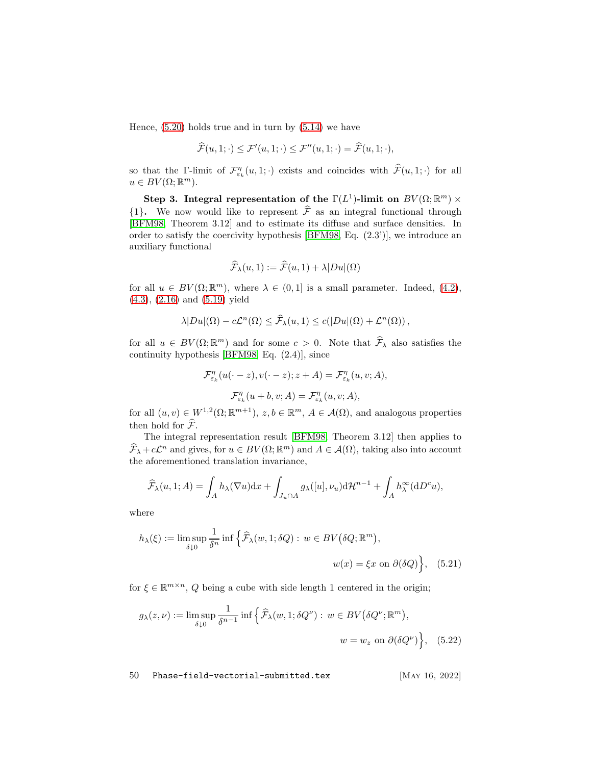Hence,  $(5.20)$  holds true and in turn by  $(5.14)$  we have

$$
\widehat{\mathcal{F}}(u,1;\cdot) \le \mathcal{F}'(u,1;\cdot) \le \mathcal{F}''(u,1;\cdot) = \widehat{\mathcal{F}}(u,1;\cdot),
$$

so that the Γ-limit of  $\mathcal{F}_{\varepsilon_k}^{\eta}(u,1; \cdot)$  exists and coincides with  $\mathcal{F}(u,1; \cdot)$  for all  $u \in BV(\Omega;\mathbb{R}^m)$ .

Step 3. Integral representation of the  $\Gamma(L^1)$ -limit on  $BV(\Omega;\mathbb{R}^m)\times$  $\{1\}$ . We now would like to represent  $\hat{\mathcal{F}}$  as an integral functional through [\[BFM98,](#page-56-11) Theorem 3.12] and to estimate its diffuse and surface densities. In order to satisfy the coercivity hypothesis [\[BFM98,](#page-56-11) Eq. (2.3')], we introduce an auxiliary functional

$$
\widehat{\mathcal{F}}_{\lambda}(u,1) := \widehat{\mathcal{F}}(u,1) + \lambda |Du|(\Omega)
$$

for all  $u \in BV(\Omega;\mathbb{R}^m)$ , where  $\lambda \in (0,1]$  is a small parameter. Indeed, [\(4.2\)](#page-29-3), [\(4.3\)](#page-29-4), [\(2.16\)](#page-8-7) and [\(5.19\)](#page-47-2) yield

$$
\lambda |Du|(\Omega) - c\mathcal{L}^n(\Omega) \leq \widehat{\mathcal{F}}_\lambda(u,1) \leq c(|Du|(\Omega) + \mathcal{L}^n(\Omega)),
$$

for all  $u \in BV(\Omega;\mathbb{R}^m)$  and for some  $c > 0$ . Note that  $\widehat{\mathcal{F}}_{\lambda}$  also satisfies the continuity hypothesis [\[BFM98,](#page-56-11) Eq. (2.4)], since

$$
\mathcal{F}_{\varepsilon_k}^{\eta}(u(\cdot - z), v(\cdot - z); z + A) = \mathcal{F}_{\varepsilon_k}^{\eta}(u, v; A),
$$

$$
\mathcal{F}_{\varepsilon_k}^{\eta}(u + b, v; A) = \mathcal{F}_{\varepsilon_k}^{\eta}(u, v; A),
$$

for all  $(u, v) \in W^{1,2}(\Omega; \mathbb{R}^{m+1}), z, b \in \mathbb{R}^m, A \in \mathcal{A}(\Omega)$ , and analogous properties then hold for  $\widehat{\mathcal{F}}$ .

The integral representation result [\[BFM98,](#page-56-11) Theorem 3.12] then applies to  $\widehat{F}_{\lambda} + c\mathcal{L}^n$  and gives, for  $u \in BV(\Omega;\mathbb{R}^m)$  and  $A \in \mathcal{A}(\Omega)$ , taking also into account the aforementioned translation invariance,

$$
\widehat{\mathcal{F}}_{\lambda}(u,1;A) = \int_{A} h_{\lambda}(\nabla u) dx + \int_{J_u \cap A} g_{\lambda}([u],\nu_u) d\mathcal{H}^{n-1} + \int_{A} h_{\lambda}^{\infty}(dD^c u),
$$

where

$$
h_{\lambda}(\xi) := \limsup_{\delta \downarrow 0} \frac{1}{\delta^n} \inf \left\{ \widehat{\mathcal{F}}_{\lambda}(w, 1; \delta Q) : w \in BV(\delta Q; \mathbb{R}^m), \right\}
$$

$$
w(x) = \xi x \text{ on } \partial(\delta Q) \left\}, \quad (5.21)
$$

for  $\xi \in \mathbb{R}^{m \times n}$ , Q being a cube with side length 1 centered in the origin;

$$
g_{\lambda}(z,\nu) := \limsup_{\delta \downarrow 0} \frac{1}{\delta^{n-1}} \inf \left\{ \widehat{\mathcal{F}}_{\lambda}(w, 1; \delta Q^{\nu}) : w \in BV(\delta Q^{\nu}; \mathbb{R}^m), \right\}
$$
  

$$
w = w_z \text{ on } \partial(\delta Q^{\nu}) \left\}, \quad (5.22)
$$

<span id="page-49-0"></span>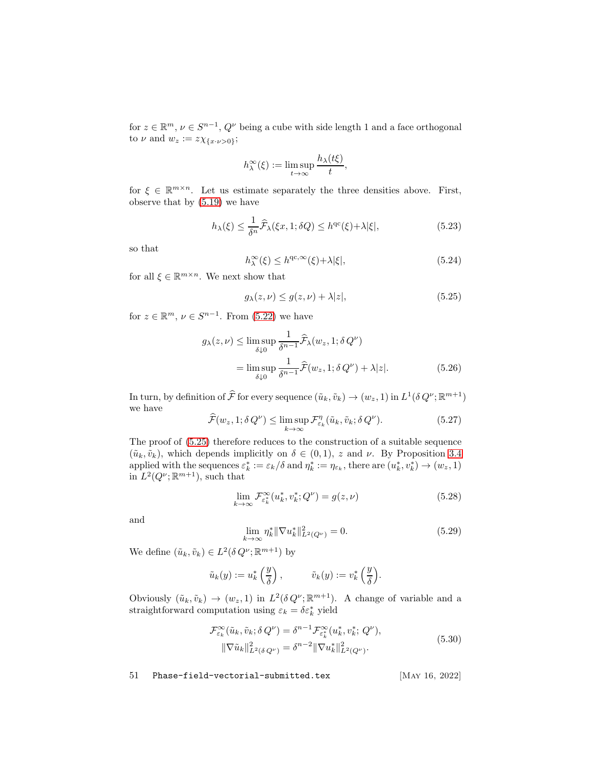for  $z \in \mathbb{R}^m$ ,  $\nu \in S^{n-1}$ ,  $Q^{\nu}$  being a cube with side length 1 and a face orthogonal to  $\nu$  and  $w_z := z \chi_{\{x \cdot \nu > 0\}};$ 

$$
h_{\lambda}^{\infty}(\xi) := \limsup_{t \to \infty} \frac{h_{\lambda}(t\xi)}{t},
$$

for  $\xi \in \mathbb{R}^{m \times n}$ . Let us estimate separately the three densities above. First, observe that by [\(5.19\)](#page-47-2) we have

<span id="page-50-6"></span>
$$
h_{\lambda}(\xi) \le \frac{1}{\delta^n} \widehat{\mathcal{F}}_{\lambda}(\xi x, 1; \delta Q) \le h^{\mathrm{qc}}(\xi) + \lambda |\xi|,
$$
\n(5.23)

so that

<span id="page-50-7"></span>
$$
h_{\lambda}^{\infty}(\xi) \le h^{\mathrm{qc}, \infty}(\xi) + \lambda |\xi|,
$$
\n(5.24)

for all  $\xi \in \mathbb{R}^{m \times n}$ . We next show that

<span id="page-50-5"></span><span id="page-50-0"></span>
$$
g_{\lambda}(z,\nu) \le g(z,\nu) + \lambda |z|,\tag{5.25}
$$

for  $z \in \mathbb{R}^m$ ,  $\nu \in S^{n-1}$ . From [\(5.22\)](#page-49-0) we have

$$
g_{\lambda}(z,\nu) \le \limsup_{\delta \downarrow 0} \frac{1}{\delta^{n-1}} \widehat{\mathcal{F}}_{\lambda}(w_z, 1; \delta Q^{\nu})
$$
  
= 
$$
\limsup_{\delta \downarrow 0} \frac{1}{\delta^{n-1}} \widehat{\mathcal{F}}(w_z, 1; \delta Q^{\nu}) + \lambda |z|.
$$
 (5.26)

In turn, by definition of  $\hat{\mathcal{F}}$  for every sequence  $(\tilde{u}_k, \tilde{v}_k) \to (w_z, 1)$  in  $L^1(\delta Q^{\nu}; \mathbb{R}^{m+1})$ we have

<span id="page-50-2"></span>
$$
\widehat{\mathcal{F}}(w_z, 1; \delta Q^{\nu}) \le \limsup_{k \to \infty} \mathcal{F}_{\varepsilon_k}^{\eta}(\tilde{u}_k, \tilde{v}_k; \delta Q^{\nu}). \tag{5.27}
$$

The proof of [\(5.25\)](#page-50-0) therefore reduces to the construction of a suitable sequence  $(\tilde{u}_k, \tilde{v}_k)$ , which depends implicitly on  $\delta \in (0, 1)$ , z and  $\nu$ . By Proposition [3.4](#page-19-2) applied with the sequences  $\varepsilon_k^* := \varepsilon_k/\delta$  and  $\eta_k^* := \eta_{\varepsilon_k}$ , there are  $(u_k^*, v_k^*) \to (w_z, 1)$ in  $L^2(Q^{\nu}; \mathbb{R}^{m+1})$ , such that

<span id="page-50-3"></span>
$$
\lim_{k \to \infty} \mathcal{F}_{\varepsilon_k^*}^{\infty}(u_k^*, v_k^*; Q^{\nu}) = g(z, \nu)
$$
\n(5.28)

and

<span id="page-50-4"></span>
$$
\lim_{k \to \infty} \eta_k^* \|\nabla u_k^*\|_{L^2(Q^\nu)}^2 = 0. \tag{5.29}
$$

We define  $(\tilde{u}_k, \tilde{v}_k) \in L^2(\delta Q^{\nu}; \mathbb{R}^{m+1})$  by

$$
\tilde{u}_k(y) := u_k^* \left( \frac{y}{\delta} \right), \qquad \tilde{v}_k(y) := v_k^* \left( \frac{y}{\delta} \right).
$$

Obviously  $(\tilde{u}_k, \tilde{v}_k) \to (w_z, 1)$  in  $L^2(\delta Q^{\nu}; \mathbb{R}^{m+1})$ . A change of variable and a straightforward computation using  $\varepsilon_k = \delta \varepsilon_k^*$  yield

<span id="page-50-1"></span>
$$
\mathcal{F}_{\varepsilon_k}^{\infty}(\tilde{u}_k, \tilde{v}_k; \delta Q^{\nu}) = \delta^{n-1} \mathcal{F}_{\varepsilon_k^*}^{\infty}(u_k^*, v_k^*; Q^{\nu}), \|\nabla \tilde{u}_k\|_{L^2(\delta Q^{\nu})}^2 = \delta^{n-2} \|\nabla u_k^*\|_{L^2(Q^{\nu})}^2.
$$
\n(5.30)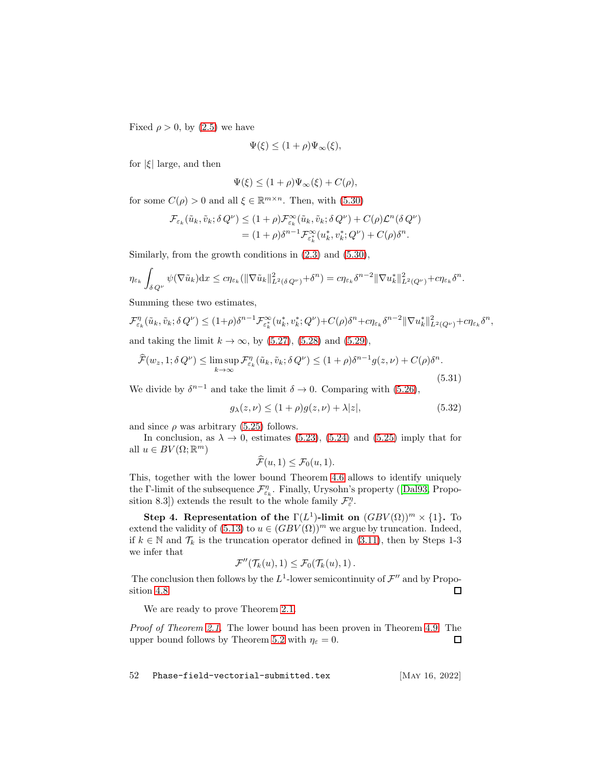Fixed  $\rho > 0$ , by [\(2.5\)](#page-6-0) we have

$$
\Psi(\xi) \le (1+\rho)\Psi_{\infty}(\xi),
$$

for  $|\xi|$  large, and then

$$
\Psi(\xi) \le (1+\rho)\Psi_{\infty}(\xi) + C(\rho),
$$

for some  $C(\rho) > 0$  and all  $\xi \in \mathbb{R}^{m \times n}$ . Then, with [\(5.30\)](#page-50-1)

$$
\mathcal{F}_{\varepsilon_k}(\tilde{u}_k, \tilde{v}_k; \delta Q^{\nu}) \le (1+\rho) \mathcal{F}_{\varepsilon_k}^{\infty}(\tilde{u}_k, \tilde{v}_k; \delta Q^{\nu}) + C(\rho) \mathcal{L}^n (\delta Q^{\nu})
$$
  
=  $(1+\rho) \delta^{n-1} \mathcal{F}_{\varepsilon_k}^{\infty}(u_k^*, v_k^*; Q^{\nu}) + C(\rho) \delta^n.$ 

Similarly, from the growth conditions in [\(2.3\)](#page-5-3) and [\(5.30\)](#page-50-1),

$$
\eta_{\varepsilon_k} \int_{\delta Q^{\nu}} \psi(\nabla \tilde{u}_k) dx \leq c \eta_{\varepsilon_k} (\|\nabla \tilde{u}_k\|_{L^2(\delta Q^{\nu})}^2 + \delta^n) = c \eta_{\varepsilon_k} \delta^{n-2} \|\nabla u_k^*\|_{L^2(Q^{\nu})}^2 + c \eta_{\varepsilon_k} \delta^n.
$$

Summing these two estimates,

$$
\mathcal{F}_{\varepsilon_k}^{\eta}(\tilde{u}_k, \tilde{v}_k; \delta Q^{\nu}) \le (1+\rho)\delta^{n-1}\mathcal{F}_{\varepsilon_k}^{\infty}(u_k^*, v_k^*; Q^{\nu}) + C(\rho)\delta^n + c\eta_{\varepsilon_k}\delta^{n-2} \|\nabla u_k^*\|_{L^2(Q^{\nu})}^2 + c\eta_{\varepsilon_k}\delta^n,
$$
  
and taking the limit  $k \to \infty$ , by (5.27), (5.28) and (5.29),

$$
\widehat{\mathcal{F}}(w_z, 1; \delta Q^{\nu}) \le \limsup_{k \to \infty} \mathcal{F}_{\varepsilon_k}^n(\tilde{u}_k, \tilde{v}_k; \delta Q^{\nu}) \le (1 + \rho)\delta^{n-1} g(z, \nu) + C(\rho)\delta^n.
$$
\n(5.31)

We divide by  $\delta^{n-1}$  and take the limit  $\delta \to 0$ . Comparing with [\(5.26\)](#page-50-5),

$$
g_{\lambda}(z,\nu) \le (1+\rho)g(z,\nu) + \lambda|z|,\tag{5.32}
$$

and since  $\rho$  was arbitrary [\(5.25\)](#page-50-0) follows.

In conclusion, as  $\lambda \to 0$ , estimates [\(5.23\)](#page-50-6), [\(5.24\)](#page-50-7) and [\(5.25\)](#page-50-0) imply that for all  $u \in BV(\Omega;\mathbb{R}^m)$ 

$$
\widehat{\mathcal{F}}(u,1)\leq \mathcal{F}_0(u,1).
$$

This, together with the lower bound Theorem [4.6](#page-40-1) allows to identify uniquely theΓ-limit of the subsequence  $\mathcal{F}_{\varepsilon_k}^{\eta}$ . Finally, Urysohn's property ([\[Dal93,](#page-58-11) Proposition 8.3]) extends the result to the whole family  $\mathcal{F}_{\varepsilon}^{\eta}$ .

Step 4. Representation of the  $\Gamma(L^1)$ -limit on  $(GBV(\Omega))^m \times \{1\}$ . To extend the validity of  $(5.13)$  to  $u \in (GBV(\Omega))^m$  we argue by truncation. Indeed, if  $k \in \mathbb{N}$  and  $\mathcal{T}_k$  is the truncation operator defined in [\(3.11\)](#page-16-2), then by Steps 1-3 we infer that

$$
\mathcal{F}''(\mathcal{T}_k(u),1)\leq \mathcal{F}_0(\mathcal{T}_k(u),1)\,.
$$

The conclusion then follows by the  $L^1$ -lower semicontinuity of  $\mathcal{F}''$  and by Proposition [4.8.](#page-41-1) 口

We are ready to prove Theorem [2.1.](#page-7-0)

Proof of Theorem [2.1.](#page-7-0) The lower bound has been proven in Theorem [4.9.](#page-42-0) The upper bound follows by Theorem [5.2](#page-46-0) with  $\eta_{\varepsilon} = 0$ . 口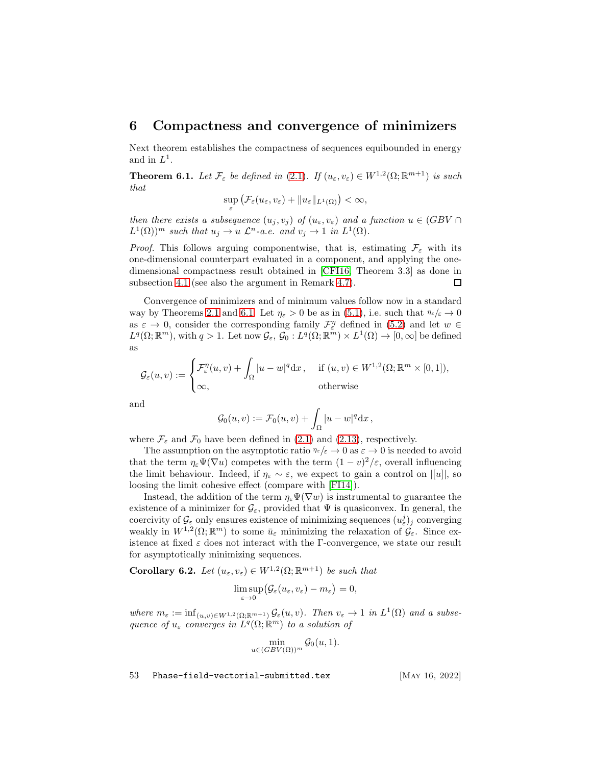### <span id="page-52-0"></span>6 Compactness and convergence of minimizers

Next theorem establishes the compactness of sequences equibounded in energy and in  $L^1$ .

<span id="page-52-1"></span>**Theorem 6.1.** Let  $\mathcal{F}_{\varepsilon}$  be defined in [\(2.1\)](#page-5-4). If  $(u_{\varepsilon}, v_{\varepsilon}) \in W^{1,2}(\Omega; \mathbb{R}^{m+1})$  is such that

$$
\sup_{\varepsilon} \left( \mathcal{F}_{\varepsilon}(u_{\varepsilon}, v_{\varepsilon}) + \|u_{\varepsilon}\|_{L^{1}(\Omega)} \right) < \infty,
$$

then there exists a subsequence  $(u_j, v_j)$  of  $(u_\varepsilon, v_\varepsilon)$  and a function  $u \in (GBV \cap$  $L^1(\Omega)$ <sup>m</sup> such that  $u_j \to u \mathcal{L}^n$ -a.e. and  $v_j \to 1$  in  $L^1(\Omega)$ .

*Proof.* This follows arguing componentwise, that is, estimating  $\mathcal{F}_{\varepsilon}$  with its one-dimensional counterpart evaluated in a component, and applying the onedimensional compactness result obtained in [\[CFI16,](#page-57-10) Theorem 3.3] as done in subsection [4.1](#page-29-1) (see also the argument in Remark [4.7\)](#page-40-0). □

Convergence of minimizers and of minimum values follow now in a standard way by Theorems [2.1](#page-7-0) and [6.1.](#page-52-1) Let  $\eta_{\varepsilon} > 0$  be as in [\(5.1\)](#page-44-6), i.e. such that  $\eta_{\varepsilon}/\varepsilon \to 0$ as  $\varepsilon \to 0$ , consider the corresponding family  $\mathcal{F}_{\varepsilon}^{\eta}$  defined in [\(5.2\)](#page-44-1) and let  $w \in$  $L^q(\Omega;\mathbb{R}^m)$ , with  $q>1$ . Let now  $\mathcal{G}_{\varepsilon}$ ,  $\mathcal{G}_0: L^q(\Omega;\mathbb{R}^m) \times L^1(\Omega) \to [0,\infty]$  be defined as

$$
\mathcal{G}_{\varepsilon}(u,v) := \begin{cases} \mathcal{F}_{\varepsilon}^{\eta}(u,v) + \int_{\Omega} |u-w|^q \mathrm{d}x \,, & \text{ if } (u,v) \in W^{1,2}(\Omega;\mathbb{R}^m \times [0,1]), \\ \infty, & \text{ otherwise} \end{cases}
$$

and

$$
\mathcal{G}_0(u,v) := \mathcal{F}_0(u,v) + \int_{\Omega} |u - w|^q \mathrm{d}x,
$$

where  $\mathcal{F}_{\varepsilon}$  and  $\mathcal{F}_{0}$  have been defined in [\(2.1\)](#page-5-4) and [\(2.13\)](#page-7-2), respectively.

The assumption on the asymptotic ratio  $\eta \in \xi \to 0$  as  $\varepsilon \to 0$  is needed to avoid that the term  $\eta_{\varepsilon}\Psi(\nabla u)$  competes with the term  $(1-v)^2/\varepsilon$ , overall influencing the limit behaviour. Indeed, if  $\eta_{\varepsilon} \sim \varepsilon$ , we expect to gain a control on  $||u||$ , so loosing the limit cohesive effect (compare with [\[FI14\]](#page-59-5)).

Instead, the addition of the term  $\eta_{\varepsilon}\Psi(\nabla w)$  is instrumental to guarantee the existence of a minimizer for  $\mathcal{G}_{\varepsilon}$ , provided that  $\Psi$  is quasiconvex. In general, the coercivity of  $\mathcal{G}_{\varepsilon}$  only ensures existence of minimizing sequences  $(u_{\varepsilon}^j)_j$  converging weakly in  $W^{1,2}(\Omega;\mathbb{R}^m)$  to some  $\bar{u}_{\varepsilon}$  minimizing the relaxation of  $\mathcal{G}_{\varepsilon}$ . Since existence at fixed  $\varepsilon$  does not interact with the Γ-convergence, we state our result for asymptotically minimizing sequences.

**Corollary 6.2.** Let  $(u_{\varepsilon}, v_{\varepsilon}) \in W^{1,2}(\Omega; \mathbb{R}^{m+1})$  be such that

$$
\limsup_{\varepsilon\to 0} (\mathcal{G}_\varepsilon(u_\varepsilon,v_\varepsilon)-m_\varepsilon)=0,
$$

where  $m_{\varepsilon} := \inf_{(u,v)\in W^{1,2}(\Omega;\mathbb{R}^{m+1})} \mathcal{G}_{\varepsilon}(u,v)$ . Then  $v_{\varepsilon} \to 1$  in  $L^1(\Omega)$  and a subsequence of  $u_{\varepsilon}$  converges in  $L^{q}(\Omega; \mathbb{R}^{m})$  to a solution of

$$
\min_{u \in (GBV(\Omega))^m} \mathcal{G}_0(u, 1).
$$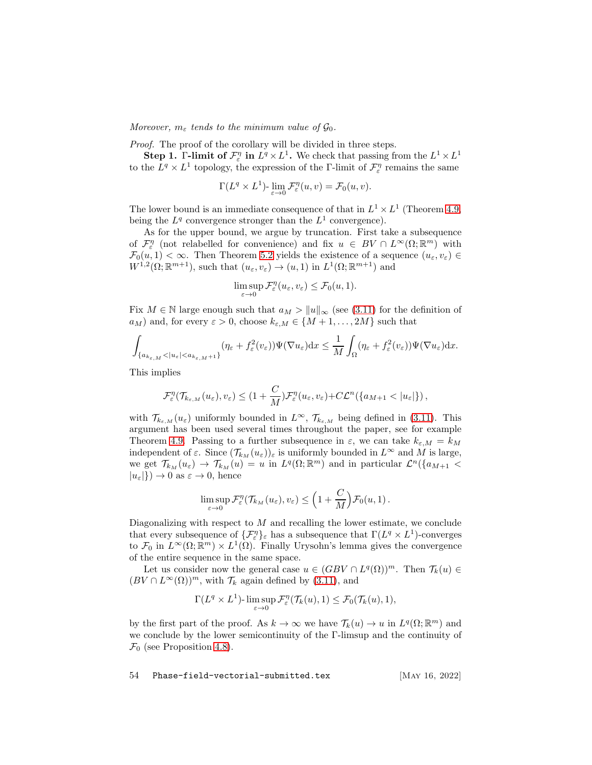Moreover,  $m_{\varepsilon}$  tends to the minimum value of  $\mathcal{G}_0$ .

Proof. The proof of the corollary will be divided in three steps.

**Step 1.** Γ-limit of  $\mathcal{F}_{\varepsilon}^{\eta}$  in  $L^q \times L^1$ . We check that passing from the  $L^1 \times L^1$ to the  $L^q \times L^1$  topology, the expression of the Γ-limit of  $\mathcal{F}_{\varepsilon}^{\eta}$  remains the same

$$
\Gamma(L^q \times L^1) \text{-} \lim_{\varepsilon \to 0} \mathcal{F}_{\varepsilon}^{\eta}(u,v) = \mathcal{F}_0(u,v).
$$

The lower bound is an immediate consequence of that in  $L^1 \times L^1$  (Theorem [4.9,](#page-42-0) being the  $L^q$  convergence stronger than the  $L^1$  convergence).

As for the upper bound, we argue by truncation. First take a subsequence of  $\mathcal{F}_{\varepsilon}^{\eta}$  (not relabelled for convenience) and fix  $u \in BV \cap L^{\infty}(\Omega;\mathbb{R}^m)$  with  $\mathcal{F}_0(u, 1) < \infty$ . Then Theorem [5.2](#page-46-0) yields the existence of a sequence  $(u_\varepsilon, v_\varepsilon) \in$  $W^{1,2}(\Omega;\mathbb{R}^{m+1}),$  such that  $(u_{\varepsilon},v_{\varepsilon}) \to (u,1)$  in  $L^1(\Omega;\mathbb{R}^{m+1})$  and

$$
\limsup_{\varepsilon \to 0} \mathcal{F}_{\varepsilon}^{\eta}(u_{\varepsilon}, v_{\varepsilon}) \leq \mathcal{F}_{0}(u, 1).
$$

Fix  $M \in \mathbb{N}$  large enough such that  $a_M > ||u||_{\infty}$  (see [\(3.11\)](#page-16-2) for the definition of  $a_M$ ) and, for every  $\varepsilon > 0$ , choose  $k_{\varepsilon,M} \in \{M+1,\ldots,2M\}$  such that

$$
\int_{\{a_{k_{\varepsilon,M}}<|u_{\varepsilon}|
$$

This implies

$$
\mathcal{F}_{\varepsilon}^{\eta}(\mathcal{T}_{k_{\varepsilon,M}}(u_{\varepsilon}),v_{\varepsilon}) \leq (1+\frac{C}{M})\mathcal{F}_{\varepsilon}^{\eta}(u_{\varepsilon},v_{\varepsilon})+C\mathcal{L}^n(\{a_{M+1}<|u_{\varepsilon}|\}),
$$

with  $\mathcal{T}_{k_{\varepsilon,M}}(u_{\varepsilon})$  uniformly bounded in  $L^{\infty}$ ,  $\mathcal{T}_{k_{\varepsilon,M}}$  being defined in [\(3.11\)](#page-16-2). This argument has been used several times throughout the paper, see for example Theorem [4.9.](#page-42-0) Passing to a further subsequence in  $\varepsilon$ , we can take  $k_{\varepsilon,M} = k_M$ independent of  $\varepsilon$ . Since  $(\mathcal{T}_{kM}(u_{\varepsilon}))_{\varepsilon}$  is uniformly bounded in  $L^{\infty}$  and M is large, we get  $\mathcal{T}_{k_M}(u_\varepsilon) \to \mathcal{T}_{k_M}(u) = u$  in  $L^q(\Omega; \mathbb{R}^m)$  and in particular  $\mathcal{L}^n({a_{M+1} \leq \mathcal{L}^m)}$  $|u_{\varepsilon}|\rangle \rightarrow 0$  as  $\varepsilon \rightarrow 0$ , hence

$$
\limsup_{\varepsilon \to 0} \mathcal{F}_\varepsilon^\eta(\mathcal{T}_{k_M}(u_\varepsilon), v_\varepsilon) \leq \left(1 + \frac{C}{M}\right) \mathcal{F}_0(u, 1).
$$

Diagonalizing with respect to  $M$  and recalling the lower estimate, we conclude that every subsequence of  $\{\mathcal{F}_{\varepsilon}^{\eta}\}_{\varepsilon}$  has a subsequence that  $\Gamma(L^{q} \times L^{1})$ -converges to  $\mathcal{F}_0$  in  $L^{\infty}(\Omega;\mathbb{R}^m) \times L^1(\Omega)$ . Finally Urysohn's lemma gives the convergence of the entire sequence in the same space.

Let us consider now the general case  $u \in (GBV \cap L^q(\Omega))^m$ . Then  $\mathcal{T}_k(u) \in$  $(BV \cap L^{\infty}(\Omega))^{m}$ , with  $\mathcal{T}_k$  again defined by [\(3.11\)](#page-16-2), and

$$
\Gamma(L^q \times L^1) \text{-} \limsup_{\varepsilon \to 0} \mathcal{F}_\varepsilon^\eta(\mathcal{T}_k(u), 1) \leq \mathcal{F}_0(\mathcal{T}_k(u), 1),
$$

by the first part of the proof. As  $k \to \infty$  we have  $\mathcal{T}_k(u) \to u$  in  $L^q(\Omega; \mathbb{R}^m)$  and we conclude by the lower semicontinuity of the Γ-limsup and the continuity of  $\mathcal{F}_0$  (see Proposition [4.8\)](#page-41-1).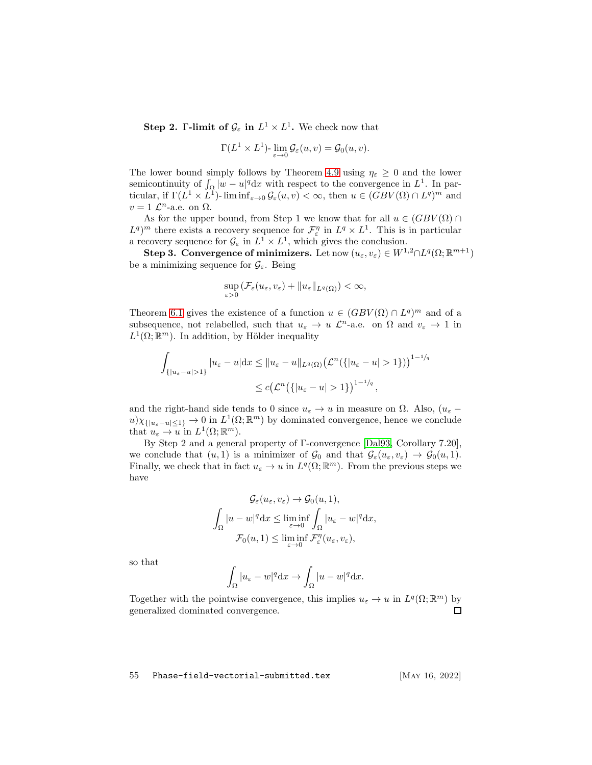**Step 2.** Γ-limit of  $\mathcal{G}_{\varepsilon}$  in  $L^1 \times L^1$ . We check now that

$$
\Gamma(L^1 \times L^1) \cdot \lim_{\varepsilon \to 0} \mathcal{G}_{\varepsilon}(u, v) = \mathcal{G}_0(u, v).
$$

The lower bound simply follows by Theorem [4.9](#page-42-0) using  $\eta_{\varepsilon} \geq 0$  and the lower semicontinuity of  $\int_{\Omega} |w - u|^q dx$  with respect to the convergence in  $L^1$ . In particular, if  $\Gamma(L^1 \times \overline{L^1})$ - lim inf<sub>ε→0</sub>  $\mathcal{G}_{\varepsilon}(u, v) < \infty$ , then  $u \in (GBV(\Omega) \cap L^q)^m$  and  $v = 1 \mathcal{L}^n$ -a.e. on  $\Omega$ .

As for the upper bound, from Step 1 we know that for all  $u \in (GBV(\Omega) \cap$  $L^q$ <sup>m</sup> there exists a recovery sequence for  $\mathcal{F}^{\eta}_{\varepsilon}$  in  $L^q \times L^1$ . This is in particular a recovery sequence for  $\mathcal{G}_{\varepsilon}$  in  $L^1 \times L^1$ , which gives the conclusion.

**Step 3. Convergence of minimizers.** Let now  $(u_{\varepsilon}, v_{\varepsilon}) \in W^{1,2} \cap L^{q}(\Omega; \mathbb{R}^{m+1})$ be a minimizing sequence for  $\mathcal{G}_{\varepsilon}$ . Being

$$
\sup_{\varepsilon>0} \left( \mathcal{F}_{\varepsilon}(u_{\varepsilon}, v_{\varepsilon}) + \|u_{\varepsilon}\|_{L^{q}(\Omega)} \right) < \infty,
$$

Theorem [6.1](#page-52-1) gives the existence of a function  $u \in (GBV(\Omega) \cap L^q)^m$  and of a subsequence, not relabelled, such that  $u_{\varepsilon} \to u \mathcal{L}^n$ -a.e. on  $\Omega$  and  $v_{\varepsilon} \to 1$  in  $L^1(\Omega;\mathbb{R}^m)$ . In addition, by Hölder inequality

$$
\int_{\{|u_{\varepsilon}-u|>1\}} |u_{\varepsilon}-u| dx \leq ||u_{\varepsilon}-u||_{L^{q}(\Omega)} (\mathcal{L}^{n}(\{|u_{\varepsilon}-u|>1\}))^{1-1/q}
$$
  

$$
\leq c (\mathcal{L}^{n}(\{|u_{\varepsilon}-u|>1\})^{1-1/q},
$$

and the right-hand side tends to 0 since  $u_{\varepsilon} \to u$  in measure on  $\Omega$ . Also,  $(u_{\varepsilon} (u)\chi_{\{|u_{\varepsilon}-u|\leq 1\}}\to 0$  in  $L^1(\Omega;\mathbb{R}^m)$  by dominated convergence, hence we conclude that  $u_{\varepsilon} \to u$  in  $L^1(\Omega; \mathbb{R}^m)$ .

By Step 2 and a general property of Γ-convergence [\[Dal93,](#page-58-11) Corollary 7.20], we conclude that  $(u, 1)$  is a minimizer of  $\mathcal{G}_0$  and that  $\mathcal{G}_{\varepsilon}(u_{\varepsilon}, v_{\varepsilon}) \to \mathcal{G}_0(u, 1)$ . Finally, we check that in fact  $u_{\varepsilon} \to u$  in  $L^q(\Omega; \mathbb{R}^m)$ . From the previous steps we have

$$
\mathcal{G}_{\varepsilon}(u_{\varepsilon}, v_{\varepsilon}) \to \mathcal{G}_{0}(u, 1),
$$
  

$$
\int_{\Omega} |u - w|^q dx \le \liminf_{\varepsilon \to 0} \int_{\Omega} |u_{\varepsilon} - w|^q dx,
$$
  

$$
\mathcal{F}_{0}(u, 1) \le \liminf_{\varepsilon \to 0} \mathcal{F}_{\varepsilon}^{\eta}(u_{\varepsilon}, v_{\varepsilon}),
$$

so that

$$
\int_{\Omega} |u_{\varepsilon} - w|^q \, dx \to \int_{\Omega} |u - w|^q \, dx.
$$

Together with the pointwise convergence, this implies  $u_{\varepsilon} \to u$  in  $L^q(\Omega; \mathbb{R}^m)$  by generalized dominated convergence.  $\Box$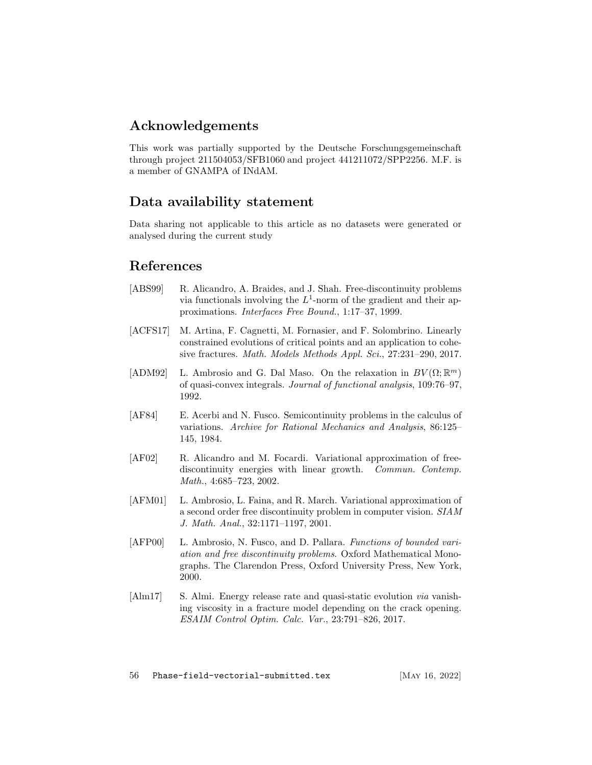# Acknowledgements

This work was partially supported by the Deutsche Forschungsgemeinschaft through project 211504053/SFB1060 and project 441211072/SPP2256. M.F. is a member of GNAMPA of INdAM.

# Data availability statement

Data sharing not applicable to this article as no datasets were generated or analysed during the current study

# References

- <span id="page-55-4"></span>[ABS99] R. Alicandro, A. Braides, and J. Shah. Free-discontinuity problems via functionals involving the  $L^1$ -norm of the gradient and their approximations. Interfaces Free Bound., 1:17–37, 1999.
- <span id="page-55-1"></span>[ACFS17] M. Artina, F. Cagnetti, M. Fornasier, and F. Solombrino. Linearly constrained evolutions of critical points and an application to cohesive fractures. Math. Models Methods Appl. Sci., 27:231–290, 2017.
- <span id="page-55-6"></span>[ADM92] L. Ambrosio and G. Dal Maso. On the relaxation in  $BV(\Omega;\mathbb{R}^m)$ of quasi-convex integrals. Journal of functional analysis, 109:76–97, 1992.
- <span id="page-55-7"></span>[AF84] E. Acerbi and N. Fusco. Semicontinuity problems in the calculus of variations. Archive for Rational Mechanics and Analysis, 86:125– 145, 1984.
- <span id="page-55-5"></span>[AF02] R. Alicandro and M. Focardi. Variational approximation of freediscontinuity energies with linear growth. *Commun. Contemp.* Math., 4:685–723, 2002.
- <span id="page-55-3"></span>[AFM01] L. Ambrosio, L. Faina, and R. March. Variational approximation of a second order free discontinuity problem in computer vision. SIAM J. Math. Anal., 32:1171–1197, 2001.
- <span id="page-55-2"></span>[AFP00] L. Ambrosio, N. Fusco, and D. Pallara. Functions of bounded variation and free discontinuity problems. Oxford Mathematical Monographs. The Clarendon Press, Oxford University Press, New York, 2000.
- <span id="page-55-0"></span>[Alm17] S. Almi. Energy release rate and quasi-static evolution *via* vanishing viscosity in a fracture model depending on the crack opening. ESAIM Control Optim. Calc. Var., 23:791–826, 2017.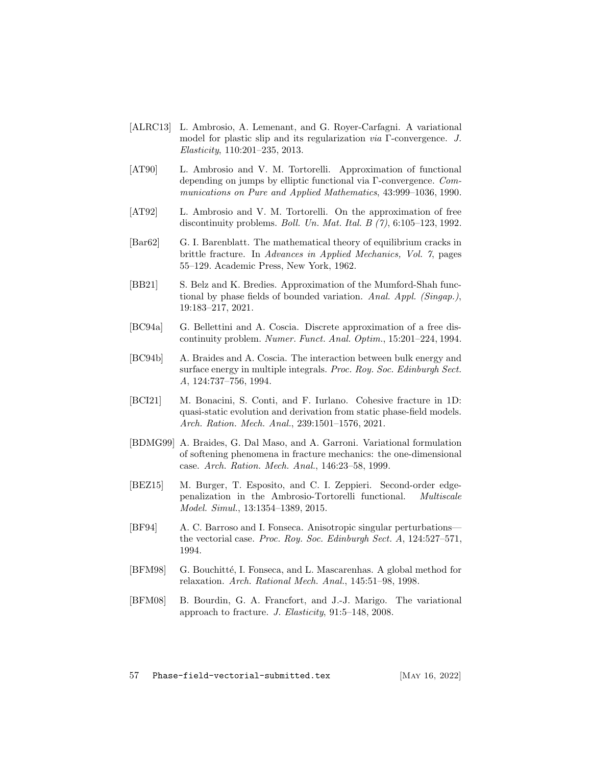- <span id="page-56-4"></span>[ALRC13] L. Ambrosio, A. Lemenant, and G. Royer-Carfagni. A variational model for plastic slip and its regularization via Γ-convergence. J. Elasticity, 110:201–235, 2013.
- <span id="page-56-2"></span>[AT90] L. Ambrosio and V. M. Tortorelli. Approximation of functional depending on jumps by elliptic functional via Γ-convergence. Communications on Pure and Applied Mathematics, 43:999–1036, 1990.
- <span id="page-56-3"></span>[AT92] L. Ambrosio and V. M. Tortorelli. On the approximation of free discontinuity problems. Boll. Un. Mat. Ital. B  $(7)$ , 6:105-123, 1992.
- <span id="page-56-1"></span>[Bar62] G. I. Barenblatt. The mathematical theory of equilibrium cracks in brittle fracture. In Advances in Applied Mechanics, Vol. 7, pages 55–129. Academic Press, New York, 1962.
- <span id="page-56-7"></span>[BB21] S. Belz and K. Bredies. Approximation of the Mumford-Shah functional by phase fields of bounded variation. Anal. Appl. (Singap.), 19:183–217, 2021.
- <span id="page-56-6"></span>[BC94a] G. Bellettini and A. Coscia. Discrete approximation of a free discontinuity problem. Numer. Funct. Anal. Optim., 15:201–224, 1994.
- <span id="page-56-10"></span>[BC94b] A. Braides and A. Coscia. The interaction between bulk energy and surface energy in multiple integrals. Proc. Roy. Soc. Edinburgh Sect. A, 124:737–756, 1994.
- <span id="page-56-9"></span>[BCI21] M. Bonacini, S. Conti, and F. Iurlano. Cohesive fracture in 1D: quasi-static evolution and derivation from static phase-field models. Arch. Ration. Mech. Anal., 239:1501–1576, 2021.
- <span id="page-56-8"></span>[BDMG99] A. Braides, G. Dal Maso, and A. Garroni. Variational formulation of softening phenomena in fracture mechanics: the one-dimensional case. Arch. Ration. Mech. Anal., 146:23–58, 1999.
- <span id="page-56-5"></span>[BEZ15] M. Burger, T. Esposito, and C. I. Zeppieri. Second-order edgepenalization in the Ambrosio-Tortorelli functional. Multiscale Model. Simul., 13:1354–1389, 2015.
- <span id="page-56-12"></span>[BF94] A. C. Barroso and I. Fonseca. Anisotropic singular perturbations the vectorial case. Proc. Roy. Soc. Edinburgh Sect. A, 124:527–571, 1994.
- <span id="page-56-11"></span>[BFM98] G. Bouchitté, I. Fonseca, and L. Mascarenhas. A global method for relaxation. Arch. Rational Mech. Anal., 145:51–98, 1998.
- <span id="page-56-0"></span>[BFM08] B. Bourdin, G. A. Francfort, and J.-J. Marigo. The variational approach to fracture. J. Elasticity, 91:5–148, 2008.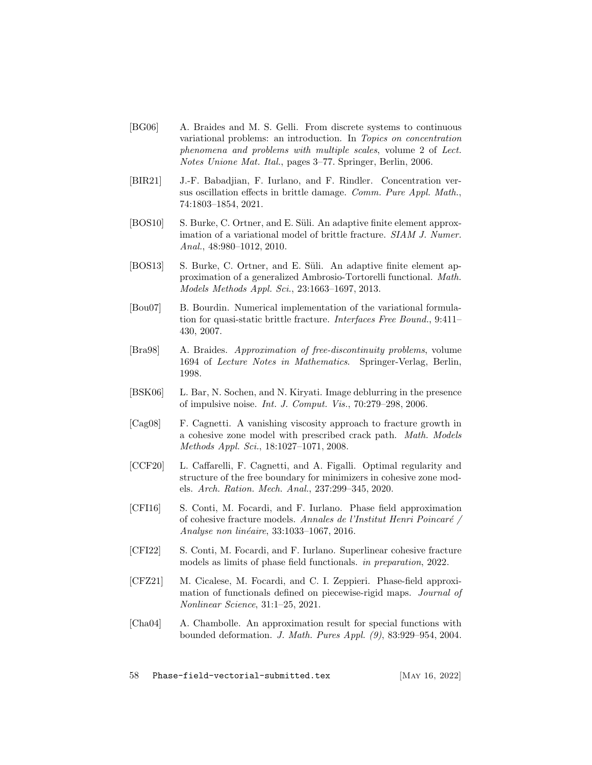- <span id="page-57-9"></span>[BG06] A. Braides and M. S. Gelli. From discrete systems to continuous variational problems: an introduction. In Topics on concentration phenomena and problems with multiple scales, volume 2 of Lect. Notes Unione Mat. Ital., pages 3–77. Springer, Berlin, 2006.
- <span id="page-57-12"></span>[BIR21] J.-F. Babadjian, F. Iurlano, and F. Rindler. Concentration versus oscillation effects in brittle damage. Comm. Pure Appl. Math., 74:1803–1854, 2021.
- <span id="page-57-6"></span>[BOS10] S. Burke, C. Ortner, and E. Süli. An adaptive finite element approximation of a variational model of brittle fracture. SIAM J. Numer. Anal., 48:980–1012, 2010.
- <span id="page-57-7"></span>[BOS13] S. Burke, C. Ortner, and E. Süli. An adaptive finite element approximation of a generalized Ambrosio-Tortorelli functional. Math. Models Methods Appl. Sci., 23:1663–1697, 2013.
- <span id="page-57-5"></span>[Bou07] B. Bourdin. Numerical implementation of the variational formulation for quasi-static brittle fracture. Interfaces Free Bound., 9:411– 430, 2007.
- <span id="page-57-8"></span>[Bra98] A. Braides. Approximation of free-discontinuity problems, volume 1694 of Lecture Notes in Mathematics. Springer-Verlag, Berlin, 1998.
- <span id="page-57-4"></span>[BSK06] L. Bar, N. Sochen, and N. Kiryati. Image deblurring in the presence of impulsive noise. Int. J. Comput. Vis., 70:279–298, 2006.
- <span id="page-57-0"></span>[Cag08] F. Cagnetti. A vanishing viscosity approach to fracture growth in a cohesive zone model with prescribed crack path. Math. Models Methods Appl. Sci., 18:1027–1071, 2008.
- <span id="page-57-1"></span>[CCF20] L. Caffarelli, F. Cagnetti, and A. Figalli. Optimal regularity and structure of the free boundary for minimizers in cohesive zone models. Arch. Ration. Mech. Anal., 237:299–345, 2020.
- <span id="page-57-10"></span>[CFI16] S. Conti, M. Focardi, and F. Iurlano. Phase field approximation of cohesive fracture models. Annales de l'Institut Henri Poincar´e / Analyse non linéaire, 33:1033-1067, 2016.
- <span id="page-57-11"></span>[CFI22] S. Conti, M. Focardi, and F. Iurlano. Superlinear cohesive fracture models as limits of phase field functionals. in preparation, 2022.
- <span id="page-57-3"></span>[CFZ21] M. Cicalese, M. Focardi, and C. I. Zeppieri. Phase-field approximation of functionals defined on piecewise-rigid maps. Journal of Nonlinear Science, 31:1–25, 2021.
- <span id="page-57-2"></span>[Cha04] A. Chambolle. An approximation result for special functions with bounded deformation. J. Math. Pures Appl. (9), 83:929–954, 2004.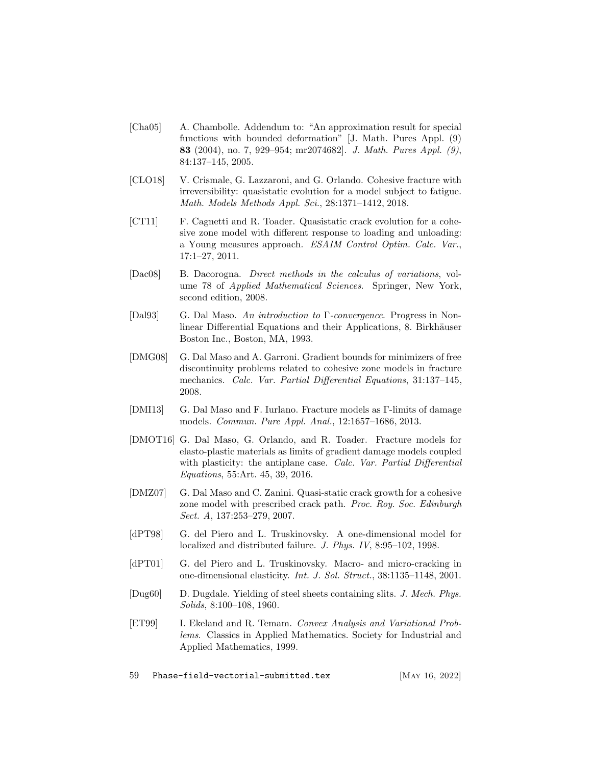- <span id="page-58-7"></span>[Cha05] A. Chambolle. Addendum to: "An approximation result for special functions with bounded deformation" [J. Math. Pures Appl. (9) 83 (2004), no. 7, 929–954; mr2074682]. J. Math. Pures Appl. (9), 84:137–145, 2005.
- <span id="page-58-5"></span>[CLO18] V. Crismale, G. Lazzaroni, and G. Orlando. Cohesive fracture with irreversibility: quasistatic evolution for a model subject to fatigue. Math. Models Methods Appl. Sci., 28:1371–1412, 2018.
- <span id="page-58-4"></span>[CT11] F. Cagnetti and R. Toader. Quasistatic crack evolution for a cohesive zone model with different response to loading and unloading: a Young measures approach. ESAIM Control Optim. Calc. Var., 17:1–27, 2011.
- <span id="page-58-10"></span>[Dac08] B. Dacorogna. Direct methods in the calculus of variations, volume 78 of Applied Mathematical Sciences. Springer, New York, second edition, 2008.
- <span id="page-58-11"></span>[Dal93] G. Dal Maso. An introduction to Γ-convergence. Progress in Nonlinear Differential Equations and their Applications, 8. Birkhäuser Boston Inc., Boston, MA, 1993.
- <span id="page-58-6"></span>[DMG08] G. Dal Maso and A. Garroni. Gradient bounds for minimizers of free discontinuity problems related to cohesive zone models in fracture mechanics. Calc. Var. Partial Differential Equations, 31:137–145, 2008.
- <span id="page-58-8"></span>[DMI13] G. Dal Maso and F. Iurlano. Fracture models as Γ-limits of damage models. Commun. Pure Appl. Anal., 12:1657–1686, 2013.
- <span id="page-58-9"></span>[DMOT16] G. Dal Maso, G. Orlando, and R. Toader. Fracture models for elasto-plastic materials as limits of gradient damage models coupled with plasticity: the antiplane case. Calc. Var. Partial Differential Equations, 55:Art. 45, 39, 2016.
- <span id="page-58-3"></span>[DMZ07] G. Dal Maso and C. Zanini. Quasi-static crack growth for a cohesive zone model with prescribed crack path. Proc. Roy. Soc. Edinburgh Sect. A, 137:253–279, 2007.
- <span id="page-58-1"></span>[dPT98] G. del Piero and L. Truskinovsky. A one-dimensional model for localized and distributed failure. J. Phys. IV, 8:95–102, 1998.
- <span id="page-58-2"></span>[dPT01] G. del Piero and L. Truskinovsky. Macro- and micro-cracking in one-dimensional elasticity. Int. J. Sol. Struct., 38:1135–1148, 2001.
- <span id="page-58-0"></span>[Dug60] D. Dugdale. Yielding of steel sheets containing slits. J. Mech. Phys. Solids, 8:100–108, 1960.
- <span id="page-58-12"></span>[ET99] I. Ekeland and R. Temam. Convex Analysis and Variational Problems. Classics in Applied Mathematics. Society for Industrial and Applied Mathematics, 1999.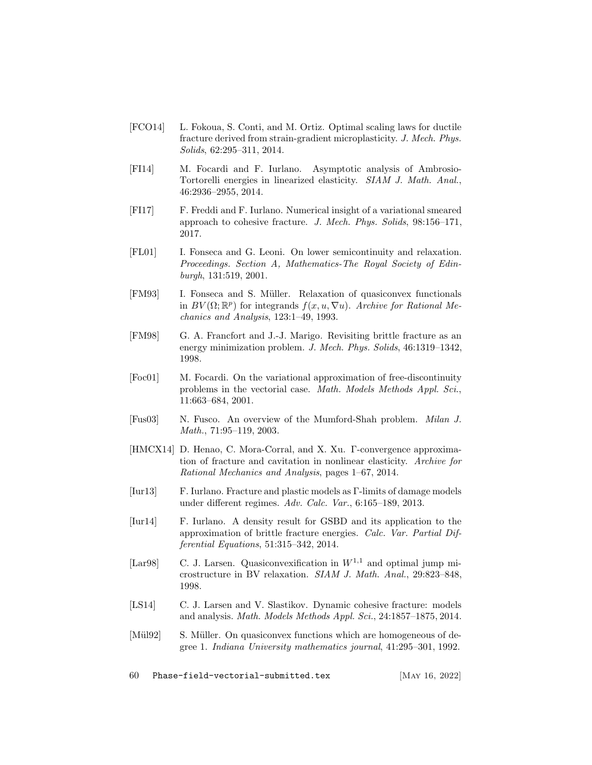- <span id="page-59-0"></span>[FCO14] L. Fokoua, S. Conti, and M. Ortiz. Optimal scaling laws for ductile fracture derived from strain-gradient microplasticity. J. Mech. Phys. Solids, 62:295–311, 2014.
- <span id="page-59-5"></span>[FI14] M. Focardi and F. Iurlano. Asymptotic analysis of Ambrosio-Tortorelli energies in linearized elasticity. SIAM J. Math. Anal., 46:2936–2955, 2014.
- <span id="page-59-9"></span>[FI17] F. Freddi and F. Iurlano. Numerical insight of a variational smeared approach to cohesive fracture. J. Mech. Phys. Solids, 98:156–171, 2017.
- <span id="page-59-12"></span>[FL01] I. Fonseca and G. Leoni. On lower semicontinuity and relaxation. Proceedings. Section A, Mathematics-The Royal Society of Edinburgh, 131:519, 2001.
- <span id="page-59-10"></span>[FM93] I. Fonseca and S. Müller. Relaxation of quasiconvex functionals in  $BV(\Omega;\mathbb{R}^p)$  for integrands  $f(x, u, \nabla u)$ . Archive for Rational Mechanics and Analysis, 123:1–49, 1993.
- <span id="page-59-2"></span>[FM98] G. A. Francfort and J.-J. Marigo. Revisiting brittle fracture as an energy minimization problem. J. Mech. Phys. Solids, 46:1319–1342, 1998.
- <span id="page-59-8"></span>[Foc01] M. Focardi. On the variational approximation of free-discontinuity problems in the vectorial case. Math. Models Methods Appl. Sci., 11:663–684, 2001.
- <span id="page-59-7"></span>[Fus03] N. Fusco. An overview of the Mumford-Shah problem. Milan J. Math., 71:95–119, 2003.
- <span id="page-59-3"></span>[HMCX14] D. Henao, C. Mora-Corral, and X. Xu. Γ-convergence approximation of fracture and cavitation in nonlinear elasticity. Archive for Rational Mechanics and Analysis, pages 1–67, 2014.
- <span id="page-59-4"></span>[Iur13] F. Iurlano. Fracture and plastic models as Γ-limits of damage models under different regimes. Adv. Calc. Var., 6:165–189, 2013.
- <span id="page-59-6"></span>[Iur14] F. Iurlano. A density result for GSBD and its application to the approximation of brittle fracture energies. Calc. Var. Partial Differential Equations, 51:315–342, 2014.
- <span id="page-59-13"></span>[Lar98] C. J. Larsen. Quasiconvexification in  $W^{1,1}$  and optimal jump microstructure in BV relaxation. SIAM J. Math. Anal., 29:823–848, 1998.
- <span id="page-59-1"></span>[LS14] C. J. Larsen and V. Slastikov. Dynamic cohesive fracture: models and analysis. Math. Models Methods Appl. Sci., 24:1857–1875, 2014.
- <span id="page-59-11"></span>[Mül92] S. Müller. On quasiconvex functions which are homogeneous of degree 1. Indiana University mathematics journal, 41:295–301, 1992.